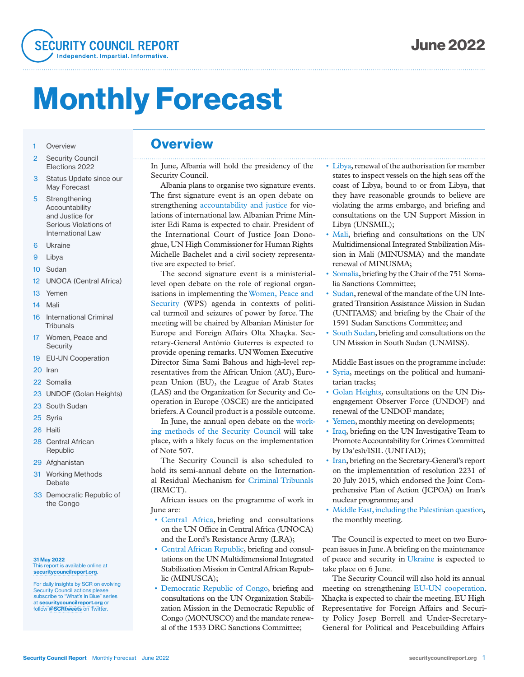

# Monthly Forecast

#### 1 Overview

- 2 Security Council Elections 2022
- 3 Status Update since our May Forecast
- 5 Strengthening Accountability and Justice for Serious Violations of International Law
- 6 Ukraine
- 9 Libya
- 10 Sudan
- 12 UNOCA (Central Africa)
- 13 Yemen
- 14 Mali
- 16 International Criminal **Tribunals**
- 17 Women, Peace and **Security**
- 19 EU-UN Cooperation
- 20 Iran
- 22 Somalia
- 23 UNDOF (Golan Heights)
- 23 South Sudan
- 25 Syria
- 26 Haiti
- 28 Central African Republic
- 29 Afghanistan
- 31 Working Methods **Debate**
- 33 Democratic Republic of the Congo

#### 31 May 2022 This report is available online at securitycouncilreport.org.

For daily insights by SCR on evolving Security Council actions please subscribe to "What's In Blue" series at securitycouncilreport.org or follow @SCRtweets on Twitter

### **Overview**

In June, Albania will hold the presidency of the Security Council.

Albania plans to organise two signature events. The first signature event is an open debate on strengthening accountability and justice for violations of international law. Albanian Prime Minister Edi Rama is expected to chair. President of the International Court of Justice Joan Donoghue, UN High Commissioner for Human Rights Michelle Bachelet and a civil society representative are expected to brief.

The second signature event is a ministeriallevel open debate on the role of regional organisations in implementing the Women, Peace and Security (WPS) agenda in contexts of political turmoil and seizures of power by force. The meeting will be chaired by Albanian Minister for Europe and Foreign Affairs Olta Xhaçka. Secretary-General António Guterres is expected to provide opening remarks. UN Women Executive Director Sima Sami Bahous and high-level representatives from the African Union (AU), European Union (EU), the League of Arab States (LAS) and the Organization for Security and Cooperation in Europe (OSCE) are the anticipated briefers. A Council product is a possible outcome.

In June, the annual open debate on the working methods of the Security Council will take place, with a likely focus on the implementation of Note 507.

The Security Council is also scheduled to hold its semi-annual debate on the International Residual Mechanism for Criminal Tribunals (IRMCT).

African issues on the programme of work in June are:

- Central Africa, briefing and consultations on the UN Office in Central Africa (UNOCA) and the Lord's Resistance Army (LRA);
- Central African Republic, briefing and consultations on the UN Multidimensional Integrated Stabilization Mission in Central African Republic (MINUSCA);
- Democratic Republic of Congo, briefing and consultations on the UN Organization Stabilization Mission in the Democratic Republic of Congo (MONUSCO) and the mandate renewal of the 1533 DRC Sanctions Committee;
- Libya, renewal of the authorisation for member states to inspect vessels on the high seas off the coast of Libya, bound to or from Libya, that they have reasonable grounds to believe are violating the arms embargo, and briefing and consultations on the UN Support Mission in Libya (UNSMIL);
- Mali, briefing and consultations on the UN Multidimensional Integrated Stabilization Mission in Mali (MINUSMA) and the mandate renewal of MINUSMA;
- Somalia, briefing by the Chair of the 751 Somalia Sanctions Committee;
- Sudan, renewal of the mandate of the UN Integrated Transition Assistance Mission in Sudan (UNITAMS) and briefing by the Chair of the 1591 Sudan Sanctions Committee; and
- South Sudan, briefing and consultations on the UN Mission in South Sudan (UNMISS).

Middle East issues on the programme include:

- Syria, meetings on the political and humanitarian tracks;
- Golan Heights, consultations on the UN Disengagement Observer Force (UNDOF) and renewal of the UNDOF mandate;
- Yemen, monthly meeting on developments;
- Iraq, briefing on the UN Investigative Team to Promote Accountability for Crimes Committed by Da'esh/ISIL (UNITAD);
- Iran, briefing on the Secretary-General's report on the implementation of resolution 2231 of 20 July 2015, which endorsed the Joint Comprehensive Plan of Action (JCPOA) on Iran's nuclear programme; and
- Middle East, including the Palestinian question, the monthly meeting.

The Council is expected to meet on two European issues in June. A briefing on the maintenance of peace and security in Ukraine is expected to take place on 6 June.

The Security Council will also hold its annual meeting on strengthening EU-UN cooperation. Xhaçka is expected to chair the meeting. EU High Representative for Foreign Affairs and Security Policy Josep Borrell and Under-Secretary-General for Political and Peacebuilding Affairs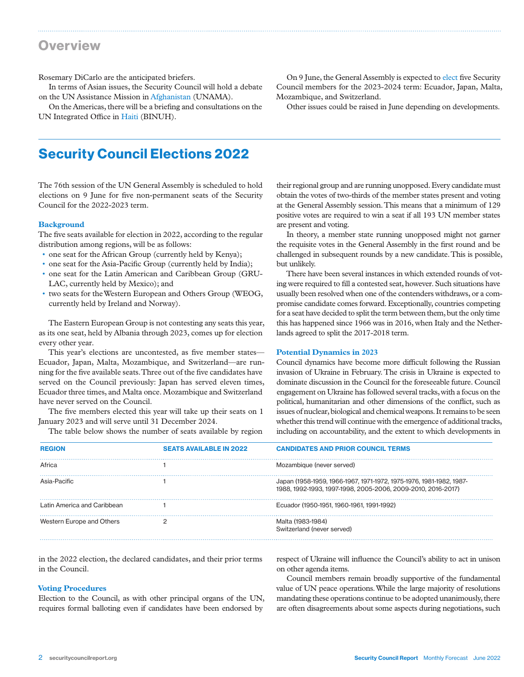### **Overview**

Rosemary DiCarlo are the anticipated briefers.

In terms of Asian issues, the Security Council will hold a debate on the UN Assistance Mission in Afghanistan (UNAMA).

On the Americas, there will be a briefing and consultations on the UN Integrated Office in Haiti (BINUH).

On 9 June, the General Assembly is expected to elect five Security Council members for the 2023-2024 term: Ecuador, Japan, Malta, Mozambique, and Switzerland.

Other issues could be raised in June depending on developments.

# Security Council Elections 2022

The 76th session of the UN General Assembly is scheduled to hold elections on 9 June for five non-permanent seats of the Security Council for the 2022-2023 term.

#### **Background**

The five seats available for election in 2022, according to the regular distribution among regions, will be as follows:

- one seat for the African Group (currently held by Kenya);
- one seat for the Asia-Pacific Group (currently held by India);
- one seat for the Latin American and Caribbean Group (GRU-LAC, currently held by Mexico); and
- two seats for the Western European and Others Group (WEOG, currently held by Ireland and Norway).

The Eastern European Group is not contesting any seats this year, as its one seat, held by Albania through 2023, comes up for election every other year.

This year's elections are uncontested, as five member states— Ecuador, Japan, Malta, Mozambique, and Switzerland—are running for the five available seats. Three out of the five candidates have served on the Council previously: Japan has served eleven times, Ecuador three times, and Malta once. Mozambique and Switzerland have never served on the Council.

The five members elected this year will take up their seats on 1 January 2023 and will serve until 31 December 2024.

The table below shows the number of seats available by region

their regional group and are running unopposed. Every candidate must obtain the votes of two-thirds of the member states present and voting at the General Assembly session. This means that a minimum of 129 positive votes are required to win a seat if all 193 UN member states are present and voting.

In theory, a member state running unopposed might not garner the requisite votes in the General Assembly in the first round and be challenged in subsequent rounds by a new candidate. This is possible, but unlikely.

There have been several instances in which extended rounds of voting were required to fill a contested seat, however. Such situations have usually been resolved when one of the contenders withdraws, or a compromise candidate comes forward. Exceptionally, countries competing for a seat have decided to split the term between them, but the only time this has happened since 1966 was in 2016, when Italy and the Netherlands agreed to split the 2017-2018 term.

#### **Potential Dynamics in 2023**

Council dynamics have become more difficult following the Russian invasion of Ukraine in February. The crisis in Ukraine is expected to dominate discussion in the Council for the foreseeable future. Council engagement on Ukraine has followed several tracks, with a focus on the political, humanitarian and other dimensions of the conflict, such as issues of nuclear, biological and chemical weapons. It remains to be seen whether this trend will continue with the emergence of additional tracks, including on accountability, and the extent to which developments in

| <b>REGION</b>               | <b>SEATS AVAILABLE IN 2022</b> | <b>CANDIDATES AND PRIOR COUNCIL TERMS</b>                                                                                           |
|-----------------------------|--------------------------------|-------------------------------------------------------------------------------------------------------------------------------------|
| Africa                      |                                | Mozambique (never served)                                                                                                           |
| Asia-Pacific                |                                | Japan (1958-1959, 1966-1967, 1971-1972, 1975-1976, 1981-1982, 1987-<br>1988, 1992-1993, 1997-1998, 2005-2006, 2009-2010, 2016-2017) |
| Latin America and Caribbean |                                | Ecuador (1950-1951, 1960-1961, 1991-1992)                                                                                           |
| Western Europe and Others   |                                | Malta (1983-1984)<br>Switzerland (never served)                                                                                     |

in the 2022 election, the declared candidates, and their prior terms in the Council.

#### **Voting Procedures**

Election to the Council, as with other principal organs of the UN, requires formal balloting even if candidates have been endorsed by

respect of Ukraine will influence the Council's ability to act in unison on other agenda items.

Council members remain broadly supportive of the fundamental value of UN peace operations. While the large majority of resolutions mandating these operations continue to be adopted unanimously, there are often disagreements about some aspects during negotiations, such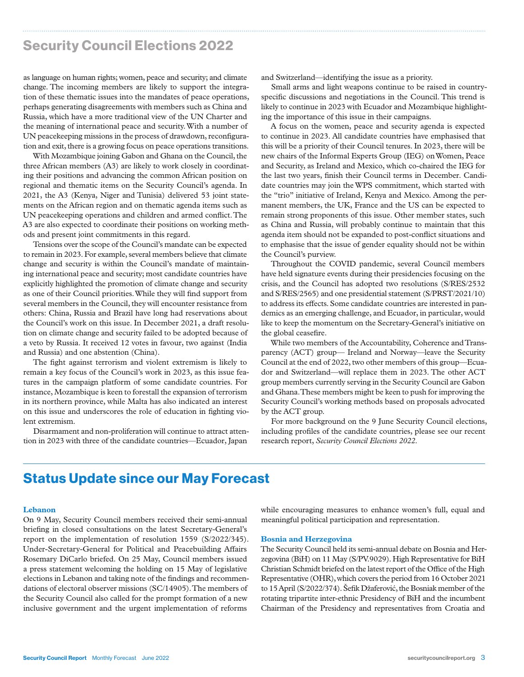# Security Council Elections 2022

as language on human rights; women, peace and security; and climate change. The incoming members are likely to support the integration of these thematic issues into the mandates of peace operations, perhaps generating disagreements with members such as China and Russia, which have a more traditional view of the UN Charter and the meaning of international peace and security. With a number of UN peacekeeping missions in the process of drawdown, reconfiguration and exit, there is a growing focus on peace operations transitions.

With Mozambique joining Gabon and Ghana on the Council, the three African members (A3) are likely to work closely in coordinating their positions and advancing the common African position on regional and thematic items on the Security Council's agenda. In 2021, the A3 (Kenya, Niger and Tunisia) delivered 53 joint statements on the African region and on thematic agenda items such as UN peacekeeping operations and children and armed conflict. The A3 are also expected to coordinate their positions on working methods and present joint commitments in this regard.

Tensions over the scope of the Council's mandate can be expected to remain in 2023. For example, several members believe that climate change and security is within the Council's mandate of maintaining international peace and security; most candidate countries have explicitly highlighted the promotion of climate change and security as one of their Council priorities. While they will find support from several members in the Council, they will encounter resistance from others: China, Russia and Brazil have long had reservations about the Council's work on this issue. In December 2021, a draft resolution on climate change and security failed to be adopted because of a veto by Russia. It received 12 votes in favour, two against (India and Russia) and one abstention (China).

The fight against terrorism and violent extremism is likely to remain a key focus of the Council's work in 2023, as this issue features in the campaign platform of some candidate countries. For instance, Mozambique is keen to forestall the expansion of terrorism in its northern province, while Malta has also indicated an interest on this issue and underscores the role of education in fighting violent extremism.

Disarmament and non-proliferation will continue to attract attention in 2023 with three of the candidate countries—Ecuador, Japan

and Switzerland—identifying the issue as a priority.

Small arms and light weapons continue to be raised in countryspecific discussions and negotiations in the Council. This trend is likely to continue in 2023 with Ecuador and Mozambique highlighting the importance of this issue in their campaigns.

A focus on the women, peace and security agenda is expected to continue in 2023. All candidate countries have emphasised that this will be a priority of their Council tenures. In 2023, there will be new chairs of the Informal Experts Group (IEG) on Women, Peace and Security, as Ireland and Mexico, which co-chaired the IEG for the last two years, finish their Council terms in December. Candidate countries may join the WPS commitment, which started with the "trio" initiative of Ireland, Kenya and Mexico. Among the permanent members, the UK, France and the US can be expected to remain strong proponents of this issue. Other member states, such as China and Russia, will probably continue to maintain that this agenda item should not be expanded to post-conflict situations and to emphasise that the issue of gender equality should not be within the Council's purview.

Throughout the COVID pandemic, several Council members have held signature events during their presidencies focusing on the crisis, and the Council has adopted two resolutions (S/RES/2532 and S/RES/2565) and one presidential statement (S/PRST/2021/10) to address its effects. Some candidate countries are interested in pandemics as an emerging challenge, and Ecuador, in particular, would like to keep the momentum on the Secretary-General's initiative on the global ceasefire.

While two members of the Accountability, Coherence and Transparency (ACT) group— Ireland and Norway—leave the Security Council at the end of 2022, two other members of this group—Ecuador and Switzerland—will replace them in 2023. The other ACT group members currently serving in the Security Council are Gabon and Ghana. These members might be keen to push for improving the Security Council's working methods based on proposals advocated by the ACT group.

For more background on the 9 June Security Council elections, including profiles of the candidate countries, please see our recent research report, *Security Council Elections 2022*.

# Status Update since our May Forecast

#### **Lebanon**

On 9 May, Security Council members received their semi-annual briefing in closed consultations on the latest Secretary-General's report on the implementation of resolution 1559 (S/2022/345). Under-Secretary-General for Political and Peacebuilding Affairs Rosemary DiCarlo briefed. On 25 May, Council members issued a press statement welcoming the holding on 15 May of legislative elections in Lebanon and taking note of the findings and recommendations of electoral observer missions (SC/14905). The members of the Security Council also called for the prompt formation of a new inclusive government and the urgent implementation of reforms

while encouraging measures to enhance women's full, equal and meaningful political participation and representation.

#### **Bosnia and Herzegovina**

The Security Council held its semi-annual debate on Bosnia and Herzegovina (BiH) on 11 May (S/PV.9029). High Representative for BiH Christian Schmidt briefed on the latest report of the Office of the High Representative (OHR), which covers the period from 16 October 2021 to 15 April (S/2022/374). Šefik Džaferović, the Bosniak member of the rotating tripartite inter-ethnic Presidency of BiH and the incumbent Chairman of the Presidency and representatives from Croatia and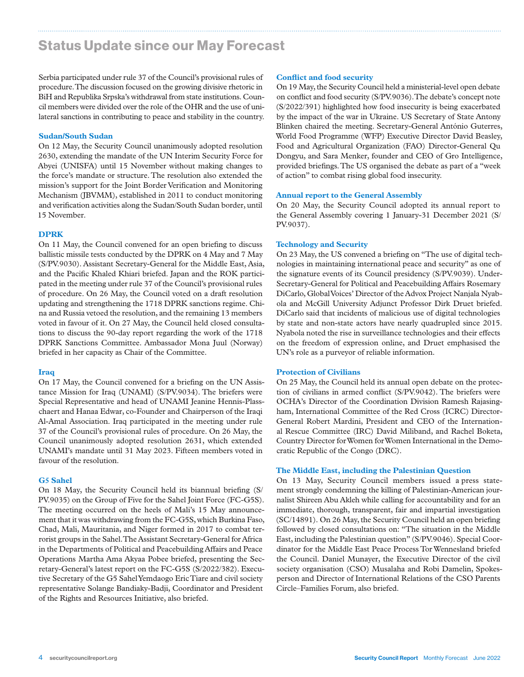# Status Update since our May Forecast

Serbia participated under rule 37 of the Council's provisional rules of procedure. The discussion focused on the growing divisive rhetoric in BiH and Republika Srpska's withdrawal from state institutions. Council members were divided over the role of the OHR and the use of unilateral sanctions in contributing to peace and stability in the country.

#### **Sudan/South Sudan**

On 12 May, the Security Council unanimously adopted resolution 2630, extending the mandate of the UN Interim Security Force for Abyei (UNISFA) until 15 November without making changes to the force's mandate or structure. The resolution also extended the mission's support for the Joint Border Verification and Monitoring Mechanism (JBVMM), established in 2011 to conduct monitoring and verification activities along the Sudan/South Sudan border, until 15 November.

#### **DPRK**

On 11 May, the Council convened for an open briefing to discuss ballistic missile tests conducted by the DPRK on 4 May and 7 May (S/PV.9030). Assistant Secretary-General for the Middle East, Asia, and the Pacific Khaled Khiari briefed. Japan and the ROK participated in the meeting under rule 37 of the Council's provisional rules of procedure. On 26 May, the Council voted on a draft resolution updating and strengthening the 1718 DPRK sanctions regime. China and Russia vetoed the resolution, and the remaining 13 members voted in favour of it. On 27 May, the Council held closed consultations to discuss the 90-day report regarding the work of the 1718 DPRK Sanctions Committee. Ambassador Mona Juul (Norway) briefed in her capacity as Chair of the Committee.

#### **Iraq**

On 17 May, the Council convened for a briefing on the UN Assistance Mission for Iraq (UNAMI) (S/PV.9034). The briefers were Special Representative and head of UNAMI Jeanine Hennis-Plasschaert and Hanaa Edwar, co-Founder and Chairperson of the Iraqi Al-Amal Association. Iraq participated in the meeting under rule 37 of the Council's provisional rules of procedure. On 26 May, the Council unanimously adopted resolution 2631, which extended UNAMI's mandate until 31 May 2023. Fifteen members voted in favour of the resolution.

#### **G5 Sahel**

On 18 May, the Security Council held its biannual briefing (S/ PV.9035) on the Group of Five for the Sahel Joint Force (FC-G5S). The meeting occurred on the heels of Mali's 15 May announcement that it was withdrawing from the FC-G5S, which Burkina Faso, Chad, Mali, Mauritania, and Niger formed in 2017 to combat terrorist groups in the Sahel. The Assistant Secretary-General for Africa in the Departments of Political and Peacebuilding Affairs and Peace Operations Martha Ama Akyaa Pobee briefed, presenting the Secretary-General's latest report on the FC-G5S (S/2022/382). Executive Secretary of the G5 Sahel Yemdaogo Eric Tiare and civil society representative Solange Bandiaky-Badji, Coordinator and President of the Rights and Resources Initiative, also briefed.

#### **Conflict and food security**

On 19 May, the Security Council held a ministerial-level open debate on conflict and food security (S/PV.9036). The debate's concept note (S/2022/391) highlighted how food insecurity is being exacerbated by the impact of the war in Ukraine. US Secretary of State Antony Blinken chaired the meeting. Secretary-General António Guterres, World Food Programme (WFP) Executive Director David Beasley, Food and Agricultural Organization (FAO) Director-General Qu Dongyu, and Sara Menker, founder and CEO of Gro Intelligence, provided briefings. The US organised the debate as part of a "week of action" to combat rising global food insecurity.

#### **Annual report to the General Assembly**

On 20 May, the Security Council adopted its annual report to the General Assembly covering 1 January-31 December 2021 (S/ PV.9037).

#### **Technology and Security**

On 23 May, the US convened a briefing on "The use of digital technologies in maintaining international peace and security" as one of the signature events of its Council presidency (S/PV.9039). Under-Secretary-General for Political and Peacebuilding Affairs Rosemary DiCarlo, Global Voices' Director of the Advox Project Nanjala Nyabola and McGill University Adjunct Professor Dirk Druet briefed. DiCarlo said that incidents of malicious use of digital technologies by state and non-state actors have nearly quadrupled since 2015. Nyabola noted the rise in surveillance technologies and their effects on the freedom of expression online, and Druet emphasised the UN's role as a purveyor of reliable information.

#### **Protection of Civilians**

On 25 May, the Council held its annual open debate on the protection of civilians in armed conflict (S/PV.9042). The briefers were OCHA's Director of the Coordination Division Ramesh Rajasingham, International Committee of the Red Cross (ICRC) Director-General Robert Mardini, President and CEO of the International Rescue Committee (IRC) David Miliband, and Rachel Boketa, Country Director for Women for Women International in the Democratic Republic of the Congo (DRC).

#### **The Middle East, including the Palestinian Question**

On 13 May, Security Council members issued a press statement strongly condemning the killing of Palestinian-American journalist Shireen Abu Akleh while calling for accountability and for an immediate, thorough, transparent, fair and impartial investigation (SC/14891). On 26 May, the Security Council held an open briefing followed by closed consultations on: "The situation in the Middle East, including the Palestinian question" (S/PV.9046). Special Coordinator for the Middle East Peace Process Tor Wennesland briefed the Council. Daniel Munayer, the Executive Director of the civil society organisation (CSO) Musalaha and Robi Damelin, Spokesperson and Director of International Relations of the CSO Parents Circle–Families Forum, also briefed.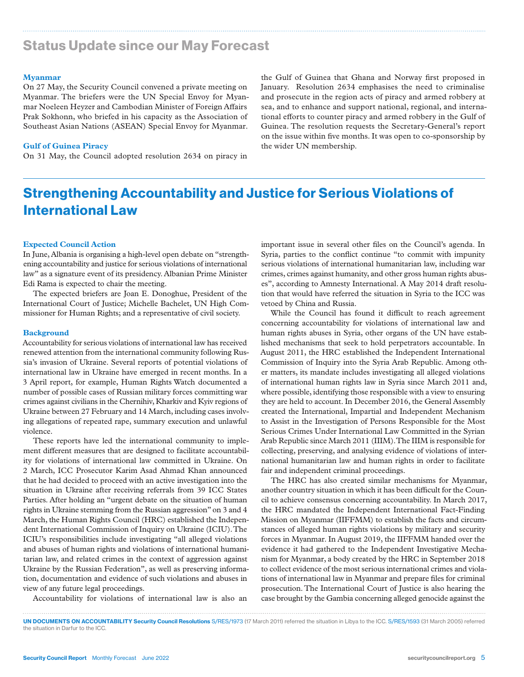# Status Update since our May Forecast

#### **Myanmar**

On 27 May, the Security Council convened a private meeting on Myanmar. The briefers were the UN Special Envoy for Myanmar Noeleen Heyzer and Cambodian Minister of Foreign Affairs Prak Sokhonn, who briefed in his capacity as the Association of Southeast Asian Nations (ASEAN) Special Envoy for Myanmar.

#### **Gulf of Guinea Piracy**

On 31 May, the Council adopted resolution 2634 on piracy in

the Gulf of Guinea that Ghana and Norway first proposed in January. Resolution 2634 emphasises the need to criminalise and prosecute in the region acts of piracy and armed robbery at sea, and to enhance and support national, regional, and international efforts to counter piracy and armed robbery in the Gulf of Guinea. The resolution requests the Secretary-General's report on the issue within five months. It was open to co-sponsorship by the wider UN membership.

# Strengthening Accountability and Justice for Serious Violations of International Law

#### **Expected Council Action**

In June, Albania is organising a high-level open debate on "strengthening accountability and justice for serious violations of international law" as a signature event of its presidency. Albanian Prime Minister Edi Rama is expected to chair the meeting.

The expected briefers are Joan E. Donoghue, President of the International Court of Justice; Michelle Bachelet, UN High Commissioner for Human Rights; and a representative of civil society.

#### **Background**

Accountability for serious violations of international law has received renewed attention from the international community following Russia's invasion of Ukraine. Several reports of potential violations of international law in Ukraine have emerged in recent months. In a 3 April report, for example, Human Rights Watch documented a number of possible cases of Russian military forces committing war crimes against civilians in the Chernihiv, Kharkiv and Kyiv regions of Ukraine between 27 February and 14 March, including cases involving allegations of repeated rape, summary execution and unlawful violence.

These reports have led the international community to implement different measures that are designed to facilitate accountability for violations of international law committed in Ukraine. On 2 March, ICC Prosecutor Karim Asad Ahmad Khan announced that he had decided to proceed with an active investigation into the situation in Ukraine after receiving referrals from 39 ICC States Parties. After holding an "urgent debate on the situation of human rights in Ukraine stemming from the Russian aggression" on 3 and 4 March, the Human Rights Council (HRC) established the Independent International Commission of Inquiry on Ukraine (ICIU). The ICIU's responsibilities include investigating "all alleged violations and abuses of human rights and violations of international humanitarian law, and related crimes in the context of aggression against Ukraine by the Russian Federation", as well as preserving information, documentation and evidence of such violations and abuses in view of any future legal proceedings.

Accountability for violations of international law is also an

important issue in several other files on the Council's agenda. In Syria, parties to the conflict continue "to commit with impunity serious violations of international humanitarian law, including war crimes, crimes against humanity, and other gross human rights abuses", according to Amnesty International. A May 2014 draft resolution that would have referred the situation in Syria to the ICC was vetoed by China and Russia.

While the Council has found it difficult to reach agreement concerning accountability for violations of international law and human rights abuses in Syria, other organs of the UN have established mechanisms that seek to hold perpetrators accountable. In August 2011, the HRC established the Independent International Commission of Inquiry into the Syria Arab Republic. Among other matters, its mandate includes investigating all alleged violations of international human rights law in Syria since March 2011 and, where possible, identifying those responsible with a view to ensuring they are held to account. In December 2016, the General Assembly created the International, Impartial and Independent Mechanism to Assist in the Investigation of Persons Responsible for the Most Serious Crimes Under International Law Committed in the Syrian Arab Republic since March 2011 (IIIM). The IIIM is responsible for collecting, preserving, and analysing evidence of violations of international humanitarian law and human rights in order to facilitate fair and independent criminal proceedings.

The HRC has also created similar mechanisms for Myanmar, another country situation in which it has been difficult for the Council to achieve consensus concerning accountability. In March 2017, the HRC mandated the Independent International Fact-Finding Mission on Myanmar (IIFFMM) to establish the facts and circumstances of alleged human rights violations by military and security forces in Myanmar. In August 2019, the IIFFMM handed over the evidence it had gathered to the Independent Investigative Mechanism for Myanmar, a body created by the HRC in September 2018 to collect evidence of the most serious international crimes and violations of international law in Myanmar and prepare files for criminal prosecution. The International Court of Justice is also hearing the case brought by the Gambia concerning alleged genocide against the

UN DOCUMENTS ON ACCOUNTABILITY Security Council Resolutions S/RES/1973 (17 March 2011) referred the situation in Libya to the ICC. S/RES/1593 (31 March 2005) referred the situation in Darfur to the ICC.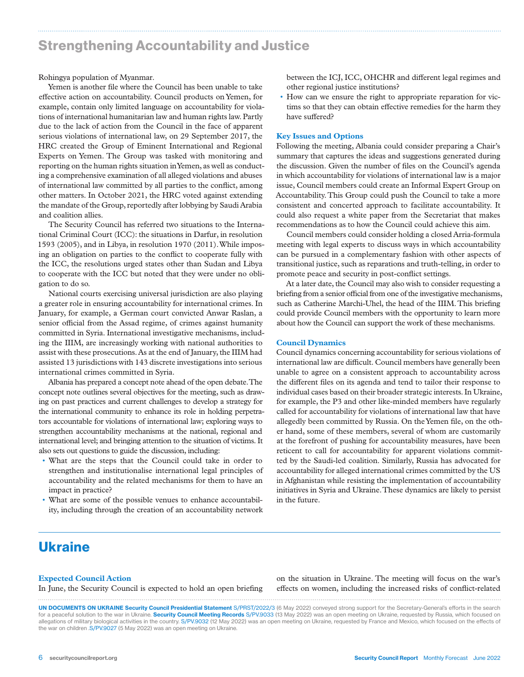### Strengthening Accountability and Justice

Rohingya population of Myanmar.

Yemen is another file where the Council has been unable to take effective action on accountability. Council products on Yemen, for example, contain only limited language on accountability for violations of international humanitarian law and human rights law. Partly due to the lack of action from the Council in the face of apparent serious violations of international law, on 29 September 2017, the HRC created the Group of Eminent International and Regional Experts on Yemen. The Group was tasked with monitoring and reporting on the human rights situation in Yemen, as well as conducting a comprehensive examination of all alleged violations and abuses of international law committed by all parties to the conflict, among other matters. In October 2021, the HRC voted against extending the mandate of the Group, reportedly after lobbying by Saudi Arabia and coalition allies.

The Security Council has referred two situations to the International Criminal Court (ICC): the situations in Darfur, in resolution 1593 (2005), and in Libya, in resolution 1970 (2011). While imposing an obligation on parties to the conflict to cooperate fully with the ICC, the resolutions urged states other than Sudan and Libya to cooperate with the ICC but noted that they were under no obligation to do so.

National courts exercising universal jurisdiction are also playing a greater role in ensuring accountability for international crimes. In January, for example, a German court convicted Anwar Raslan, a senior official from the Assad regime, of crimes against humanity committed in Syria. International investigative mechanisms, including the IIIM, are increasingly working with national authorities to assist with these prosecutions. As at the end of January, the IIIM had assisted 13 jurisdictions with 143 discrete investigations into serious international crimes committed in Syria.

Albania has prepared a concept note ahead of the open debate. The concept note outlines several objectives for the meeting, such as drawing on past practices and current challenges to develop a strategy for the international community to enhance its role in holding perpetrators accountable for violations of international law; exploring ways to strengthen accountability mechanisms at the national, regional and international level; and bringing attention to the situation of victims. It also sets out questions to guide the discussion, including:

- What are the steps that the Council could take in order to strengthen and institutionalise international legal principles of accountability and the related mechanisms for them to have an impact in practice?
- What are some of the possible venues to enhance accountability, including through the creation of an accountability network

between the ICJ, ICC, OHCHR and different legal regimes and other regional justice institutions?

• How can we ensure the right to appropriate reparation for victims so that they can obtain effective remedies for the harm they have suffered?

#### **Key Issues and Options**

Following the meeting, Albania could consider preparing a Chair's summary that captures the ideas and suggestions generated during the discussion. Given the number of files on the Council's agenda in which accountability for violations of international law is a major issue, Council members could create an Informal Expert Group on Accountability. This Group could push the Council to take a more consistent and concerted approach to facilitate accountability. It could also request a white paper from the Secretariat that makes recommendations as to how the Council could achieve this aim.

Council members could consider holding a closed Arria-formula meeting with legal experts to discuss ways in which accountability can be pursued in a complementary fashion with other aspects of transitional justice, such as reparations and truth-telling, in order to promote peace and security in post-conflict settings.

At a later date, the Council may also wish to consider requesting a briefing from a senior official from one of the investigative mechanisms, such as Catherine Marchi-Uhel, the head of the IIIM. This briefing could provide Council members with the opportunity to learn more about how the Council can support the work of these mechanisms.

#### **Council Dynamics**

Council dynamics concerning accountability for serious violations of international law are difficult. Council members have generally been unable to agree on a consistent approach to accountability across the different files on its agenda and tend to tailor their response to individual cases based on their broader strategic interests. In Ukraine, for example, the P3 and other like-minded members have regularly called for accountability for violations of international law that have allegedly been committed by Russia. On the Yemen file, on the other hand, some of these members, several of whom are customarily at the forefront of pushing for accountability measures, have been reticent to call for accountability for apparent violations committed by the Saudi-led coalition. Similarly, Russia has advocated for accountability for alleged international crimes committed by the US in Afghanistan while resisting the implementation of accountability initiatives in Syria and Ukraine. These dynamics are likely to persist in the future.

# Ukraine

#### **Expected Council Action**

In June, the Security Council is expected to hold an open briefing

on the situation in Ukraine. The meeting will focus on the war's effects on women, including the increased risks of conflict-related

UN DOCUMENTS ON UKRAINE Security Council Presidential Statement S/PRST/2022/3 (6 May 2022) conveyed strong support for the Secretary-General's efforts in the search for a peaceful solution to the war in Ukraine. Security Council Meeting Records S/PV.9033 (13 May 2022) was an open meeting on Ukraine, requested by Russia, which focused on allegations of military biological activities in the country. S/PV.9032 (12 May 2022) was an open meeting on Ukraine, requested by France and Mexico, which focused on the effects of the war on children .S/PV.9027 (5 May 2022) was an open meeting on Ukraine.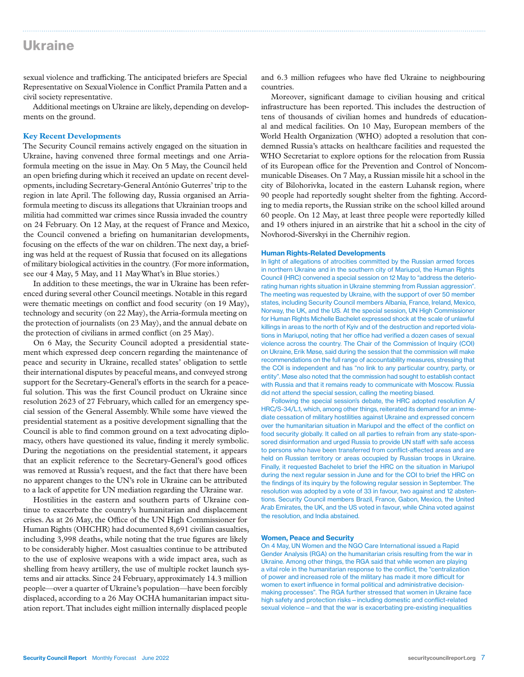## Ukraine

sexual violence and trafficking. The anticipated briefers are Special Representative on Sexual Violence in Conflict Pramila Patten and a civil society representative.

Additional meetings on Ukraine are likely, depending on developments on the ground.

#### **Key Recent Developments**

The Security Council remains actively engaged on the situation in Ukraine, having convened three formal meetings and one Arriaformula meeting on the issue in May. On 5 May, the Council held an open briefing during which it received an update on recent developments, including Secretary-General António Guterres' trip to the region in late April. The following day, Russia organised an Arriaformula meeting to discuss its allegations that Ukrainian troops and militia had committed war crimes since Russia invaded the country on 24 February. On 12 May, at the request of France and Mexico, the Council convened a briefing on humanitarian developments, focusing on the effects of the war on children. The next day, a briefing was held at the request of Russia that focused on its allegations of military biological activities in the country. (For more information, see our 4 May, 5 May, and 11 May What's in Blue stories.)

In addition to these meetings, the war in Ukraine has been referenced during several other Council meetings. Notable in this regard were thematic meetings on conflict and food security (on 19 May), technology and security (on 22 May), the Arria-formula meeting on the protection of journalists (on 23 May), and the annual debate on the protection of civilians in armed conflict (on 25 May).

On 6 May, the Security Council adopted a presidential statement which expressed deep concern regarding the maintenance of peace and security in Ukraine, recalled states' obligation to settle their international disputes by peaceful means, and conveyed strong support for the Secretary-General's efforts in the search for a peaceful solution. This was the first Council product on Ukraine since resolution 2623 of 27 February, which called for an emergency special session of the General Assembly. While some have viewed the presidential statement as a positive development signalling that the Council is able to find common ground on a text advocating diplomacy, others have questioned its value, finding it merely symbolic. During the negotiations on the presidential statement, it appears that an explicit reference to the Secretary-General's good offices was removed at Russia's request, and the fact that there have been no apparent changes to the UN's role in Ukraine can be attributed to a lack of appetite for UN mediation regarding the Ukraine war.

Hostilities in the eastern and southern parts of Ukraine continue to exacerbate the country's humanitarian and displacement crises. As at 26 May, the Office of the UN High Commissioner for Human Rights (OHCHR) had documented 8,691 civilian casualties, including 3,998 deaths, while noting that the true figures are likely to be considerably higher. Most casualties continue to be attributed to the use of explosive weapons with a wide impact area, such as shelling from heavy artillery, the use of multiple rocket launch systems and air attacks. Since 24 February, approximately 14.3 million people—over a quarter of Ukraine's population—have been forcibly displaced, according to a 26 May OCHA humanitarian impact situation report. That includes eight million internally displaced people

and 6.3 million refugees who have fled Ukraine to neighbouring countries.

Moreover, significant damage to civilian housing and critical infrastructure has been reported. This includes the destruction of tens of thousands of civilian homes and hundreds of educational and medical facilities. On 10 May, European members of the World Health Organization (WHO) adopted a resolution that condemned Russia's attacks on healthcare facilities and requested the WHO Secretariat to explore options for the relocation from Russia of its European office for the Prevention and Control of Noncommunicable Diseases. On 7 May, a Russian missile hit a school in the city of Bilohorivka, located in the eastern Luhansk region, where 90 people had reportedly sought shelter from the fighting. According to media reports, the Russian strike on the school killed around 60 people. On 12 May, at least three people were reportedly killed and 19 others injured in an airstrike that hit a school in the city of Novhorod-Siverskyi in the Chernihiv region.

#### Human Rights-Related Developments

In light of allegations of atrocities committed by the Russian armed forces in northern Ukraine and in the southern city of Mariupol, the Human Rights Council (HRC) convened a special session on 12 May to "address the deteriorating human rights situation in Ukraine stemming from Russian aggression". The meeting was requested by Ukraine, with the support of over 50 member states, including Security Council members Albania, France, Ireland, Mexico, Norway, the UK, and the US. At the special session, UN High Commissioner for Human Rights Michelle Bachelet expressed shock at the scale of unlawful killings in areas to the north of Kyiv and of the destruction and reported violations in Mariupol, noting that her office had verified a dozen cases of sexual violence across the country. The Chair of the Commission of Inquiry (COI) on Ukraine, Erik Møse, said during the session that the commission will make recommendations on the full range of accountability measures, stressing that the COI is independent and has "no link to any particular country, party, or entity". Møse also noted that the commission had sought to establish contact with Russia and that it remains ready to communicate with Moscow. Russia did not attend the special session, calling the meeting biased.

Following the special session's debate, the HRC adopted resolution A/ HRC/S-34/L.1, which, among other things, reiterated its demand for an immediate cessation of military hostilities against Ukraine and expressed concern over the humanitarian situation in Mariupol and the effect of the conflict on food security globally. It called on all parties to refrain from any state-sponsored disinformation and urged Russia to provide UN staff with safe access to persons who have been transferred from conflict-affected areas and are held on Russian territory or areas occupied by Russian troops in Ukraine. Finally, it requested Bachelet to brief the HRC on the situation in Mariupol during the next regular session in June and for the COI to brief the HRC on the findings of its inquiry by the following regular session in September. The resolution was adopted by a vote of 33 in favour, two against and 12 abstentions. Security Council members Brazil, France, Gabon, Mexico, the United Arab Emirates, the UK, and the US voted in favour, while China voted against the resolution, and India abstained.

#### Women, Peace and Security

On 4 May, UN Women and the NGO Care International issued a Rapid Gender Analysis (RGA) on the humanitarian crisis resulting from the war in Ukraine. Among other things, the RGA said that while women are playing a vital role in the humanitarian response to the conflict, the "centralization of power and increased role of the military has made it more difficult for women to exert influence in formal political and administrative decisionmaking processes". The RGA further stressed that women in Ukraine face high safety and protection risks—including domestic and conflict-related sexual violence – and that the war is exacerbating pre-existing inequalities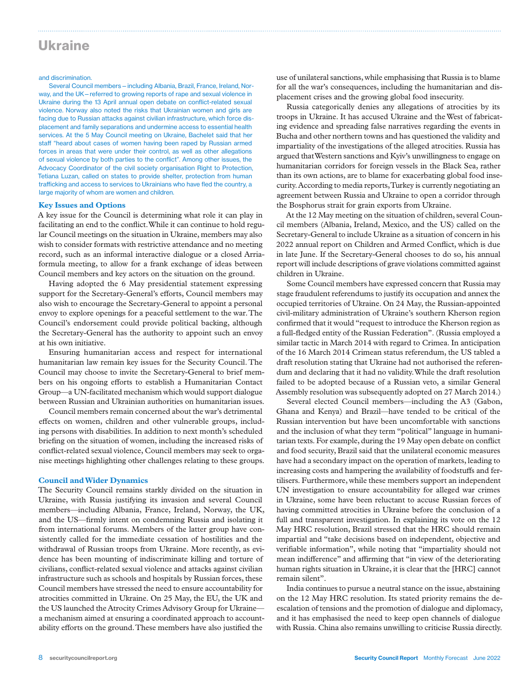### Ukraine

#### and discrimination.

Several Council members—including Albania, Brazil, France, Ireland, Norway, and the UK—referred to growing reports of rape and sexual violence in Ukraine during the 13 April annual open debate on conflict-related sexual violence. Norway also noted the risks that Ukrainian women and girls are facing due to Russian attacks against civilian infrastructure, which force displacement and family separations and undermine access to essential health services. At the 5 May Council meeting on Ukraine, Bachelet said that her staff "heard about cases of women having been raped by Russian armed forces in areas that were under their control, as well as other allegations of sexual violence by both parties to the conflict". Among other issues, the Advocacy Coordinator of the civil society organisation Right to Protection, Tetiana Luzan, called on states to provide shelter, protection from human trafficking and access to services to Ukrainians who have fled the country, a large majority of whom are women and children.

#### **Key Issues and Options**

A key issue for the Council is determining what role it can play in facilitating an end to the conflict. While it can continue to hold regular Council meetings on the situation in Ukraine, members may also wish to consider formats with restrictive attendance and no meeting record, such as an informal interactive dialogue or a closed Arriaformula meeting, to allow for a frank exchange of ideas between Council members and key actors on the situation on the ground.

Having adopted the 6 May presidential statement expressing support for the Secretary-General's efforts, Council members may also wish to encourage the Secretary-General to appoint a personal envoy to explore openings for a peaceful settlement to the war. The Council's endorsement could provide political backing, although the Secretary-General has the authority to appoint such an envoy at his own initiative.

Ensuring humanitarian access and respect for international humanitarian law remain key issues for the Security Council. The Council may choose to invite the Secretary-General to brief members on his ongoing efforts to establish a Humanitarian Contact Group—a UN-facilitated mechanism which would support dialogue between Russian and Ukrainian authorities on humanitarian issues.

Council members remain concerned about the war's detrimental effects on women, children and other vulnerable groups, including persons with disabilities. In addition to next month's scheduled briefing on the situation of women, including the increased risks of conflict-related sexual violence, Council members may seek to organise meetings highlighting other challenges relating to these groups.

#### **Council and Wider Dynamics**

The Security Council remains starkly divided on the situation in Ukraine, with Russia justifying its invasion and several Council members—including Albania, France, Ireland, Norway, the UK, and the US—firmly intent on condemning Russia and isolating it from international forums. Members of the latter group have consistently called for the immediate cessation of hostilities and the withdrawal of Russian troops from Ukraine. More recently, as evidence has been mounting of indiscriminate killing and torture of civilians, conflict-related sexual violence and attacks against civilian infrastructure such as schools and hospitals by Russian forces, these Council members have stressed the need to ensure accountability for atrocities committed in Ukraine. On 25 May, the EU, the UK and the US launched the Atrocity Crimes Advisory Group for Ukraine a mechanism aimed at ensuring a coordinated approach to accountability efforts on the ground. These members have also justified the

use of unilateral sanctions, while emphasising that Russia is to blame for all the war's consequences, including the humanitarian and displacement crises and the growing global food insecurity.

Russia categorically denies any allegations of atrocities by its troops in Ukraine. It has accused Ukraine and the West of fabricating evidence and spreading false narratives regarding the events in Bucha and other northern towns and has questioned the validity and impartiality of the investigations of the alleged atrocities. Russia has argued that Western sanctions and Kyiv's unwillingness to engage on humanitarian corridors for foreign vessels in the Black Sea, rather than its own actions, are to blame for exacerbating global food insecurity. According to media reports, Turkey is currently negotiating an agreement between Russia and Ukraine to open a corridor through the Bosphorus strait for grain exports from Ukraine.

At the 12 May meeting on the situation of children, several Council members (Albania, Ireland, Mexico, and the US) called on the Secretary-General to include Ukraine as a situation of concern in his 2022 annual report on Children and Armed Conflict, which is due in late June. If the Secretary-General chooses to do so, his annual report will include descriptions of grave violations committed against children in Ukraine.

Some Council members have expressed concern that Russia may stage fraudulent referendums to justify its occupation and annex the occupied territories of Ukraine. On 24 May, the Russian-appointed civil-military administration of Ukraine's southern Kherson region confirmed that it would "request to introduce the Kherson region as a full-fledged entity of the Russian Federation". (Russia employed a similar tactic in March 2014 with regard to Crimea. In anticipation of the 16 March 2014 Crimean status referendum, the US tabled a draft resolution stating that Ukraine had not authorised the referendum and declaring that it had no validity. While the draft resolution failed to be adopted because of a Russian veto, a similar General Assembly resolution was subsequently adopted on 27 March 2014.)

Several elected Council members—including the A3 (Gabon, Ghana and Kenya) and Brazil—have tended to be critical of the Russian intervention but have been uncomfortable with sanctions and the inclusion of what they term "political" language in humanitarian texts. For example, during the 19 May open debate on conflict and food security, Brazil said that the unilateral economic measures have had a secondary impact on the operation of markets, leading to increasing costs and hampering the availability of foodstuffs and fertilisers. Furthermore, while these members support an independent UN investigation to ensure accountability for alleged war crimes in Ukraine, some have been reluctant to accuse Russian forces of having committed atrocities in Ukraine before the conclusion of a full and transparent investigation. In explaining its vote on the 12 May HRC resolution, Brazil stressed that the HRC should remain impartial and "take decisions based on independent, objective and verifiable information", while noting that "impartiality should not mean indifference" and affirming that "in view of the deteriorating human rights situation in Ukraine, it is clear that the [HRC] cannot remain silent".

India continues to pursue a neutral stance on the issue, abstaining on the 12 May HRC resolution. Its stated priority remains the deescalation of tensions and the promotion of dialogue and diplomacy, and it has emphasised the need to keep open channels of dialogue with Russia. China also remains unwilling to criticise Russia directly.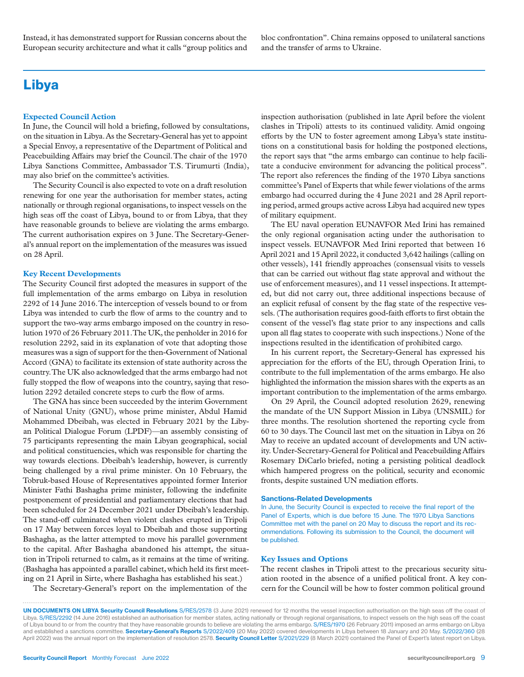Instead, it has demonstrated support for Russian concerns about the European security architecture and what it calls "group politics and bloc confrontation". China remains opposed to unilateral sanctions and the transfer of arms to Ukraine.

# Libya

#### **Expected Council Action**

In June, the Council will hold a briefing, followed by consultations, on the situation in Libya. As the Secretary-General has yet to appoint a Special Envoy, a representative of the Department of Political and Peacebuilding Affairs may brief the Council.The chair of the 1970 Libya Sanctions Committee, Ambassador T.S. Tirumurti (India), may also brief on the committee's activities.

The Security Council is also expected to vote on a draft resolution renewing for one year the authorisation for member states, acting nationally or through regional organisations, to inspect vessels on the high seas off the coast of Libya, bound to or from Libya, that they have reasonable grounds to believe are violating the arms embargo. The current authorisation expires on 3 June. The Secretary-General's annual report on the implementation of the measures was issued on 28 April.

#### **Key Recent Developments**

The Security Council first adopted the measures in support of the full implementation of the arms embargo on Libya in resolution 2292 of 14 June 2016. The interception of vessels bound to or from Libya was intended to curb the flow of arms to the country and to support the two-way arms embargo imposed on the country in resolution 1970 of 26 February 2011. The UK, the penholder in 2016 for resolution 2292, said in its explanation of vote that adopting those measures was a sign of support for the then-Government of National Accord (GNA) to facilitate its extension of state authority across the country. The UK also acknowledged that the arms embargo had not fully stopped the flow of weapons into the country, saying that resolution 2292 detailed concrete steps to curb the flow of arms.

The GNA has since been succeeded by the interim Government of National Unity (GNU), whose prime minister, Abdul Hamid Mohammed Dbeibah, was elected in February 2021 by the Libyan Political Dialogue Forum (LPDF)—an assembly consisting of 75 participants representing the main Libyan geographical, social and political constituencies, which was responsible for charting the way towards elections. Dbeibah's leadership, however, is currently being challenged by a rival prime minister. On 10 February, the Tobruk-based House of Representatives appointed former Interior Minister Fathi Bashagha prime minister, following the indefinite postponement of presidential and parliamentary elections that had been scheduled for 24 December 2021 under Dbeibah's leadership. The stand-off culminated when violent clashes erupted in Tripoli on 17 May between forces loyal to Dbeibah and those supporting Bashagha, as the latter attempted to move his parallel government to the capital. After Bashagha abandoned his attempt, the situation in Tripoli returned to calm, as it remains at the time of writing. (Bashagha has appointed a parallel cabinet, which held its first meeting on 21 April in Sirte, where Bashagha has established his seat.)

The Secretary-General's report on the implementation of the

inspection authorisation (published in late April before the violent clashes in Tripoli) attests to its continued validity. Amid ongoing efforts by the UN to foster agreement among Libya's state institutions on a constitutional basis for holding the postponed elections, the report says that "the arms embargo can continue to help facilitate a conducive environment for advancing the political process". The report also references the finding of the 1970 Libya sanctions committee's Panel of Experts that while fewer violations of the arms embargo had occurred during the 4 June 2021 and 28 April reporting period, armed groups active across Libya had acquired new types of military equipment.

The EU naval operation EUNAVFOR Med Irini has remained the only regional organisation acting under the authorisation to inspect vessels. EUNAVFOR Med Irini reported that between 16 April 2021 and 15 April 2022, it conducted 3,642 hailings (calling on other vessels), 141 friendly approaches (consensual visits to vessels that can be carried out without flag state approval and without the use of enforcement measures), and 11 vessel inspections. It attempted, but did not carry out, three additional inspections because of an explicit refusal of consent by the flag state of the respective vessels. (The authorisation requires good-faith efforts to first obtain the consent of the vessel's flag state prior to any inspections and calls upon all flag states to cooperate with such inspections.) None of the inspections resulted in the identification of prohibited cargo.

In his current report, the Secretary-General has expressed his appreciation for the efforts of the EU, through Operation Irini, to contribute to the full implementation of the arms embargo. He also highlighted the information the mission shares with the experts as an important contribution to the implementation of the arms embargo.

On 29 April, the Council adopted resolution 2629, renewing the mandate of the UN Support Mission in Libya (UNSMIL) for three months. The resolution shortened the reporting cycle from 60 to 30 days. The Council last met on the situation in Libya on 26 May to receive an updated account of developments and UN activity. Under-Secretary-General for Political and Peacebuilding Affairs Rosemary DiCarlo briefed, noting a persisting political deadlock which hampered progress on the political, security and economic fronts, despite sustained UN mediation efforts.

#### Sanctions-Related Developments

In June, the Security Council is expected to receive the final report of the Panel of Experts, which is due before 15 June. The 1970 Libya Sanctions Committee met with the panel on 20 May to discuss the report and its recommendations. Following its submission to the Council, the document will be published.

#### **Key Issues and Options**

The recent clashes in Tripoli attest to the precarious security situation rooted in the absence of a unified political front. A key concern for the Council will be how to foster common political ground

UN DOCUMENTS ON LIBYA Security Council Resolutions S/RES/2578 (3 June 2021) renewed for 12 months the vessel inspection authorisation on the high seas off the coast of Libya. S/RES/2292 (14 June 2016) established an authorisation for member states, acting nationally or through regional organisations, to inspect vessels on the high seas off the coast of Libya bound to or from the country that they have reasonable grounds to believe are violating the arms embargo. S/RES/1970 (26 February 2011) imposed an arms embargo on Libya and established a sanctions committee. Secretary-General's Reports S/2022/409 (20 May 2022) covered developments in Libya between 18 January and 20 May. S/2022/360 (28 April 2022) was the annual report on the implementation of resolution 2578. Security Council Letter S/2021/229 (8 March 2021) contained the Panel of Expert's latest report on Libya.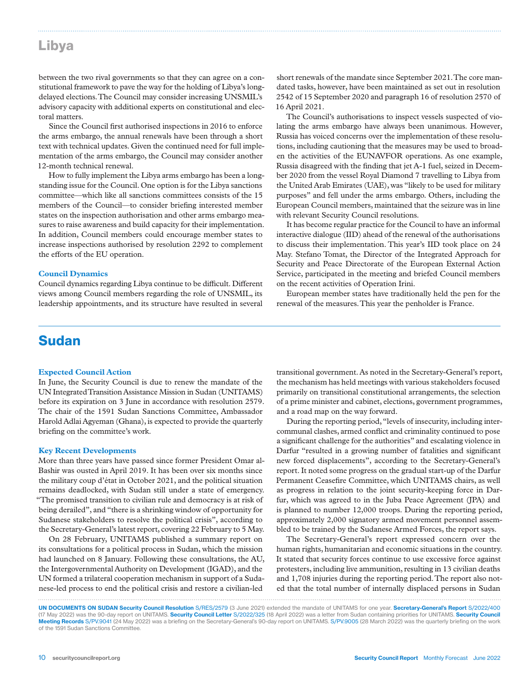# Libya

between the two rival governments so that they can agree on a constitutional framework to pave the way for the holding of Libya's longdelayed elections. The Council may consider increasing UNSMIL's advisory capacity with additional experts on constitutional and electoral matters.

Since the Council first authorised inspections in 2016 to enforce the arms embargo, the annual renewals have been through a short text with technical updates. Given the continued need for full implementation of the arms embargo, the Council may consider another 12-month technical renewal.

How to fully implement the Libya arms embargo has been a longstanding issue for the Council. One option is for the Libya sanctions committee—which like all sanctions committees consists of the 15 members of the Council—to consider briefing interested member states on the inspection authorisation and other arms embargo measures to raise awareness and build capacity for their implementation. In addition, Council members could encourage member states to increase inspections authorised by resolution 2292 to complement the efforts of the EU operation.

#### **Council Dynamics**

Council dynamics regarding Libya continue to be difficult. Different views among Council members regarding the role of UNSMIL, its leadership appointments, and its structure have resulted in several

short renewals of the mandate since September 2021. The core mandated tasks, however, have been maintained as set out in resolution 2542 of 15 September 2020 and paragraph 16 of resolution 2570 of 16 April 2021.

The Council's authorisations to inspect vessels suspected of violating the arms embargo have always been unanimous. However, Russia has voiced concerns over the implementation of these resolutions, including cautioning that the measures may be used to broaden the activities of the EUNAVFOR operations. As one example, Russia disagreed with the finding that jet A-1 fuel, seized in December 2020 from the vessel Royal Diamond 7 travelling to Libya from the United Arab Emirates (UAE), was "likely to be used for military purposes" and fell under the arms embargo. Others, including the European Council members, maintained that the seizure was in line with relevant Security Council resolutions.

It has become regular practice for the Council to have an informal interactive dialogue (IID) ahead of the renewal of the authorisations to discuss their implementation. This year's IID took place on 24 May. Stefano Tomat, the Director of the Integrated Approach for Security and Peace Directorate of the European External Action Service, participated in the meeting and briefed Council members on the recent activities of Operation Irini.

European member states have traditionally held the pen for the renewal of the measures. This year the penholder is France.

### Sudan

#### **Expected Council Action**

In June, the Security Council is due to renew the mandate of the UN Integrated Transition Assistance Mission in Sudan (UNITAMS) before its expiration on 3 June in accordance with resolution 2579. The chair of the 1591 Sudan Sanctions Committee, Ambassador Harold Adlai Agyeman (Ghana), is expected to provide the quarterly briefing on the committee's work.

#### **Key Recent Developments**

More than three years have passed since former President Omar al-Bashir was ousted in April 2019. It has been over six months since the military coup d'état in October 2021, and the political situation remains deadlocked, with Sudan still under a state of emergency. "The promised transition to civilian rule and democracy is at risk of being derailed", and "there is a shrinking window of opportunity for Sudanese stakeholders to resolve the political crisis", according to the Secretary-General's latest report, covering 22 February to 5 May.

On 28 February, UNITAMS published a summary report on its consultations for a political process in Sudan, which the mission had launched on 8 January. Following these consultations, the AU, the Intergovernmental Authority on Development (IGAD), and the UN formed a trilateral cooperation mechanism in support of a Sudanese-led process to end the political crisis and restore a civilian-led

transitional government. As noted in the Secretary-General's report, the mechanism has held meetings with various stakeholders focused primarily on transitional constitutional arrangements, the selection of a prime minister and cabinet, elections, government programmes, and a road map on the way forward.

During the reporting period, "levels of insecurity, including intercommunal clashes, armed conflict and criminality continued to pose a significant challenge for the authorities" and escalating violence in Darfur "resulted in a growing number of fatalities and significant new forced displacements", according to the Secretary-General's report. It noted some progress on the gradual start-up of the Darfur Permanent Ceasefire Committee, which UNITAMS chairs, as well as progress in relation to the joint security-keeping force in Darfur, which was agreed to in the Juba Peace Agreement (JPA) and is planned to number 12,000 troops. During the reporting period, approximately 2,000 signatory armed movement personnel assembled to be trained by the Sudanese Armed Forces, the report says.

The Secretary-General's report expressed concern over the human rights, humanitarian and economic situations in the country. It stated that security forces continue to use excessive force against protesters, including live ammunition, resulting in 13 civilian deaths and 1,708 injuries during the reporting period. The report also noted that the total number of internally displaced persons in Sudan

UN DOCUMENTS ON SUDAN Security Council Resolution S/RES/2579 (3 June 2021) extended the mandate of UNITAMS for one year. Secretary-General's Report S/2022/400 (17 May 2022) was the 90-day report on UNITAMS. Security Council Letter S/2022/325 (18 April 2022) was a letter from Sudan containing priorities for UNITAMS. Security Council Meeting Records S/PV.9041 (24 May 2022) was a briefing on the Secretary-General's 90-day report on UNITAMS. S/PV.9005 (28 March 2022) was the quarterly briefing on the work of the 1591 Sudan Sanctions Committee.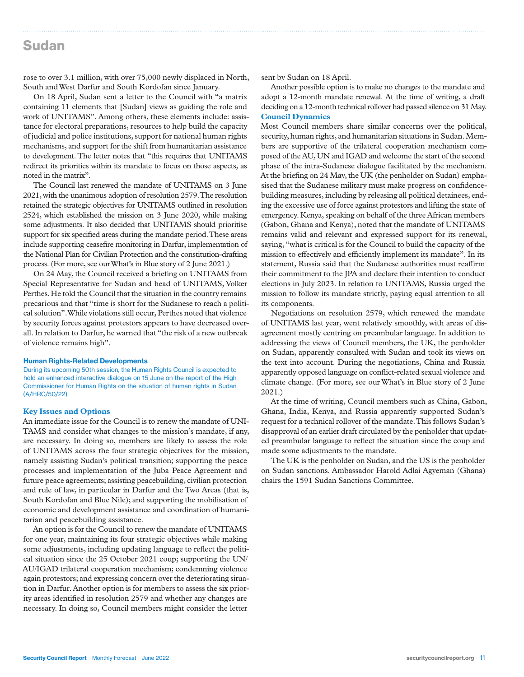### Sudan

rose to over 3.1 million, with over 75,000 newly displaced in North, South and West Darfur and South Kordofan since January.

On 18 April, Sudan sent a letter to the Council with "a matrix containing 11 elements that [Sudan] views as guiding the role and work of UNITAMS". Among others, these elements include: assistance for electoral preparations, resources to help build the capacity of judicial and police institutions, support for national human rights mechanisms, and support for the shift from humanitarian assistance to development. The letter notes that "this requires that UNITAMS redirect its priorities within its mandate to focus on those aspects, as noted in the matrix".

The Council last renewed the mandate of UNITAMS on 3 June 2021, with the unanimous adoption of resolution 2579. The resolution retained the strategic objectives for UNITAMS outlined in resolution 2524, which established the mission on 3 June 2020, while making some adjustments. It also decided that UNITAMS should prioritise support for six specified areas during the mandate period. These areas include supporting ceasefire monitoring in Darfur, implementation of the National Plan for Civilian Protection and the constitution-drafting process. (For more, see our What's in Blue story of 2 June 2021.)

On 24 May, the Council received a briefing on UNITAMS from Special Representative for Sudan and head of UNITAMS, Volker Perthes. He told the Council that the situation in the country remains precarious and that "time is short for the Sudanese to reach a political solution". While violations still occur, Perthes noted that violence by security forces against protestors appears to have decreased overall. In relation to Darfur, he warned that "the risk of a new outbreak of violence remains high".

#### Human Rights-Related Developments

During its upcoming 50th session, the Human Rights Council is expected to hold an enhanced interactive dialogue on 15 June on the report of the High Commissioner for Human Rights on the situation of human rights in Sudan (A/HRC/50/22).

#### **Key Issues and Options**

An immediate issue for the Council is to renew the mandate of UNI-TAMS and consider what changes to the mission's mandate, if any, are necessary. In doing so, members are likely to assess the role of UNITAMS across the four strategic objectives for the mission, namely assisting Sudan's political transition; supporting the peace processes and implementation of the Juba Peace Agreement and future peace agreements; assisting peacebuilding, civilian protection and rule of law, in particular in Darfur and the Two Areas (that is, South Kordofan and Blue Nile); and supporting the mobilisation of economic and development assistance and coordination of humanitarian and peacebuilding assistance.

An option is for the Council to renew the mandate of UNITAMS for one year, maintaining its four strategic objectives while making some adjustments, including updating language to reflect the political situation since the 25 October 2021 coup; supporting the UN/ AU/IGAD trilateral cooperation mechanism; condemning violence again protestors; and expressing concern over the deteriorating situation in Darfur. Another option is for members to assess the six priority areas identified in resolution 2579 and whether any changes are necessary. In doing so, Council members might consider the letter

sent by Sudan on 18 April.

Another possible option is to make no changes to the mandate and adopt a 12-month mandate renewal. At the time of writing, a draft deciding on a 12-month technical rollover had passed silence on 31 May. **Council Dynamics** 

Most Council members share similar concerns over the political, security, human rights, and humanitarian situations in Sudan. Members are supportive of the trilateral cooperation mechanism composed of the AU, UN and IGAD and welcome the start of the second phase of the intra-Sudanese dialogue facilitated by the mechanism. At the briefing on 24 May, the UK (the penholder on Sudan) emphasised that the Sudanese military must make progress on confidencebuilding measures, including by releasing all political detainees, ending the excessive use of force against protestors and lifting the state of emergency. Kenya, speaking on behalf of the three African members (Gabon, Ghana and Kenya), noted that the mandate of UNITAMS remains valid and relevant and expressed support for its renewal, saying, "what is critical is for the Council to build the capacity of the mission to effectively and efficiently implement its mandate". In its statement, Russia said that the Sudanese authorities must reaffirm their commitment to the JPA and declare their intention to conduct elections in July 2023. In relation to UNITAMS, Russia urged the mission to follow its mandate strictly, paying equal attention to all its components.

Negotiations on resolution 2579, which renewed the mandate of UNITAMS last year, went relatively smoothly, with areas of disagreement mostly centring on preambular language. In addition to addressing the views of Council members, the UK, the penholder on Sudan, apparently consulted with Sudan and took its views on the text into account. During the negotiations, China and Russia apparently opposed language on conflict-related sexual violence and climate change. (For more, see our What's in Blue story of 2 June 2021.)

At the time of writing, Council members such as China, Gabon, Ghana, India, Kenya, and Russia apparently supported Sudan's request for a technical rollover of the mandate. This follows Sudan's disapproval of an earlier draft circulated by the penholder that updated preambular language to reflect the situation since the coup and made some adjustments to the mandate.

The UK is the penholder on Sudan, and the US is the penholder on Sudan sanctions. Ambassador Harold Adlai Agyeman (Ghana) chairs the 1591 Sudan Sanctions Committee.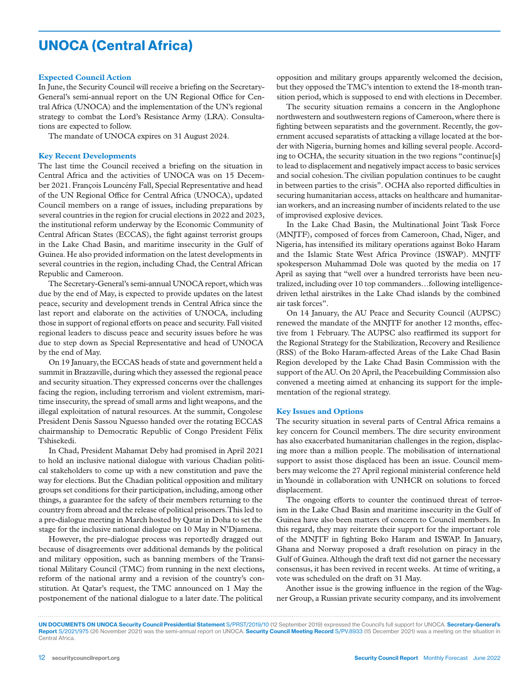# UNOCA (Central Africa)

#### **Expected Council Action**

In June, the Security Council will receive a briefing on the Secretary-General's semi-annual report on the UN Regional Office for Central Africa (UNOCA) and the implementation of the UN's regional strategy to combat the Lord's Resistance Army (LRA). Consultations are expected to follow.

The mandate of UNOCA expires on 31 August 2024.

#### **Key Recent Developments**

The last time the Council received a briefing on the situation in Central Africa and the activities of UNOCA was on 15 December 2021. François Louncény Fall, Special Representative and head of the UN Regional Office for Central Africa (UNOCA), updated Council members on a range of issues, including preparations by several countries in the region for crucial elections in 2022 and 2023, the institutional reform underway by the Economic Community of Central African States (ECCAS), the fight against terrorist groups in the Lake Chad Basin, and maritime insecurity in the Gulf of Guinea. He also provided information on the latest developments in several countries in the region, including Chad, the Central African Republic and Cameroon.

The Secretary-General's semi-annual UNOCA report, which was due by the end of May, is expected to provide updates on the latest peace, security and development trends in Central Africa since the last report and elaborate on the activities of UNOCA, including those in support of regional efforts on peace and security. Fall visited regional leaders to discuss peace and security issues before he was due to step down as Special Representative and head of UNOCA by the end of May.

On 19 January, the ECCAS heads of state and government held a summit in Brazzaville, during which they assessed the regional peace and security situation. They expressed concerns over the challenges facing the region, including terrorism and violent extremism, maritime insecurity, the spread of small arms and light weapons, and the illegal exploitation of natural resources. At the summit, Congolese President Denis Sassou Nguesso handed over the rotating ECCAS chairmanship to Democratic Republic of Congo President Félix Tshisekedi.

In Chad, President Mahamat Deby had promised in April 2021 to hold an inclusive national dialogue with various Chadian political stakeholders to come up with a new constitution and pave the way for elections. But the Chadian political opposition and military groups set conditions for their participation, including, among other things, a guarantee for the safety of their members returning to the country from abroad and the release of political prisoners. This led to a pre-dialogue meeting in March hosted by Qatar in Doha to set the stage for the inclusive national dialogue on 10 May in N'Djamena.

However, the pre-dialogue process was reportedly dragged out because of disagreements over additional demands by the political and military opposition, such as banning members of the Transitional Military Council (TMC) from running in the next elections, reform of the national army and a revision of the country's constitution. At Qatar's request, the TMC announced on 1 May the postponement of the national dialogue to a later date. The political

opposition and military groups apparently welcomed the decision, but they opposed the TMC's intention to extend the 18-month transition period, which is supposed to end with elections in December.

The security situation remains a concern in the Anglophone northwestern and southwestern regions of Cameroon, where there is fighting between separatists and the government. Recently, the government accused separatists of attacking a village located at the border with Nigeria, burning homes and killing several people. According to OCHA, the security situation in the two regions "continue[s] to lead to displacement and negatively impact access to basic services and social cohesion. The civilian population continues to be caught in between parties to the crisis". OCHA also reported difficulties in securing humanitarian access, attacks on healthcare and humanitarian workers, and an increasing number of incidents related to the use of improvised explosive devices.

In the Lake Chad Basin, the Multinational Joint Task Force (MNJTF), composed of forces from Cameroon, Chad, Niger, and Nigeria, has intensified its military operations against Boko Haram and the Islamic State West Africa Province (ISWAP). MNJTF spokesperson Muhammad Dole was quoted by the media on 17 April as saying that "well over a hundred terrorists have been neutralized, including over 10 top commanders…following intelligencedriven lethal airstrikes in the Lake Chad islands by the combined air task forces".

On 14 January, the AU Peace and Security Council (AUPSC) renewed the mandate of the MNJTF for another 12 months, effective from 1 February. The AUPSC also reaffirmed its support for the Regional Strategy for the Stabilization, Recovery and Resilience (RSS) of the Boko Haram-affected Areas of the Lake Chad Basin Region developed by the Lake Chad Basin Commission with the support of the AU. On 20 April, the Peacebuilding Commission also convened a meeting aimed at enhancing its support for the implementation of the regional strategy.

#### **Key Issues and Options**

The security situation in several parts of Central Africa remains a key concern for Council members. The dire security environment has also exacerbated humanitarian challenges in the region, displacing more than a million people. The mobilisation of international support to assist those displaced has been an issue. Council members may welcome the 27 April regional ministerial conference held in Yaoundé in collaboration with UNHCR on solutions to forced displacement.

The ongoing efforts to counter the continued threat of terrorism in the Lake Chad Basin and maritime insecurity in the Gulf of Guinea have also been matters of concern to Council members. In this regard, they may reiterate their support for the important role of the MNJTF in fighting Boko Haram and ISWAP. In January, Ghana and Norway proposed a draft resolution on piracy in the Gulf of Guinea. Although the draft text did not garner the necessary consensus, it has been revived in recent weeks. At time of writing, a vote was scheduled on the draft on 31 May.

Another issue is the growing influence in the region of the Wagner Group, a Russian private security company, and its involvement

UN DOCUMENTS ON UNOCA Security Council Presidential Statement S/PRST/2019/10 (12 September 2019) expressed the Council's full support for UNOCA. Secretary-General's Report S/2021/975 (26 November 2021) was the semi-annual report on UNOCA. Security Council Meeting Record S/PV.8933 (15 December 2021) was a meeting on the situation in Central Africa.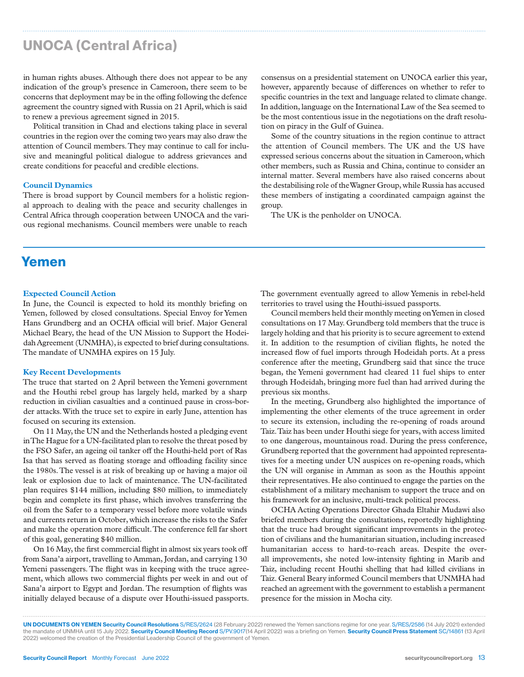# UNOCA (Central Africa)

in human rights abuses. Although there does not appear to be any indication of the group's presence in Cameroon, there seem to be concerns that deployment may be in the offing following the defence agreement the country signed with Russia on 21 April, which is said to renew a previous agreement signed in 2015.

Political transition in Chad and elections taking place in several countries in the region over the coming two years may also draw the attention of Council members. They may continue to call for inclusive and meaningful political dialogue to address grievances and create conditions for peaceful and credible elections.

#### **Council Dynamics**

There is broad support by Council members for a holistic regional approach to dealing with the peace and security challenges in Central Africa through cooperation between UNOCA and the various regional mechanisms. Council members were unable to reach

consensus on a presidential statement on UNOCA earlier this year, however, apparently because of differences on whether to refer to specific countries in the text and language related to climate change. In addition, language on the International Law of the Sea seemed to be the most contentious issue in the negotiations on the draft resolution on piracy in the Gulf of Guinea.

Some of the country situations in the region continue to attract the attention of Council members. The UK and the US have expressed serious concerns about the situation in Cameroon, which other members, such as Russia and China, continue to consider an internal matter. Several members have also raised concerns about the destabilising role of the Wagner Group, while Russia has accused these members of instigating a coordinated campaign against the group.

The UK is the penholder on UNOCA.

### Yemen

#### **Expected Council Action**

In June, the Council is expected to hold its monthly briefing on Yemen, followed by closed consultations. Special Envoy for Yemen Hans Grundberg and an OCHA official will brief. Major General Michael Beary, the head of the UN Mission to Support the Hodeidah Agreement (UNMHA), is expected to brief during consultations. The mandate of UNMHA expires on 15 July.

#### **Key Recent Developments**

The truce that started on 2 April between the Yemeni government and the Houthi rebel group has largely held, marked by a sharp reduction in civilian casualties and a continued pause in cross-border attacks. With the truce set to expire in early June, attention has focused on securing its extension.

On 11 May, the UN and the Netherlands hosted a pledging event in The Hague for a UN-facilitated plan to resolve the threat posed by the FSO Safer, an ageing oil tanker off the Houthi-held port of Ras Isa that has served as floating storage and offloading facility since the 1980s. The vessel is at risk of breaking up or having a major oil leak or explosion due to lack of maintenance. The UN-facilitated plan requires \$144 million, including \$80 million, to immediately begin and complete its first phase, which involves transferring the oil from the Safer to a temporary vessel before more volatile winds and currents return in October, which increase the risks to the Safer and make the operation more difficult. The conference fell far short of this goal, generating \$40 million.

On 16 May, the first commercial flight in almost six years took off from Sana'a airport, travelling to Amman, Jordan, and carrying 130 Yemeni passengers. The flight was in keeping with the truce agreement, which allows two commercial flights per week in and out of Sana'a airport to Egypt and Jordan. The resumption of flights was initially delayed because of a dispute over Houthi-issued passports. The government eventually agreed to allow Yemenis in rebel-held territories to travel using the Houthi-issued passports.

Council members held their monthly meeting on Yemen in closed consultations on 17 May. Grundberg told members that the truce is largely holding and that his priority is to secure agreement to extend it. In addition to the resumption of civilian flights, he noted the increased flow of fuel imports through Hodeidah ports. At a press conference after the meeting, Grundberg said that since the truce began, the Yemeni government had cleared 11 fuel ships to enter through Hodeidah, bringing more fuel than had arrived during the previous six months.

In the meeting, Grundberg also highlighted the importance of implementing the other elements of the truce agreement in order to secure its extension, including the re-opening of roads around Taiz. Taiz has been under Houthi siege for years, with access limited to one dangerous, mountainous road. During the press conference, Grundberg reported that the government had appointed representatives for a meeting under UN auspices on re-opening roads, which the UN will organise in Amman as soon as the Houthis appoint their representatives. He also continued to engage the parties on the establishment of a military mechanism to support the truce and on his framework for an inclusive, multi-track political process.

OCHA Acting Operations Director Ghada Eltahir Mudawi also briefed members during the consultations, reportedly highlighting that the truce had brought significant improvements in the protection of civilians and the humanitarian situation, including increased humanitarian access to hard-to-reach areas. Despite the overall improvements, she noted low-intensity fighting in Marib and Taiz, including recent Houthi shelling that had killed civilians in Taiz. General Beary informed Council members that UNMHA had reached an agreement with the government to establish a permanent presence for the mission in Mocha city.

UN DOCUMENTS ON YEMEN Security Council Resolutions S/RES/2624 (28 February 2022) renewed the Yemen sanctions regime for one year. S/RES/2586 (14 July 2021) extended the mandate of UNMHA until 15 July 2022. Security Council Meeting Record S/PV.9017(14 April 2022) was a briefing on Yemen. Security Council Press Statement SC/14861 (13 April 2022) welcomed the creation of the Presidential Leadership Council of the government of Yemen.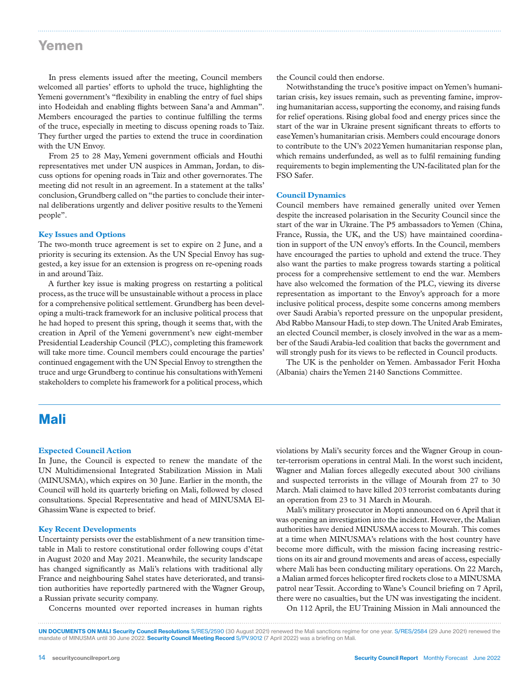### Yemen

In press elements issued after the meeting, Council members welcomed all parties' efforts to uphold the truce, highlighting the Yemeni government's "flexibility in enabling the entry of fuel ships into Hodeidah and enabling flights between Sana'a and Amman". Members encouraged the parties to continue fulfilling the terms of the truce, especially in meeting to discuss opening roads to Taiz. They further urged the parties to extend the truce in coordination with the UN Envoy.

From 25 to 28 May, Yemeni government officials and Houthi representatives met under UN auspices in Amman, Jordan, to discuss options for opening roads in Taiz and other governorates. The meeting did not result in an agreement. In a statement at the talks' conclusion, Grundberg called on "the parties to conclude their internal deliberations urgently and deliver positive results to the Yemeni people".

#### **Key Issues and Options**

The two-month truce agreement is set to expire on 2 June, and a priority is securing its extension. As the UN Special Envoy has suggested, a key issue for an extension is progress on re-opening roads in and around Taiz.

A further key issue is making progress on restarting a political process, as the truce will be unsustainable without a process in place for a comprehensive political settlement. Grundberg has been developing a multi-track framework for an inclusive political process that he had hoped to present this spring, though it seems that, with the creation in April of the Yemeni government's new eight-member Presidential Leadership Council (PLC), completing this framework will take more time. Council members could encourage the parties' continued engagement with the UN Special Envoy to strengthen the truce and urge Grundberg to continue his consultations with Yemeni stakeholders to complete his framework for a political process, which

the Council could then endorse.

Notwithstanding the truce's positive impact on Yemen's humanitarian crisis, key issues remain, such as preventing famine, improving humanitarian access, supporting the economy, and raising funds for relief operations. Rising global food and energy prices since the start of the war in Ukraine present significant threats to efforts to ease Yemen's humanitarian crisis. Members could encourage donors to contribute to the UN's 2022 Yemen humanitarian response plan, which remains underfunded, as well as to fulfil remaining funding requirements to begin implementing the UN-facilitated plan for the FSO Safer.

#### **Council Dynamics**

Council members have remained generally united over Yemen despite the increased polarisation in the Security Council since the start of the war in Ukraine. The P5 ambassadors to Yemen (China, France, Russia, the UK, and the US) have maintained coordination in support of the UN envoy's efforts. In the Council, members have encouraged the parties to uphold and extend the truce. They also want the parties to make progress towards starting a political process for a comprehensive settlement to end the war. Members have also welcomed the formation of the PLC, viewing its diverse representation as important to the Envoy's approach for a more inclusive political process, despite some concerns among members over Saudi Arabia's reported pressure on the unpopular president, Abd Rabbo Mansour Hadi, to step down. The United Arab Emirates, an elected Council member, is closely involved in the war as a member of the Saudi Arabia-led coalition that backs the government and will strongly push for its views to be reflected in Council products.

The UK is the penholder on Yemen. Ambassador Ferit Hoxha (Albania) chairs the Yemen 2140 Sanctions Committee.

### Mali

#### **Expected Council Action**

In June, the Council is expected to renew the mandate of the UN Multidimensional Integrated Stabilization Mission in Mali (MINUSMA), which expires on 30 June. Earlier in the month, the Council will hold its quarterly briefing on Mali, followed by closed consultations. Special Representative and head of MINUSMA El-Ghassim Wane is expected to brief.

#### **Key Recent Developments**

Uncertainty persists over the establishment of a new transition timetable in Mali to restore constitutional order following coups d'état in August 2020 and May 2021. Meanwhile, the security landscape has changed significantly as Mali's relations with traditional ally France and neighbouring Sahel states have deteriorated, and transition authorities have reportedly partnered with the Wagner Group, a Russian private security company.

Concerns mounted over reported increases in human rights

violations by Mali's security forces and the Wagner Group in counter-terrorism operations in central Mali. In the worst such incident, Wagner and Malian forces allegedly executed about 300 civilians and suspected terrorists in the village of Mourah from 27 to 30 March. Mali claimed to have killed 203 terrorist combatants during an operation from 23 to 31 March in Mourah.

Mali's military prosecutor in Mopti announced on 6 April that it was opening an investigation into the incident. However, the Malian authorities have denied MINUSMA access to Mourah. This comes at a time when MINUSMA's relations with the host country have become more difficult, with the mission facing increasing restrictions on its air and ground movements and areas of access, especially where Mali has been conducting military operations. On 22 March, a Malian armed forces helicopter fired rockets close to a MINUSMA patrol near Tessit. According to Wane's Council briefing on 7 April, there were no casualties, but the UN was investigating the incident.

On 112 April, the EU Training Mission in Mali announced the

UN DOCUMENTS ON MALI Security Council Resolutions S/RES/2590 (30 August 2021) renewed the Mali sanctions regime for one year. S/RES/2584 (29 June 2021) renewed the mandate of MINUSMA until 30 June 2022. Security Council Meeting Record S/PV.9012 (7 April 2022) was a briefing on Mali.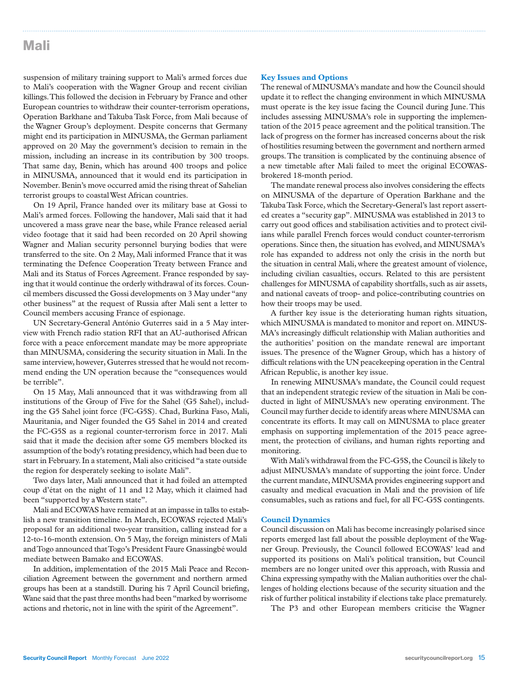### Mali

suspension of military training support to Mali's armed forces due to Mali's cooperation with the Wagner Group and recent civilian killings. This followed the decision in February by France and other European countries to withdraw their counter-terrorism operations, Operation Barkhane and Takuba Task Force, from Mali because of the Wagner Group's deployment. Despite concerns that Germany might end its participation in MINUSMA, the German parliament approved on 20 May the government's decision to remain in the mission, including an increase in its contribution by 300 troops. That same day, Benin, which has around 400 troops and police in MINUSMA, announced that it would end its participation in November. Benin's move occurred amid the rising threat of Sahelian terrorist groups to coastal West African countries.

On 19 April, France handed over its military base at Gossi to Mali's armed forces. Following the handover, Mali said that it had uncovered a mass grave near the base, while France released aerial video footage that it said had been recorded on 20 April showing Wagner and Malian security personnel burying bodies that were transferred to the site. On 2 May, Mali informed France that it was terminating the Defence Cooperation Treaty between France and Mali and its Status of Forces Agreement. France responded by saying that it would continue the orderly withdrawal of its forces. Council members discussed the Gossi developments on 3 May under "any other business" at the request of Russia after Mali sent a letter to Council members accusing France of espionage.

UN Secretary-General António Guterres said in a 5 May interview with French radio station RFI that an AU-authorised African force with a peace enforcement mandate may be more appropriate than MINUSMA, considering the security situation in Mali. In the same interview, however, Guterres stressed that he would not recommend ending the UN operation because the "consequences would be terrible".

On 15 May, Mali announced that it was withdrawing from all institutions of the Group of Five for the Sahel (G5 Sahel), including the G5 Sahel joint force (FC-G5S). Chad, Burkina Faso, Mali, Mauritania, and Niger founded the G5 Sahel in 2014 and created the FC-G5S as a regional counter-terrorism force in 2017. Mali said that it made the decision after some G5 members blocked its assumption of the body's rotating presidency, which had been due to start in February. In a statement, Mali also criticised "a state outside the region for desperately seeking to isolate Mali".

Two days later, Mali announced that it had foiled an attempted coup d'état on the night of 11 and 12 May, which it claimed had been "supported by a Western state".

Mali and ECOWAS have remained at an impasse in talks to establish a new transition timeline. In March, ECOWAS rejected Mali's proposal for an additional two-year transition, calling instead for a 12-to-16-month extension. On 5 May, the foreign ministers of Mali and Togo announced that Togo's President Faure Gnassingbé would mediate between Bamako and ECOWAS.

In addition, implementation of the 2015 Mali Peace and Reconciliation Agreement between the government and northern armed groups has been at a standstill. During his 7 April Council briefing, Wane said that the past three months had been "marked by worrisome actions and rhetoric, not in line with the spirit of the Agreement".

#### **Key Issues and Options**

The renewal of MINUSMA's mandate and how the Council should update it to reflect the changing environment in which MINUSMA must operate is the key issue facing the Council during June. This includes assessing MINUSMA's role in supporting the implementation of the 2015 peace agreement and the political transition. The lack of progress on the former has increased concerns about the risk of hostilities resuming between the government and northern armed groups. The transition is complicated by the continuing absence of a new timetable after Mali failed to meet the original ECOWASbrokered 18-month period.

The mandate renewal process also involves considering the effects on MINUSMA of the departure of Operation Barkhane and the Takuba Task Force, which the Secretary-General's last report asserted creates a "security gap". MINUSMA was established in 2013 to carry out good offices and stabilisation activities and to protect civilians while parallel French forces would conduct counter-terrorism operations. Since then, the situation has evolved, and MINUSMA's role has expanded to address not only the crisis in the north but the situation in central Mali, where the greatest amount of violence, including civilian casualties, occurs. Related to this are persistent challenges for MINUSMA of capability shortfalls, such as air assets, and national caveats of troop- and police-contributing countries on how their troops may be used.

A further key issue is the deteriorating human rights situation, which MINUSMA is mandated to monitor and report on. MINUS-MA's increasingly difficult relationship with Malian authorities and the authorities' position on the mandate renewal are important issues. The presence of the Wagner Group, which has a history of difficult relations with the UN peacekeeping operation in the Central African Republic, is another key issue.

In renewing MINUSMA's mandate, the Council could request that an independent strategic review of the situation in Mali be conducted in light of MINUSMA's new operating environment. The Council may further decide to identify areas where MINUSMA can concentrate its efforts. It may call on MINUSMA to place greater emphasis on supporting implementation of the 2015 peace agreement, the protection of civilians, and human rights reporting and monitoring.

With Mali's withdrawal from the FC-G5S, the Council is likely to adjust MINUSMA's mandate of supporting the joint force. Under the current mandate, MINUSMA provides engineering support and casualty and medical evacuation in Mali and the provision of life consumables, such as rations and fuel, for all FC-G5S contingents.

#### **Council Dynamics**

Council discussion on Mali has become increasingly polarised since reports emerged last fall about the possible deployment of the Wagner Group. Previously, the Council followed ECOWAS' lead and supported its positions on Mali's political transition, but Council members are no longer united over this approach, with Russia and China expressing sympathy with the Malian authorities over the challenges of holding elections because of the security situation and the risk of further political instability if elections take place prematurely.

The P3 and other European members criticise the Wagner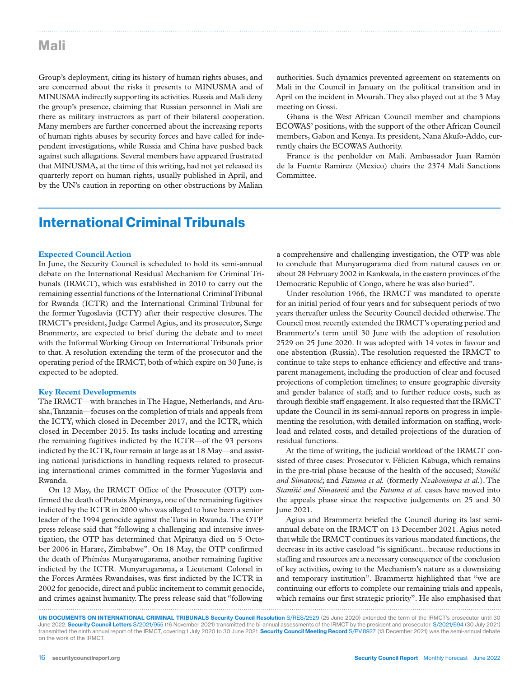### Mali

Group's deployment, citing its history of human rights abuses, and are concerned about the risks it presents to MINUSMA and of MINUSMA indirectly supporting its activities. Russia and Mali deny the group's presence, claiming that Russian personnel in Mali are there as military instructors as part of their bilateral cooperation. Many members are further concerned about the increasing reports of human rights abuses by security forces and have called for independent investigations, while Russia and China have pushed back against such allegations. Several members have appeared frustrated that MINUSMA, at the time of this writing, had not yet released its quarterly report on human rights, usually published in April, and by the UN's caution in reporting on other obstructions by Malian

authorities. Such dynamics prevented agreement on statements on Mali in the Council in January on the political transition and in April on the incident in Mourah. They also played out at the 3 May meeting on Gossi.

Ghana is the West African Council member and champions ECOWAS' positions, with the support of the other African Council members, Gabon and Kenya. Its president, Nana Akufo-Addo, currently chairs the ECOWAS Authority.

France is the penholder on Mali. Ambassador Juan Ramón de la Fuente Ramírez (Mexico) chairs the 2374 Mali Sanctions Committee.

# International Criminal Tribunals

#### **Expected Council Action**

In June, the Security Council is scheduled to hold its semi-annual debate on the International Residual Mechanism for Criminal Tribunals (IRMCT), which was established in 2010 to carry out the remaining essential functions of the International Criminal Tribunal for Rwanda (ICTR) and the International Criminal Tribunal for the former Yugoslavia (ICTY) after their respective closures. The IRMCT's president, Judge Carmel Agius, and its prosecutor, Serge Brammertz, are expected to brief during the debate and to meet with the Informal Working Group on International Tribunals prior to that. A resolution extending the term of the prosecutor and the operating period of the IRMCT, both of which expire on 30 June, is expected to be adopted.

#### **Key Recent Developments**

The IRMCT—with branches in The Hague, Netherlands, and Arusha, Tanzania—focuses on the completion of trials and appeals from the ICTY, which closed in December 2017, and the ICTR, which closed in December 2015. Its tasks include locating and arresting the remaining fugitives indicted by the ICTR—of the 93 persons indicted by the ICTR, four remain at large as at 18 May—and assisting national jurisdictions in handling requests related to prosecuting international crimes committed in the former Yugoslavia and Rwanda.

On 12 May, the IRMCT Office of the Prosecutor (OTP) confirmed the death of Protais Mpiranya, one of the remaining fugitives indicted by the ICTR in 2000 who was alleged to have been a senior leader of the 1994 genocide against the Tutsi in Rwanda. The OTP press release said that "following a challenging and intensive investigation, the OTP has determined that Mpiranya died on 5 October 2006 in Harare, Zimbabwe". On 18 May, the OTP confirmed the death of Phénéas Munyarugarama, another remaining fugitive indicted by the ICTR. Munyarugarama, a Lieutenant Colonel in the Forces Armées Rwandaises, was first indicted by the ICTR in 2002 for genocide, direct and public incitement to commit genocide, and crimes against humanity. The press release said that "following

a comprehensive and challenging investigation, the OTP was able to conclude that Munyarugarama died from natural causes on or about 28 February 2002 in Kankwala, in the eastern provinces of the Democratic Republic of Congo, where he was also buried".

Under resolution 1966, the IRMCT was mandated to operate for an initial period of four years and for subsequent periods of two years thereafter unless the Security Council decided otherwise. The Council most recently extended the IRMCT's operating period and Brammertz's term until 30 June with the adoption of resolution 2529 on 25 June 2020. It was adopted with 14 votes in favour and one abstention (Russia). The resolution requested the IRMCT to continue to take steps to enhance efficiency and effective and transparent management, including the production of clear and focused projections of completion timelines; to ensure geographic diversity and gender balance of staff; and to further reduce costs, such as through flexible staff engagement. It also requested that the IRMCT update the Council in its semi-annual reports on progress in implementing the resolution, with detailed information on staffing, workload and related costs, and detailed projections of the duration of residual functions.

At the time of writing, the judicial workload of the IRMCT consisted of three cases: Prosecutor v. Félicien Kabuga, which remains in the pre-trial phase because of the health of the accused; *Stanišić and Simatović*; and *Fatuma et al.* (formerly *Nzabonimpa et al.*). The *Stanišić and Simatović* and the *Fatuma et al.* cases have moved into the appeals phase since the respective judgements on 25 and 30 June 2021.

Agius and Brammertz briefed the Council during its last semiannual debate on the IRMCT on 13 December 2021. Agius noted that while the IRMCT continues its various mandated functions, the decrease in its active caseload "is significant...because reductions in staffing and resources are a necessary consequence of the conclusion of key activities, owing to the Mechanism's nature as a downsizing and temporary institution". Brammertz highlighted that "we are continuing our efforts to complete our remaining trials and appeals, which remains our first strategic priority". He also emphasised that

UN DOCUMENTS ON INTERNATIONAL CRIMINAL TRIBUNALS Security Council Resolution S/RES/2529 (25 June 2020) extended the term of the IRMCT's prosecutor until 30 June 2022. Security Council Letters S/2021/955 (16 November 2021) transmitted the bi-annual assessments of the IRMCT by the president and prosecutor. S/2021/694 (30 July 2021) transmitted the ninth annual report of the IRMCT, covering 1 July 2020 to 30 June 2021. Security Council Meeting Record S/PV.8927 (13 December 2021) was the semi-annual debate on the work of the IRMCT.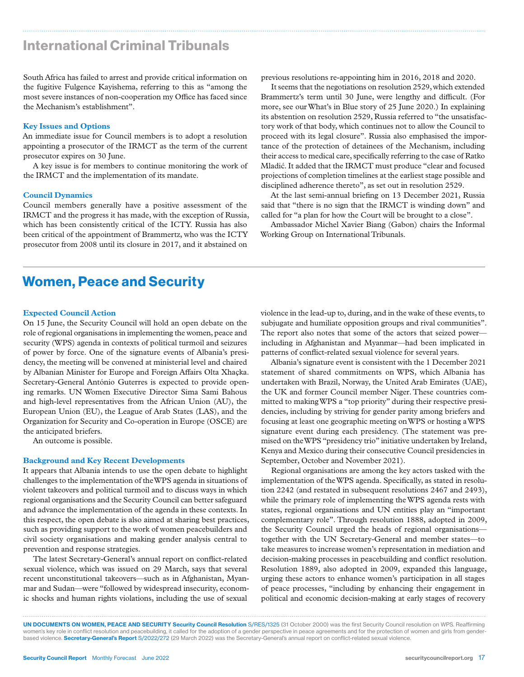# International Criminal Tribunals

South Africa has failed to arrest and provide critical information on the fugitive Fulgence Kayishema, referring to this as "among the most severe instances of non-cooperation my Office has faced since the Mechanism's establishment".

#### **Key Issues and Options**

An immediate issue for Council members is to adopt a resolution appointing a prosecutor of the IRMCT as the term of the current prosecutor expires on 30 June.

A key issue is for members to continue monitoring the work of the IRMCT and the implementation of its mandate.

#### **Council Dynamics**

Council members generally have a positive assessment of the IRMCT and the progress it has made, with the exception of Russia, which has been consistently critical of the ICTY. Russia has also been critical of the appointment of Brammertz, who was the ICTY prosecutor from 2008 until its closure in 2017, and it abstained on

previous resolutions re-appointing him in 2016, 2018 and 2020.

It seems that the negotiations on resolution 2529, which extended Brammertz's term until 30 June, were lengthy and difficult. (For more, see our What's in Blue story of 25 June 2020.) In explaining its abstention on resolution 2529, Russia referred to "the unsatisfactory work of that body, which continues not to allow the Council to proceed with its legal closure". Russia also emphasised the importance of the protection of detainees of the Mechanism, including their access to medical care, specifically referring to the case of Ratko Mladić. It added that the IRMCT must produce "clear and focused projections of completion timelines at the earliest stage possible and disciplined adherence thereto", as set out in resolution 2529.

At the last semi-annual briefing on 13 December 2021, Russia said that "there is no sign that the IRMCT is winding down" and called for "a plan for how the Court will be brought to a close".

Ambassador Michel Xavier Biang (Gabon) chairs the Informal Working Group on International Tribunals.

# Women, Peace and Security

#### **Expected Council Action**

On 15 June, the Security Council will hold an open debate on the role of regional organisations in implementing the women, peace and security (WPS) agenda in contexts of political turmoil and seizures of power by force. One of the signature events of Albania's presidency, the meeting will be convened at ministerial level and chaired by Albanian Minister for Europe and Foreign Affairs Olta Xhaçka. Secretary-General António Guterres is expected to provide opening remarks. UN Women Executive Director Sima Sami Bahous and high-level representatives from the African Union (AU), the European Union (EU), the League of Arab States (LAS), and the Organization for Security and Co-operation in Europe (OSCE) are the anticipated briefers.

An outcome is possible.

#### **Background and Key Recent Developments**

It appears that Albania intends to use the open debate to highlight challenges to the implementation of the WPS agenda in situations of violent takeovers and political turmoil and to discuss ways in which regional organisations and the Security Council can better safeguard and advance the implementation of the agenda in these contexts. In this respect, the open debate is also aimed at sharing best practices, such as providing support to the work of women peacebuilders and civil society organisations and making gender analysis central to prevention and response strategies.

The latest Secretary-General's annual report on conflict-related sexual violence, which was issued on 29 March, says that several recent unconstitutional takeovers—such as in Afghanistan, Myanmar and Sudan—were "followed by widespread insecurity, economic shocks and human rights violations, including the use of sexual

violence in the lead-up to, during, and in the wake of these events, to subjugate and humiliate opposition groups and rival communities". The report also notes that some of the actors that seized power including in Afghanistan and Myanmar—had been implicated in patterns of conflict-related sexual violence for several years.

Albania's signature event is consistent with the 1 December 2021 statement of shared commitments on WPS, which Albania has undertaken with Brazil, Norway, the United Arab Emirates (UAE), the UK and former Council member Niger. These countries committed to making WPS a "top priority" during their respective presidencies, including by striving for gender parity among briefers and focusing at least one geographic meeting on WPS or hosting a WPS signature event during each presidency. (The statement was premised on the WPS "presidency trio" initiative undertaken by Ireland, Kenya and Mexico during their consecutive Council presidencies in September, October and November 2021).

Regional organisations are among the key actors tasked with the implementation of the WPS agenda. Specifically, as stated in resolution 2242 (and restated in subsequent resolutions 2467 and 2493), while the primary role of implementing the WPS agenda rests with states, regional organisations and UN entities play an "important complementary role". Through resolution 1888, adopted in 2009, the Security Council urged the heads of regional organisations together with the UN Secretary-General and member states—to take measures to increase women's representation in mediation and decision-making processes in peacebuilding and conflict resolution. Resolution 1889, also adopted in 2009, expanded this language, urging these actors to enhance women's participation in all stages of peace processes, "including by enhancing their engagement in political and economic decision-making at early stages of recovery

UN DOCUMENTS ON WOMEN, PEACE AND SECURITY Security Council Resolution S/RES/1325 (31 October 2000) was the first Security Council resolution on WPS. Reaffirming women's key role in conflict resolution and peacebuilding, it called for the adoption of a gender perspective in peace agreements and for the protection of women and girls from genderbased violence. Secretary-General's Report S/2022/272 (29 March 2022) was the Secretary-General's annual report on conflict-related sexual violence.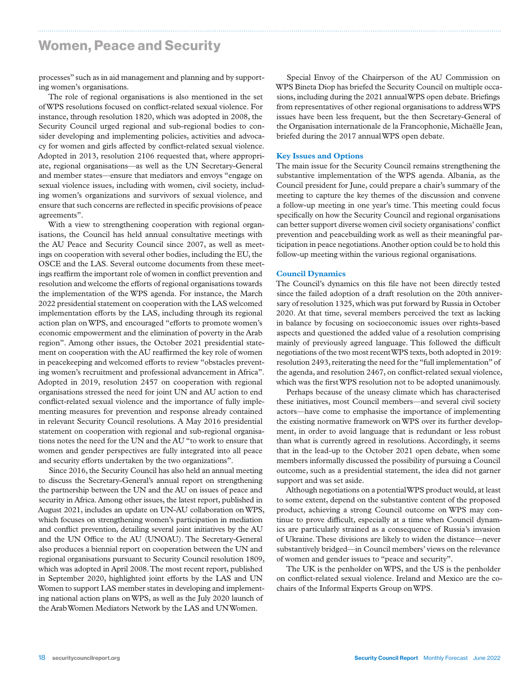### Women, Peace and Security

processes" such as in aid management and planning and by supporting women's organisations.

The role of regional organisations is also mentioned in the set of WPS resolutions focused on conflict-related sexual violence. For instance, through resolution 1820, which was adopted in 2008, the Security Council urged regional and sub-regional bodies to consider developing and implementing policies, activities and advocacy for women and girls affected by conflict-related sexual violence. Adopted in 2013, resolution 2106 requested that, where appropriate, regional organisations—as well as the UN Secretary-General and member states—ensure that mediators and envoys "engage on sexual violence issues, including with women, civil society, including women's organizations and survivors of sexual violence, and ensure that such concerns are reflected in specific provisions of peace agreements".

With a view to strengthening cooperation with regional organisations, the Council has held annual consultative meetings with the AU Peace and Security Council since 2007, as well as meetings on cooperation with several other bodies, including the EU, the OSCE and the LAS. Several outcome documents from these meetings reaffirm the important role of women in conflict prevention and resolution and welcome the efforts of regional organisations towards the implementation of the WPS agenda. For instance, the March 2022 presidential statement on cooperation with the LAS welcomed implementation efforts by the LAS, including through its regional action plan on WPS, and encouraged "efforts to promote women's economic empowerment and the elimination of poverty in the Arab region". Among other issues, the October 2021 presidential statement on cooperation with the AU reaffirmed the key role of women in peacekeeping and welcomed efforts to review "obstacles preventing women's recruitment and professional advancement in Africa". Adopted in 2019, resolution 2457 on cooperation with regional organisations stressed the need for joint UN and AU action to end conflict-related sexual violence and the importance of fully implementing measures for prevention and response already contained in relevant Security Council resolutions. A May 2016 presidential statement on cooperation with regional and sub-regional organisations notes the need for the UN and the AU "to work to ensure that women and gender perspectives are fully integrated into all peace and security efforts undertaken by the two organizations".

Since 2016, the Security Council has also held an annual meeting to discuss the Secretary-General's annual report on strengthening the partnership between the UN and the AU on issues of peace and security in Africa. Among other issues, the latest report, published in August 2021, includes an update on UN-AU collaboration on WPS, which focuses on strengthening women's participation in mediation and conflict prevention, detailing several joint initiatives by the AU and the UN Office to the AU (UNOAU). The Secretary-General also produces a biennial report on cooperation between the UN and regional organisations pursuant to Security Council resolution 1809, which was adopted in April 2008. The most recent report, published in September 2020, highlighted joint efforts by the LAS and UN Women to support LAS member states in developing and implementing national action plans on WPS, as well as the July 2020 launch of the Arab Women Mediators Network by the LAS and UN Women.

Special Envoy of the Chairperson of the AU Commission on WPS Bineta Diop has briefed the Security Council on multiple occasions, including during the 2021 annual WPS open debate. Briefings from representatives of other regional organisations to address WPS issues have been less frequent, but the then Secretary-General of the Organisation internationale de la Francophonie, Michaëlle Jean, briefed during the 2017 annual WPS open debate.

#### **Key Issues and Options**

The main issue for the Security Council remains strengthening the substantive implementation of the WPS agenda. Albania, as the Council president for June, could prepare a chair's summary of the meeting to capture the key themes of the discussion and convene a follow-up meeting in one year's time. This meeting could focus specifically on how the Security Council and regional organisations can better support diverse women civil society organisations' conflict prevention and peacebuilding work as well as their meaningful participation in peace negotiations. Another option could be to hold this follow-up meeting within the various regional organisations.

#### **Council Dynamics**

The Council's dynamics on this file have not been directly tested since the failed adoption of a draft resolution on the 20th anniversary of resolution 1325, which was put forward by Russia in October 2020. At that time, several members perceived the text as lacking in balance by focusing on socioeconomic issues over rights-based aspects and questioned the added value of a resolution comprising mainly of previously agreed language. This followed the difficult negotiations of the two most recent WPS texts, both adopted in 2019: resolution 2493, reiterating the need for the "full implementation" of the agenda, and resolution 2467, on conflict-related sexual violence, which was the first WPS resolution not to be adopted unanimously.

Perhaps because of the uneasy climate which has characterised these initiatives, most Council members—and several civil society actors—have come to emphasise the importance of implementing the existing normative framework on WPS over its further development, in order to avoid language that is redundant or less robust than what is currently agreed in resolutions. Accordingly, it seems that in the lead-up to the October 2021 open debate, when some members informally discussed the possibility of pursuing a Council outcome, such as a presidential statement, the idea did not garner support and was set aside.

Although negotiations on a potential WPS product would, at least to some extent, depend on the substantive content of the proposed product, achieving a strong Council outcome on WPS may continue to prove difficult, especially at a time when Council dynamics are particularly strained as a consequence of Russia's invasion of Ukraine. These divisions are likely to widen the distance—never substantively bridged—in Council members' views on the relevance of women and gender issues to "peace and security".

The UK is the penholder on WPS, and the US is the penholder on conflict-related sexual violence. Ireland and Mexico are the cochairs of the Informal Experts Group on WPS.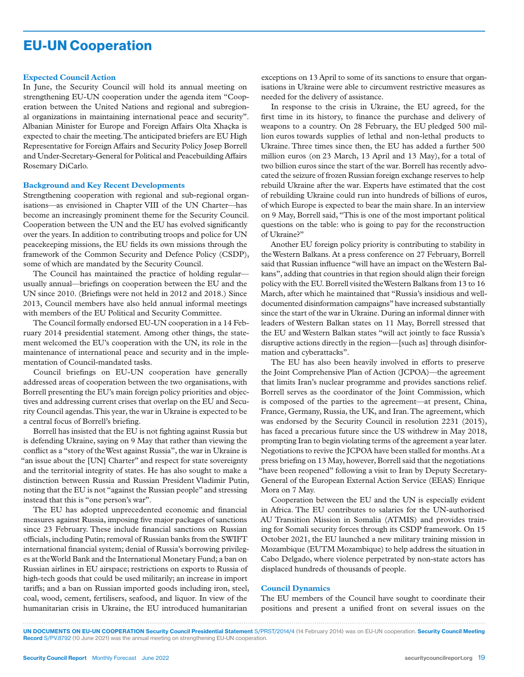# EU-UN Cooperation

#### **Expected Council Action**

In June, the Security Council will hold its annual meeting on strengthening EU-UN cooperation under the agenda item "Cooperation between the United Nations and regional and subregional organizations in maintaining international peace and security". Albanian Minister for Europe and Foreign Affairs Olta Xhaçka is expected to chair the meeting. The anticipated briefers are EU High Representative for Foreign Affairs and Security Policy Josep Borrell and Under-Secretary-General for Political and Peacebuilding Affairs Rosemary DiCarlo.

#### **Background and Key Recent Developments**

Strengthening cooperation with regional and sub-regional organisations—as envisioned in Chapter VIII of the UN Charter—has become an increasingly prominent theme for the Security Council. Cooperation between the UN and the EU has evolved significantly over the years. In addition to contributing troops and police for UN peacekeeping missions, the EU fields its own missions through the framework of the Common Security and Defence Policy (CSDP), some of which are mandated by the Security Council.

The Council has maintained the practice of holding regular usually annual—briefings on cooperation between the EU and the UN since 2010. (Briefings were not held in 2012 and 2018.) Since 2013, Council members have also held annual informal meetings with members of the EU Political and Security Committee.

The Council formally endorsed EU-UN cooperation in a 14 February 2014 presidential statement. Among other things, the statement welcomed the EU's cooperation with the UN, its role in the maintenance of international peace and security and in the implementation of Council-mandated tasks.

Council briefings on EU-UN cooperation have generally addressed areas of cooperation between the two organisations, with Borrell presenting the EU's main foreign policy priorities and objectives and addressing current crises that overlap on the EU and Security Council agendas. This year, the war in Ukraine is expected to be a central focus of Borrell's briefing.

Borrell has insisted that the EU is not fighting against Russia but is defending Ukraine, saying on 9 May that rather than viewing the conflict as a "story of the West against Russia", the war in Ukraine is "an issue about the [UN] Charter" and respect for state sovereignty and the territorial integrity of states. He has also sought to make a distinction between Russia and Russian President Vladimir Putin, noting that the EU is not "against the Russian people" and stressing instead that this is "one person's war".

The EU has adopted unprecedented economic and financial measures against Russia, imposing five major packages of sanctions since 23 February. These include financial sanctions on Russian officials, including Putin; removal of Russian banks from the SWIFT international financial system; denial of Russia's borrowing privileges at the World Bank and the International Monetary Fund; a ban on Russian airlines in EU airspace; restrictions on exports to Russia of high-tech goods that could be used militarily; an increase in import tariffs; and a ban on Russian imported goods including iron, steel, coal, wood, cement, fertilisers, seafood, and liquor. In view of the humanitarian crisis in Ukraine, the EU introduced humanitarian

exceptions on 13 April to some of its sanctions to ensure that organisations in Ukraine were able to circumvent restrictive measures as needed for the delivery of assistance.

In response to the crisis in Ukraine, the EU agreed, for the first time in its history, to finance the purchase and delivery of weapons to a country. On 28 February, the EU pledged 500 million euros towards supplies of lethal and non-lethal products to Ukraine. Three times since then, the EU has added a further 500 million euros (on 23 March, 13 April and 13 May), for a total of two billion euros since the start of the war. Borrell has recently advocated the seizure of frozen Russian foreign exchange reserves to help rebuild Ukraine after the war. Experts have estimated that the cost of rebuilding Ukraine could run into hundreds of billions of euros, of which Europe is expected to bear the main share. In an interview on 9 May, Borrell said, "This is one of the most important political questions on the table: who is going to pay for the reconstruction of Ukraine?"

Another EU foreign policy priority is contributing to stability in the Western Balkans. At a press conference on 27 February, Borrell said that Russian influence "will have an impact on the Western Balkans", adding that countries in that region should align their foreign policy with the EU. Borrell visited the Western Balkans from 13 to 16 March, after which he maintained that "Russia's insidious and welldocumented disinformation campaigns" have increased substantially since the start of the war in Ukraine. During an informal dinner with leaders of Western Balkan states on 11 May, Borrell stressed that the EU and Western Balkan states "will act jointly to face Russia's disruptive actions directly in the region—[such as] through disinformation and cyberattacks".

The EU has also been heavily involved in efforts to preserve the Joint Comprehensive Plan of Action (JCPOA)—the agreement that limits Iran's nuclear programme and provides sanctions relief. Borrell serves as the coordinator of the Joint Commission, which is composed of the parties to the agreement—at present, China, France, Germany, Russia, the UK, and Iran. The agreement, which was endorsed by the Security Council in resolution 2231 (2015), has faced a precarious future since the US withdrew in May 2018, prompting Iran to begin violating terms of the agreement a year later. Negotiations to revive the JCPOA have been stalled for months. At a press briefing on 13 May, however, Borrell said that the negotiations "have been reopened" following a visit to Iran by Deputy Secretary-General of the European External Action Service (EEAS) Enrique Mora on 7 May.

Cooperation between the EU and the UN is especially evident in Africa. The EU contributes to salaries for the UN-authorised AU Transition Mission in Somalia (ATMIS) and provides training for Somali security forces through its CSDP framework. On 15 October 2021, the EU launched a new military training mission in Mozambique (EUTM Mozambique) to help address the situation in Cabo Delgado, where violence perpetrated by non-state actors has displaced hundreds of thousands of people.

#### **Council Dynamics**

The EU members of the Council have sought to coordinate their positions and present a unified front on several issues on the

UN DOCUMENTS ON EU-UN COOPERATION Security Council Presidential Statement S/PRST/2014/4 (14 February 2014) was on EU-UN cooperation. Security Council Meeting Record S/PV.8792 (10 June 2021) was the annual meeting on strengthening EU-UN cooperation.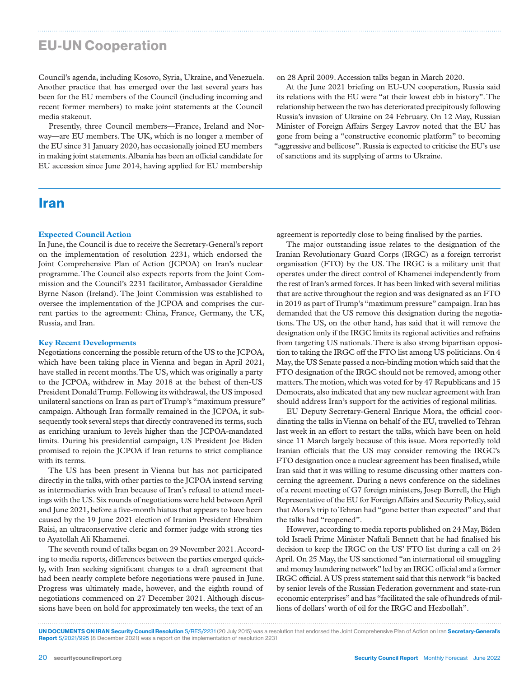# EU-UN Cooperation

Council's agenda, including Kosovo, Syria, Ukraine, and Venezuela. Another practice that has emerged over the last several years has been for the EU members of the Council (including incoming and recent former members) to make joint statements at the Council media stakeout.

Presently, three Council members—France, Ireland and Norway—are EU members. The UK, which is no longer a member of the EU since 31 January 2020, has occasionally joined EU members in making joint statements. Albania has been an official candidate for EU accession since June 2014, having applied for EU membership

### Iran

#### **Expected Council Action**

In June, the Council is due to receive the Secretary-General's report on the implementation of resolution 2231, which endorsed the Joint Comprehensive Plan of Action (JCPOA) on Iran's nuclear programme. The Council also expects reports from the Joint Commission and the Council's 2231 facilitator, Ambassador Geraldine Byrne Nason (Ireland). The Joint Commission was established to oversee the implementation of the JCPOA and comprises the current parties to the agreement: China, France, Germany, the UK, Russia, and Iran.

#### **Key Recent Developments**

Negotiations concerning the possible return of the US to the JCPOA, which have been taking place in Vienna and began in April 2021, have stalled in recent months. The US, which was originally a party to the JCPOA, withdrew in May 2018 at the behest of then-US President Donald Trump. Following its withdrawal, the US imposed unilateral sanctions on Iran as part of Trump's "maximum pressure" campaign. Although Iran formally remained in the JCPOA, it subsequently took several steps that directly contravened its terms, such as enriching uranium to levels higher than the JCPOA-mandated limits. During his presidential campaign, US President Joe Biden promised to rejoin the JCPOA if Iran returns to strict compliance with its terms.

The US has been present in Vienna but has not participated directly in the talks, with other parties to the JCPOA instead serving as intermediaries with Iran because of Iran's refusal to attend meetings with the US. Six rounds of negotiations were held between April and June 2021, before a five-month hiatus that appears to have been caused by the 19 June 2021 election of Iranian President Ebrahim Raisi, an ultraconservative cleric and former judge with strong ties to Ayatollah Ali Khamenei.

The seventh round of talks began on 29 November 2021. According to media reports, differences between the parties emerged quickly, with Iran seeking significant changes to a draft agreement that had been nearly complete before negotiations were paused in June. Progress was ultimately made, however, and the eighth round of negotiations commenced on 27 December 2021. Although discussions have been on hold for approximately ten weeks, the text of an

on 28 April 2009. Accession talks began in March 2020.

At the June 2021 briefing on EU-UN cooperation, Russia said its relations with the EU were "at their lowest ebb in history". The relationship between the two has deteriorated precipitously following Russia's invasion of Ukraine on 24 February. On 12 May, Russian Minister of Foreign Affairs Sergey Lavrov noted that the EU has gone from being a "constructive economic platform" to becoming "aggressive and bellicose". Russia is expected to criticise the EU's use of sanctions and its supplying of arms to Ukraine.

agreement is reportedly close to being finalised by the parties.

The major outstanding issue relates to the designation of the Iranian Revolutionary Guard Corps (IRGC) as a foreign terrorist organisation (FTO) by the US. The IRGC is a military unit that operates under the direct control of Khamenei independently from the rest of Iran's armed forces. It has been linked with several militias that are active throughout the region and was designated as an FTO in 2019 as part of Trump's "maximum pressure" campaign. Iran has demanded that the US remove this designation during the negotiations. The US, on the other hand, has said that it will remove the designation only if the IRGC limits its regional activities and refrains from targeting US nationals. There is also strong bipartisan opposition to taking the IRGC off the FTO list among US politicians. On 4 May, the US Senate passed a non-binding motion which said that the FTO designation of the IRGC should not be removed, among other matters. The motion, which was voted for by 47 Republicans and 15 Democrats, also indicated that any new nuclear agreement with Iran should address Iran's support for the activities of regional militias.

EU Deputy Secretary-General Enrique Mora, the official coordinating the talks in Vienna on behalf of the EU, travelled to Tehran last week in an effort to restart the talks, which have been on hold since 11 March largely because of this issue. Mora reportedly told Iranian officials that the US may consider removing the IRGC's FTO designation once a nuclear agreement has been finalised, while Iran said that it was willing to resume discussing other matters concerning the agreement. During a news conference on the sidelines of a recent meeting of G7 foreign ministers, Josep Borrell, the High Representative of the EU for Foreign Affairs and Security Policy, said that Mora's trip to Tehran had "gone better than expected" and that the talks had "reopened".

However, according to media reports published on 24 May, Biden told Israeli Prime Minister Naftali Bennett that he had finalised his decision to keep the IRGC on the US' FTO list during a call on 24 April. On 25 May, the US sanctioned "an international oil smuggling and money laundering network" led by an IRGC official and a former IRGC official. A US press statement said that this network "is backed by senior levels of the Russian Federation government and state-run economic enterprises" and has "facilitated the sale of hundreds of millions of dollars' worth of oil for the IRGC and Hezbollah".

UN DOCUMENTS ON IRAN Security Council Resolution S/RES/2231 (20 July 2015) was a resolution that endorsed the Joint Comprehensive Plan of Action on Iran Secretary-General's Report S/2021/995 (8 December 2021) was a report on the implementation of resolution 2231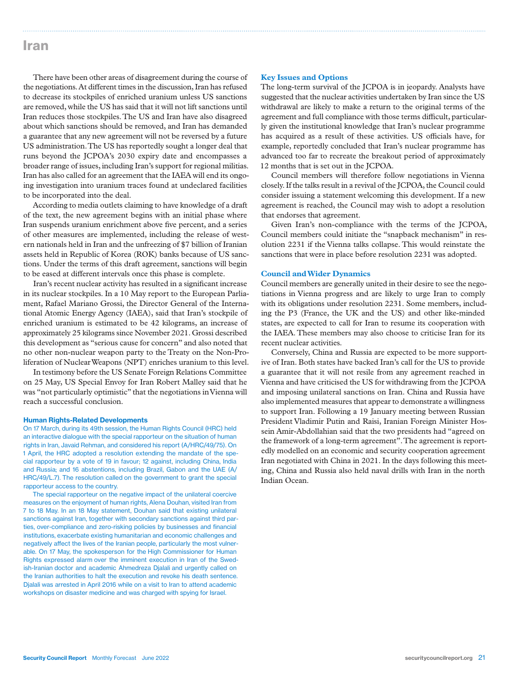### Iran

There have been other areas of disagreement during the course of the negotiations. At different times in the discussion, Iran has refused to decrease its stockpiles of enriched uranium unless US sanctions are removed, while the US has said that it will not lift sanctions until Iran reduces those stockpiles. The US and Iran have also disagreed about which sanctions should be removed, and Iran has demanded a guarantee that any new agreement will not be reversed by a future US administration. The US has reportedly sought a longer deal that runs beyond the JCPOA's 2030 expiry date and encompasses a broader range of issues, including Iran's support for regional militias. Iran has also called for an agreement that the IAEA will end its ongoing investigation into uranium traces found at undeclared facilities to be incorporated into the deal.

According to media outlets claiming to have knowledge of a draft of the text, the new agreement begins with an initial phase where Iran suspends uranium enrichment above five percent, and a series of other measures are implemented, including the release of western nationals held in Iran and the unfreezing of \$7 billion of Iranian assets held in Republic of Korea (ROK) banks because of US sanctions. Under the terms of this draft agreement, sanctions will begin to be eased at different intervals once this phase is complete.

Iran's recent nuclear activity has resulted in a significant increase in its nuclear stockpiles. In a 10 May report to the European Parliament, Rafael Mariano Grossi, the Director General of the International Atomic Energy Agency (IAEA), said that Iran's stockpile of enriched uranium is estimated to be 42 kilograms, an increase of approximately 25 kilograms since November 2021. Grossi described this development as "serious cause for concern" and also noted that no other non-nuclear weapon party to the Treaty on the Non-Proliferation of Nuclear Weapons (NPT) enriches uranium to this level.

In testimony before the US Senate Foreign Relations Committee on 25 May, US Special Envoy for Iran Robert Malley said that he was "not particularly optimistic" that the negotiations in Vienna will reach a successful conclusion.

#### Human Rights-Related Developments

On 17 March, during its 49th session, the Human Rights Council (HRC) held an interactive dialogue with the special rapporteur on the situation of human rights in Iran, Javaid Rehman, and considered his report (A/HRC/49/75). On 1 April, the HRC adopted a resolution extending the mandate of the special rapporteur by a vote of 19 in favour; 12 against, including China, India and Russia; and 16 abstentions, including Brazil, Gabon and the UAE (A/ HRC/49/L.7). The resolution called on the government to grant the special rapporteur access to the country.

The special rapporteur on the negative impact of the unilateral coercive measures on the enjoyment of human rights, Alena Douhan, visited Iran from 7 to 18 May. In an 18 May statement, Douhan said that existing unilateral sanctions against Iran, together with secondary sanctions against third parties, over-compliance and zero-risking policies by businesses and financial institutions, exacerbate existing humanitarian and economic challenges and negatively affect the lives of the Iranian people, particularly the most vulnerable. On 17 May, the spokesperson for the High Commissioner for Human Rights expressed alarm over the imminent execution in Iran of the Swedish-Iranian doctor and academic Ahmedreza Djalali and urgently called on the Iranian authorities to halt the execution and revoke his death sentence. Djalali was arrested in April 2016 while on a visit to Iran to attend academic workshops on disaster medicine and was charged with spying for Israel.

#### **Key Issues and Options**

The long-term survival of the JCPOA is in jeopardy. Analysts have suggested that the nuclear activities undertaken by Iran since the US withdrawal are likely to make a return to the original terms of the agreement and full compliance with those terms difficult, particularly given the institutional knowledge that Iran's nuclear programme has acquired as a result of these activities. US officials have, for example, reportedly concluded that Iran's nuclear programme has advanced too far to recreate the breakout period of approximately 12 months that is set out in the JCPOA.

Council members will therefore follow negotiations in Vienna closely. If the talks result in a revival of the JCPOA, the Council could consider issuing a statement welcoming this development. If a new agreement is reached, the Council may wish to adopt a resolution that endorses that agreement.

Given Iran's non-compliance with the terms of the JCPOA, Council members could initiate the "snapback mechanism" in resolution 2231 if the Vienna talks collapse. This would reinstate the sanctions that were in place before resolution 2231 was adopted.

#### **Council and Wider Dynamics**

Council members are generally united in their desire to see the negotiations in Vienna progress and are likely to urge Iran to comply with its obligations under resolution 2231. Some members, including the P3 (France, the UK and the US) and other like-minded states, are expected to call for Iran to resume its cooperation with the IAEA. These members may also choose to criticise Iran for its recent nuclear activities.

Conversely, China and Russia are expected to be more supportive of Iran. Both states have backed Iran's call for the US to provide a guarantee that it will not resile from any agreement reached in Vienna and have criticised the US for withdrawing from the JCPOA and imposing unilateral sanctions on Iran. China and Russia have also implemented measures that appear to demonstrate a willingness to support Iran. Following a 19 January meeting between Russian President Vladimir Putin and Raisi, Iranian Foreign Minister Hossein Amir-Abdollahian said that the two presidents had "agreed on the framework of a long-term agreement". The agreement is reportedly modelled on an economic and security cooperation agreement Iran negotiated with China in 2021. In the days following this meeting, China and Russia also held naval drills with Iran in the north Indian Ocean.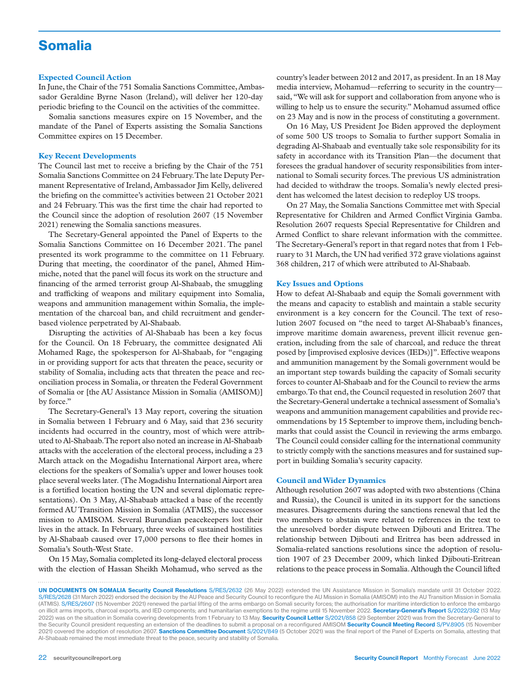# Somalia

#### **Expected Council Action**

In June, the Chair of the 751 Somalia Sanctions Committee, Ambassador Geraldine Byrne Nason (Ireland), will deliver her 120-day periodic briefing to the Council on the activities of the committee.

Somalia sanctions measures expire on 15 November, and the mandate of the Panel of Experts assisting the Somalia Sanctions Committee expires on 15 December.

#### **Key Recent Developments**

The Council last met to receive a briefing by the Chair of the 751 Somalia Sanctions Committee on 24 February. The late Deputy Permanent Representative of Ireland, Ambassador Jim Kelly, delivered the briefing on the committee's activities between 21 October 2021 and 24 February. This was the first time the chair had reported to the Council since the adoption of resolution 2607 (15 November 2021) renewing the Somalia sanctions measures.

The Secretary-General appointed the Panel of Experts to the Somalia Sanctions Committee on 16 December 2021. The panel presented its work programme to the committee on 11 February. During that meeting, the coordinator of the panel, Ahmed Himmiche, noted that the panel will focus its work on the structure and financing of the armed terrorist group Al-Shabaab, the smuggling and trafficking of weapons and military equipment into Somalia, weapons and ammunition management within Somalia, the implementation of the charcoal ban, and child recruitment and genderbased violence perpetrated by Al-Shabaab.

Disrupting the activities of Al-Shabaab has been a key focus for the Council. On 18 February, the committee designated Ali Mohamed Rage, the spokesperson for Al-Shabaab, for "engaging in or providing support for acts that threaten the peace, security or stability of Somalia, including acts that threaten the peace and reconciliation process in Somalia, or threaten the Federal Government of Somalia or [the AU Assistance Mission in Somalia (AMISOM)] by force."

The Secretary-General's 13 May report, covering the situation in Somalia between 1 February and 6 May, said that 236 security incidents had occurred in the country, most of which were attributed to Al-Shabaab. The report also noted an increase in Al-Shabaab attacks with the acceleration of the electoral process, including a 23 March attack on the Mogadishu International Airport area, where elections for the speakers of Somalia's upper and lower houses took place several weeks later. (The Mogadishu International Airport area is a fortified location hosting the UN and several diplomatic representations). On 3 May, Al-Shabaab attacked a base of the recently formed AU Transition Mission in Somalia (ATMIS), the successor mission to AMISOM. Several Burundian peacekeepers lost their lives in the attack. In February, three weeks of sustained hostilities by Al-Shabaab caused over 17,000 persons to flee their homes in Somalia's South-West State.

On 15 May, Somalia completed its long-delayed electoral process with the election of Hassan Sheikh Mohamud, who served as the country's leader between 2012 and 2017, as president. In an 18 May media interview, Mohamud—referring to security in the country said, "We will ask for support and collaboration from anyone who is willing to help us to ensure the security." Mohamud assumed office on 23 May and is now in the process of constituting a government.

On 16 May, US President Joe Biden approved the deployment of some 500 US troops to Somalia to further support Somalia in degrading Al-Shabaab and eventually take sole responsibility for its safety in accordance with its Transition Plan—the document that foresees the gradual handover of security responsibilities from international to Somali security forces. The previous US administration had decided to withdraw the troops. Somalia's newly elected president has welcomed the latest decision to redeploy US troops.

On 27 May, the Somalia Sanctions Committee met with Special Representative for Children and Armed Conflict Virginia Gamba. Resolution 2607 requests Special Representative for Children and Armed Conflict to share relevant information with the committee. The Secretary-General's report in that regard notes that from 1 February to 31 March, the UN had verified 372 grave violations against 368 children, 217 of which were attributed to Al-Shabaab.

#### **Key Issues and Options**

How to defeat Al-Shabaab and equip the Somali government with the means and capacity to establish and maintain a stable security environment is a key concern for the Council. The text of resolution 2607 focused on "the need to target Al-Shabaab's finances, improve maritime domain awareness, prevent illicit revenue generation, including from the sale of charcoal, and reduce the threat posed by [improvised explosive devices (IEDs)]". Effective weapons and ammunition management by the Somali government would be an important step towards building the capacity of Somali security forces to counter Al-Shabaab and for the Council to review the arms embargo. To that end, the Council requested in resolution 2607 that the Secretary-General undertake a technical assessment of Somalia's weapons and ammunition management capabilities and provide recommendations by 15 September to improve them, including benchmarks that could assist the Council in reviewing the arms embargo. The Council could consider calling for the international community to strictly comply with the sanctions measures and for sustained support in building Somalia's security capacity.

#### **Council and Wider Dynamics**

Although resolution 2607 was adopted with two abstentions (China and Russia), the Council is united in its support for the sanctions measures. Disagreements during the sanctions renewal that led the two members to abstain were related to references in the text to the unresolved border dispute between Djibouti and Eritrea. The relationship between Djibouti and Eritrea has been addressed in Somalia-related sanctions resolutions since the adoption of resolution 1907 of 23 December 2009, which linked Djibouti-Eritrean relations to the peace process in Somalia. Although the Council lifted

UN DOCUMENTS ON SOMALIA Security Council Resolutions S/RES/2632 (26 May 2022) extended the UN Assistance Mission in Somalia's mandate until 31 October 2022. S/RES/2628 (31 March 2022) endorsed the decision by the AU Peace and Security Council to reconfigure the AU Mission in Somalia (AMISOM) into the AU Transition Mission in Somalia (ATMIS). S/RES/2607 (15 November 2021) renewed the partial lifting of the arms embargo on Somali security forces; the authorisation for maritime interdiction to enforce the embargo on illicit arms imports, charcoal exports, and IED components; and humanitarian exemptions to the regime until 15 November 2022. Secretary-General's Report S/2022/392 (13 May 2022) was on the situation in Somalia covering developments from 1 February to 13 May. Security Council Letter S/2021/858 (29 September 2021) was from the Secretary-General to the Security Council president requesting an extension of the deadlines to submit a proposal on a reconfigured AMISOM Security Council Meeting Record S/PV.8905 (15 November 2021) covered the adoption of resolution 2607. Sanctions Committee Document S/2021/849 (5 October 2021) was the final report of the Panel of Experts on Somalia, attesting that Al-Shabaab remained the most immediate threat to the peace, security and stability of Somalia.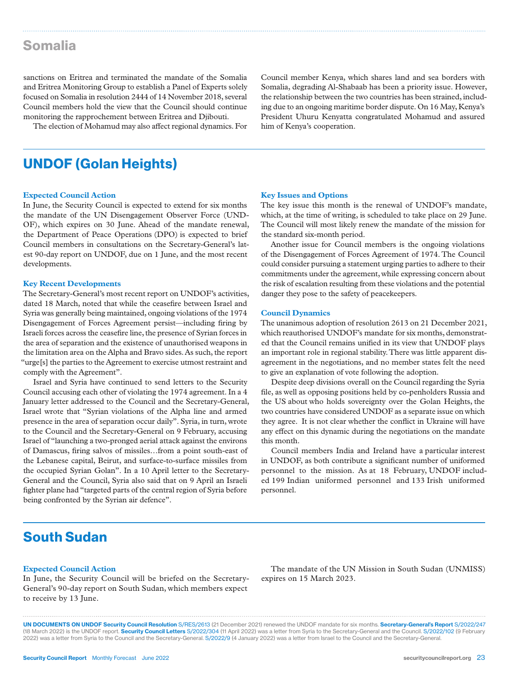### Somalia

sanctions on Eritrea and terminated the mandate of the Somalia and Eritrea Monitoring Group to establish a Panel of Experts solely focused on Somalia in resolution 2444 of 14 November 2018, several Council members hold the view that the Council should continue monitoring the rapprochement between Eritrea and Djibouti.

The election of Mohamud may also affect regional dynamics. For

Council member Kenya, which shares land and sea borders with Somalia, degrading Al-Shabaab has been a priority issue. However, the relationship between the two countries has been strained, including due to an ongoing maritime border dispute. On 16 May, Kenya's President Uhuru Kenyatta congratulated Mohamud and assured him of Kenya's cooperation.

### UNDOF (Golan Heights)

#### **Expected Council Action**

In June, the Security Council is expected to extend for six months the mandate of the UN Disengagement Observer Force (UND-OF), which expires on 30 June. Ahead of the mandate renewal, the Department of Peace Operations (DPO) is expected to brief Council members in consultations on the Secretary-General's latest 90-day report on UNDOF, due on 1 June, and the most recent developments.

#### **Key Recent Developments**

The Secretary-General's most recent report on UNDOF's activities, dated 18 March, noted that while the ceasefire between Israel and Syria was generally being maintained, ongoing violations of the 1974 Disengagement of Forces Agreement persist—including firing by Israeli forces across the ceasefire line, the presence of Syrian forces in the area of separation and the existence of unauthorised weapons in the limitation area on the Alpha and Bravo sides. As such, the report "urge[s] the parties to the Agreement to exercise utmost restraint and comply with the Agreement".

Israel and Syria have continued to send letters to the Security Council accusing each other of violating the 1974 agreement. In a 4 January letter addressed to the Council and the Secretary-General, Israel wrote that "Syrian violations of the Alpha line and armed presence in the area of separation occur daily". Syria, in turn, wrote to the Council and the Secretary-General on 9 February, accusing Israel of "launching a two-pronged aerial attack against the environs of Damascus, firing salvos of missiles…from a point south-east of the Lebanese capital, Beirut, and surface-to-surface missiles from the occupied Syrian Golan". In a 10 April letter to the Secretary-General and the Council, Syria also said that on 9 April an Israeli fighter plane had "targeted parts of the central region of Syria before being confronted by the Syrian air defence".

#### **Key Issues and Options**

The key issue this month is the renewal of UNDOF's mandate, which, at the time of writing, is scheduled to take place on 29 June. The Council will most likely renew the mandate of the mission for the standard six-month period.

Another issue for Council members is the ongoing violations of the Disengagement of Forces Agreement of 1974. The Council could consider pursuing a statement urging parties to adhere to their commitments under the agreement, while expressing concern about the risk of escalation resulting from these violations and the potential danger they pose to the safety of peacekeepers.

#### **Council Dynamics**

The unanimous adoption of resolution 2613 on 21 December 2021, which reauthorised UNDOF's mandate for six months, demonstrated that the Council remains unified in its view that UNDOF plays an important role in regional stability. There was little apparent disagreement in the negotiations, and no member states felt the need to give an explanation of vote following the adoption.

Despite deep divisions overall on the Council regarding the Syria file, as well as opposing positions held by co-penholders Russia and the US about who holds sovereignty over the Golan Heights, the two countries have considered UNDOF as a separate issue on which they agree. It is not clear whether the conflict in Ukraine will have any effect on this dynamic during the negotiations on the mandate this month.

Council members India and Ireland have a particular interest in UNDOF, as both contribute a significant number of uniformed personnel to the mission. As at 18 February, UNDOF included 199 Indian uniformed personnel and 133 Irish uniformed personnel.

# South Sudan

#### **Expected Council Action**

In June, the Security Council will be briefed on the Secretary-General's 90-day report on South Sudan, which members expect to receive by 13 June.

The mandate of the UN Mission in South Sudan (UNMISS) expires on 15 March 2023.

UN DOCUMENTS ON UNDOF Security Council Resolution S/RES/2613 (21 December 2021) renewed the UNDOF mandate for six months. Secretary-General's Report S/2022/247 (18 March 2022) is the UNDOF report. Security Council Letters S/2022/304 (11 April 2022) was a letter from Syria to the Secretary-General and the Council. S/2022/102 (9 February 2022) was a letter from Syria to the Council and the Secretary-General. S/2022/9 (4 January 2022) was a letter from Israel to the Council and the Secretary-General.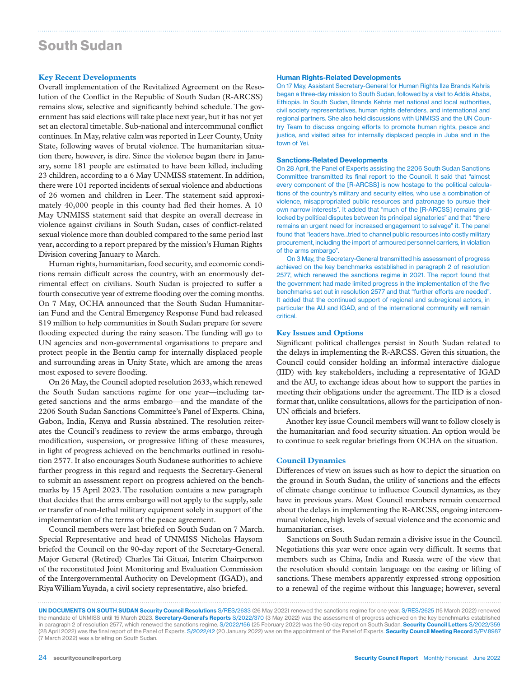# South Sudan

#### **Key Recent Developments**

Overall implementation of the Revitalized Agreement on the Resolution of the Conflict in the Republic of South Sudan (R-ARCSS) remains slow, selective and significantly behind schedule. The government has said elections will take place next year, but it has not yet set an electoral timetable. Sub-national and intercommunal conflict continues. In May, relative calm was reported in Leer County, Unity State, following waves of brutal violence. The humanitarian situation there, however, is dire. Since the violence began there in January, some 181 people are estimated to have been killed, including 23 children, according to a 6 May UNMISS statement. In addition, there were 101 reported incidents of sexual violence and abductions of 26 women and children in Leer. The statement said approximately 40,000 people in this county had fled their homes. A 10 May UNMISS statement said that despite an overall decrease in violence against civilians in South Sudan, cases of conflict-related sexual violence more than doubled compared to the same period last year, according to a report prepared by the mission's Human Rights Division covering January to March.

Human rights, humanitarian, food security, and economic conditions remain difficult across the country, with an enormously detrimental effect on civilians. South Sudan is projected to suffer a fourth consecutive year of extreme flooding over the coming months. On 7 May, OCHA announced that the South Sudan Humanitarian Fund and the Central Emergency Response Fund had released \$19 million to help communities in South Sudan prepare for severe flooding expected during the rainy season. The funding will go to UN agencies and non-governmental organisations to prepare and protect people in the Bentiu camp for internally displaced people and surrounding areas in Unity State, which are among the areas most exposed to severe flooding.

On 26 May, the Council adopted resolution 2633, which renewed the South Sudan sanctions regime for one year—including targeted sanctions and the arms embargo—and the mandate of the 2206 South Sudan Sanctions Committee's Panel of Experts. China, Gabon, India, Kenya and Russia abstained. The resolution reiterates the Council's readiness to review the arms embargo, through modification, suspension, or progressive lifting of these measures, in light of progress achieved on the benchmarks outlined in resolution 2577. It also encourages South Sudanese authorities to achieve further progress in this regard and requests the Secretary-General to submit an assessment report on progress achieved on the benchmarks by 15 April 2023. The resolution contains a new paragraph that decides that the arms embargo will not apply to the supply, sale or transfer of non-lethal military equipment solely in support of the implementation of the terms of the peace agreement.

Council members were last briefed on South Sudan on 7 March. Special Representative and head of UNMISS Nicholas Haysom briefed the Council on the 90-day report of the Secretary-General. Major General (Retired) Charles Tai Gituai, Interim Chairperson of the reconstituted Joint Monitoring and Evaluation Commission of the Intergovernmental Authority on Development (IGAD), and Riya William Yuyada, a civil society representative, also briefed.

#### Human Rights-Related Developments

On 17 May, Assistant Secretary-General for Human Rights Ilze Brands Kehris began a three-day mission to South Sudan, followed by a visit to Addis Ababa, Ethiopia. In South Sudan, Brands Kehris met national and local authorities, civil society representatives, human rights defenders, and international and regional partners. She also held discussions with UNMISS and the UN Country Team to discuss ongoing efforts to promote human rights, peace and justice, and visited sites for internally displaced people in Juba and in the town of Yei.

#### Sanctions-Related Developments

On 28 April, the Panel of Experts assisting the 2206 South Sudan Sanctions Committee transmitted its final report to the Council. It said that "almost every component of the [R-ARCSS] is now hostage to the political calculations of the country's military and security elites, who use a combination of violence, misappropriated public resources and patronage to pursue their own narrow interests". It added that "much of the [R-ARCSS] remains gridlocked by political disputes between its principal signatories" and that "there remains an urgent need for increased engagement to salvage" it. The panel found that "leaders have...tried to channel public resources into costly military procurement, including the import of armoured personnel carriers, in violation of the arms embargo".

On 3 May, the Secretary-General transmitted his assessment of progress achieved on the key benchmarks established in paragraph 2 of resolution 2577, which renewed the sanctions regime in 2021. The report found that the government had made limited progress in the implementation of the five benchmarks set out in resolution 2577 and that "further efforts are needed". It added that the continued support of regional and subregional actors, in particular the AU and IGAD, and of the international community will remain critical.

#### **Key Issues and Options**

Significant political challenges persist in South Sudan related to the delays in implementing the R-ARCSS. Given this situation, the Council could consider holding an informal interactive dialogue (IID) with key stakeholders, including a representative of IGAD and the AU, to exchange ideas about how to support the parties in meeting their obligations under the agreement. The IID is a closed format that, unlike consultations, allows for the participation of non-UN officials and briefers.

Another key issue Council members will want to follow closely is the humanitarian and food security situation. An option would be to continue to seek regular briefings from OCHA on the situation.

#### **Council Dynamics**

Differences of view on issues such as how to depict the situation on the ground in South Sudan, the utility of sanctions and the effects of climate change continue to influence Council dynamics, as they have in previous years. Most Council members remain concerned about the delays in implementing the R-ARCSS, ongoing intercommunal violence, high levels of sexual violence and the economic and humanitarian crises.

Sanctions on South Sudan remain a divisive issue in the Council. Negotiations this year were once again very difficult. It seems that members such as China, India and Russia were of the view that the resolution should contain language on the easing or lifting of sanctions. These members apparently expressed strong opposition to a renewal of the regime without this language; however, several

UN DOCUMENTS ON SOUTH SUDAN Security Council Resolutions S/RES/2633 (26 May 2022) renewed the sanctions regime for one year. S/RES/2625 (15 March 2022) renewed the mandate of UNMISS until 15 March 2023. Secretary-General's Reports S/2022/370 (3 May 2022) was the assessment of progress achieved on the key benchmarks established in paragraph 2 of resolution 2577, which renewed the sanctions regime. S/2022/156 (25 February 2022) was the 90-day report on South Sudan. Security Council Letters S/2022/359 (28 April 2022) was the final report of the Panel of Experts. S/2022/42 (20 January 2022) was on the appointment of the Panel of Experts. Security Council Meeting Record S/PV.8987 (7 March 2022) was a briefing on South Sudan.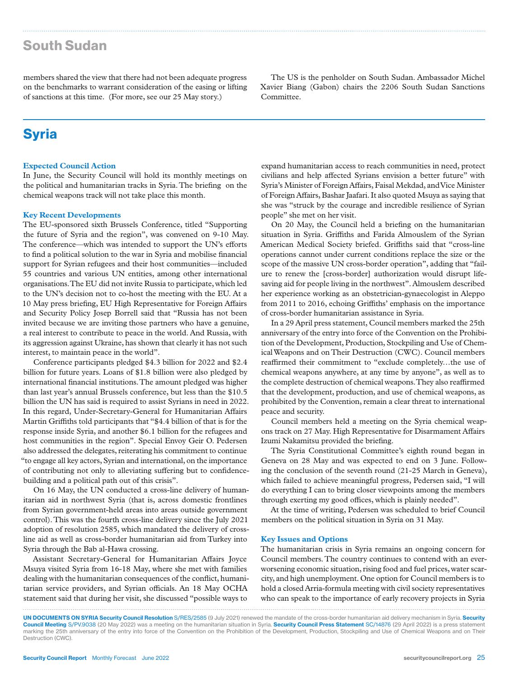# South Sudan

members shared the view that there had not been adequate progress on the benchmarks to warrant consideration of the easing or lifting of sanctions at this time. (For more, see our 25 May story.)

**Syria** 

#### **Expected Council Action**

In June, the Security Council will hold its monthly meetings on the political and humanitarian tracks in Syria. The briefing on the chemical weapons track will not take place this month.

#### **Key Recent Developments**

The EU-sponsored sixth Brussels Conference, titled "Supporting the future of Syria and the region", was convened on 9-10 May. The conference—which was intended to support the UN's efforts to find a political solution to the war in Syria and mobilise financial support for Syrian refugees and their host communities—included 55 countries and various UN entities, among other international organisations. The EU did not invite Russia to participate, which led to the UN's decision not to co-host the meeting with the EU. At a 10 May press briefing, EU High Representative for Foreign Affairs and Security Policy Josep Borrell said that "Russia has not been invited because we are inviting those partners who have a genuine, a real interest to contribute to peace in the world. And Russia, with its aggression against Ukraine, has shown that clearly it has not such interest, to maintain peace in the world".

Conference participants pledged \$4.3 billion for 2022 and \$2.4 billion for future years. Loans of \$1.8 billion were also pledged by international financial institutions. The amount pledged was higher than last year's annual Brussels conference, but less than the \$10.5 billion the UN has said is required to assist Syrians in need in 2022. In this regard, Under-Secretary-General for Humanitarian Affairs Martin Griffiths told participants that "\$4.4 billion of that is for the response inside Syria, and another \$6.1 billion for the refugees and host communities in the region". Special Envoy Geir O. Pedersen also addressed the delegates, reiterating his commitment to continue "to engage all key actors, Syrian and international, on the importance of contributing not only to alleviating suffering but to confidencebuilding and a political path out of this crisis".

On 16 May, the UN conducted a cross-line delivery of humanitarian aid in northwest Syria (that is, across domestic frontlines from Syrian government-held areas into areas outside government control). This was the fourth cross-line delivery since the July 2021 adoption of resolution 2585, which mandated the delivery of crossline aid as well as cross-border humanitarian aid from Turkey into Syria through the Bab al-Hawa crossing.

Assistant Secretary-General for Humanitarian Affairs Joyce Msuya visited Syria from 16-18 May, where she met with families dealing with the humanitarian consequences of the conflict, humanitarian service providers, and Syrian officials. An 18 May OCHA statement said that during her visit, she discussed "possible ways to

The US is the penholder on South Sudan. Ambassador Michel Xavier Biang (Gabon) chairs the 2206 South Sudan Sanctions Committee.

expand humanitarian access to reach communities in need, protect civilians and help affected Syrians envision a better future" with Syria's Minister of Foreign Affairs, Faisal Mekdad, and Vice Minister of Foreign Affairs, Bashar Jaafari. It also quoted Msuya as saying that she was "struck by the courage and incredible resilience of Syrian people" she met on her visit.

On 20 May, the Council held a briefing on the humanitarian situation in Syria. Griffiths and Farida Almouslem of the Syrian American Medical Society briefed. Griffiths said that "cross-line operations cannot under current conditions replace the size or the scope of the massive UN cross-border operation", adding that "failure to renew the [cross-border] authorization would disrupt lifesaving aid for people living in the northwest". Almouslem described her experience working as an obstetrician-gynaecologist in Aleppo from 2011 to 2016, echoing Griffiths' emphasis on the importance of cross-border humanitarian assistance in Syria.

In a 29 April press statement, Council members marked the 25th anniversary of the entry into force of the Convention on the Prohibition of the Development, Production, Stockpiling and Use of Chemical Weapons and on Their Destruction (CWC). Council members reaffirmed their commitment to "exclude completely…the use of chemical weapons anywhere, at any time by anyone", as well as to the complete destruction of chemical weapons. They also reaffirmed that the development, production, and use of chemical weapons, as prohibited by the Convention, remain a clear threat to international peace and security.

Council members held a meeting on the Syria chemical weapons track on 27 May. High Representative for Disarmament Affairs Izumi Nakamitsu provided the briefing.

The Syria Constitutional Committee's eighth round began in Geneva on 28 May and was expected to end on 3 June. Following the conclusion of the seventh round (21-25 March in Geneva), which failed to achieve meaningful progress, Pedersen said, "I will do everything I can to bring closer viewpoints among the members through exerting my good offices, which is plainly needed".

At the time of writing, Pedersen was scheduled to brief Council members on the political situation in Syria on 31 May.

#### **Key Issues and Options**

The humanitarian crisis in Syria remains an ongoing concern for Council members. The country continues to contend with an everworsening economic situation, rising food and fuel prices, water scarcity, and high unemployment. One option for Council members is to hold a closed Arria-formula meeting with civil society representatives who can speak to the importance of early recovery projects in Syria

UN DOCUMENTS ON SYRIA Security Council Resolution S/RES/2585 (9 July 2021) renewed the mandate of the cross-border humanitarian aid delivery mechanism in Syria. Security Council Meeting S/PV.9038 (20 May 2022) was a meeting on the humanitarian situation in Syria. Security Council Press Statement SC/14876 (29 April 2022) is a press statement marking the 25th anniversary of the entry into force of the Convention on the Prohibition of the Development, Production, Stockpiling and Use of Chemical Weapons and on Their Destruction (CWC).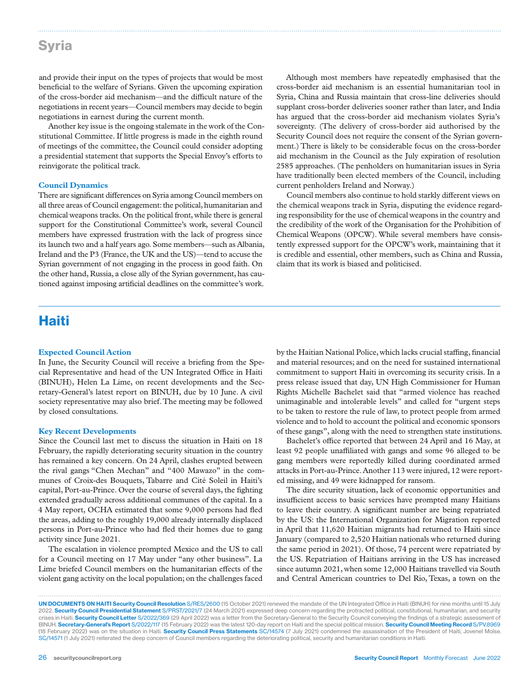### Syria

and provide their input on the types of projects that would be most beneficial to the welfare of Syrians. Given the upcoming expiration of the cross-border aid mechanism—and the difficult nature of the negotiations in recent years—Council members may decide to begin negotiations in earnest during the current month.

Another key issue is the ongoing stalemate in the work of the Constitutional Committee. If little progress is made in the eighth round of meetings of the committee, the Council could consider adopting a presidential statement that supports the Special Envoy's efforts to reinvigorate the political track.

#### **Council Dynamics**

There are significant differences on Syria among Council members on all three areas of Council engagement: the political, humanitarian and chemical weapons tracks. On the political front, while there is general support for the Constitutional Committee's work, several Council members have expressed frustration with the lack of progress since its launch two and a half years ago. Some members—such as Albania, Ireland and the P3 (France, the UK and the US)—tend to accuse the Syrian government of not engaging in the process in good faith. On the other hand, Russia, a close ally of the Syrian government, has cautioned against imposing artificial deadlines on the committee's work.

Although most members have repeatedly emphasised that the cross-border aid mechanism is an essential humanitarian tool in Syria, China and Russia maintain that cross-line deliveries should supplant cross-border deliveries sooner rather than later, and India has argued that the cross-border aid mechanism violates Syria's sovereignty. (The delivery of cross-border aid authorised by the Security Council does not require the consent of the Syrian government.) There is likely to be considerable focus on the cross-border aid mechanism in the Council as the July expiration of resolution 2585 approaches. (The penholders on humanitarian issues in Syria have traditionally been elected members of the Council, including current penholders Ireland and Norway.)

Council members also continue to hold starkly different views on the chemical weapons track in Syria, disputing the evidence regarding responsibility for the use of chemical weapons in the country and the credibility of the work of the Organisation for the Prohibition of Chemical Weapons (OPCW). While several members have consistently expressed support for the OPCW's work, maintaining that it is credible and essential, other members, such as China and Russia, claim that its work is biased and politicised.

# Haiti

#### **Expected Council Action**

In June, the Security Council will receive a briefing from the Special Representative and head of the UN Integrated Office in Haiti (BINUH), Helen La Lime, on recent developments and the Secretary-General's latest report on BINUH, due by 10 June. A civil society representative may also brief. The meeting may be followed by closed consultations.

#### **Key Recent Developments**

Since the Council last met to discuss the situation in Haiti on 18 February, the rapidly deteriorating security situation in the country has remained a key concern. On 24 April, clashes erupted between the rival gangs "Chen Mechan" and "400 Mawazo" in the communes of Croix-des Bouquets, Tabarre and Cité Soleil in Haiti's capital, Port-au-Prince. Over the course of several days, the fighting extended gradually across additional communes of the capital. In a 4 May report, OCHA estimated that some 9,000 persons had fled the areas, adding to the roughly 19,000 already internally displaced persons in Port-au-Prince who had fled their homes due to gang activity since June 2021.

The escalation in violence prompted Mexico and the US to call for a Council meeting on 17 May under "any other business". La Lime briefed Council members on the humanitarian effects of the violent gang activity on the local population; on the challenges faced by the Haitian National Police, which lacks crucial staffing, financial and material resources; and on the need for sustained international commitment to support Haiti in overcoming its security crisis. In a press release issued that day, UN High Commissioner for Human Rights Michelle Bachelet said that "armed violence has reached unimaginable and intolerable levels" and called for "urgent steps to be taken to restore the rule of law, to protect people from armed violence and to hold to account the political and economic sponsors of these gangs", along with the need to strengthen state institutions.

Bachelet's office reported that between 24 April and 16 May, at least 92 people unaffiliated with gangs and some 96 alleged to be gang members were reportedly killed during coordinated armed attacks in Port-au-Prince. Another 113 were injured, 12 were reported missing, and 49 were kidnapped for ransom.

The dire security situation, lack of economic opportunities and insufficient access to basic services have prompted many Haitians to leave their country. A significant number are being repatriated by the US: the International Organization for Migration reported in April that 11,620 Haitian migrants had returned to Haiti since January (compared to 2,520 Haitian nationals who returned during the same period in 2021). Of those, 74 percent were repatriated by the US. Repatriation of Haitians arriving in the US has increased since autumn 2021, when some 12,000 Haitians travelled via South and Central American countries to Del Rio, Texas, a town on the

UN DOCUMENTS ON HAITI Security Council Resolution S/RES/2600 (15 October 2021) renewed the mandate of the UN Integrated Office in Haiti (BINUH) for nine months until 15 July 2022. Security Council Presidential Statement S/PRST/2021/7 (24 March 2021) expressed deep concern regarding the protracted political, constitutional, humanitarian, and security crises in Haiti. Security Council Letter S/2022/369 (29 April 2022) was a letter from the Secretary-General to the Security Council conveying the findings of a strategic assessment of BINUH. Secretary-General's Report S/2022/117 (15 February 2022) was the latest 120-day report on Haiti and the special political mission. Security Council Meeting Record S/PV.8969 (18 February 2022) was on the situation in Haiti. Security Council Press Statements SC/14574 (7 July 2021) condemned the assassination of the President of Haiti, Jovenel Moïse. SC/14571 (1 July 2021) reiterated the deep concern of Council members regarding the deteriorating political, security and humanitarian conditions in Haiti.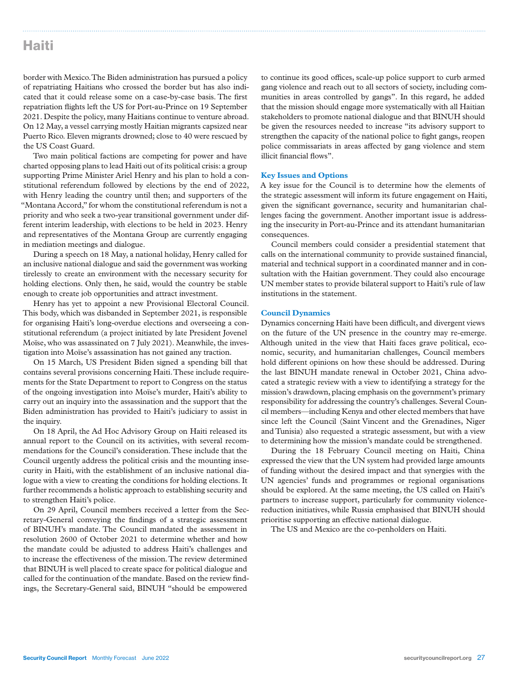### Haiti

border with Mexico. The Biden administration has pursued a policy of repatriating Haitians who crossed the border but has also indicated that it could release some on a case-by-case basis. The first repatriation flights left the US for Port-au-Prince on 19 September 2021. Despite the policy, many Haitians continue to venture abroad. On 12 May, a vessel carrying mostly Haitian migrants capsized near Puerto Rico. Eleven migrants drowned; close to 40 were rescued by the US Coast Guard.

Two main political factions are competing for power and have charted opposing plans to lead Haiti out of its political crisis: a group supporting Prime Minister Ariel Henry and his plan to hold a constitutional referendum followed by elections by the end of 2022, with Henry leading the country until then; and supporters of the "Montana Accord," for whom the constitutional referendum is not a priority and who seek a two-year transitional government under different interim leadership, with elections to be held in 2023. Henry and representatives of the Montana Group are currently engaging in mediation meetings and dialogue.

During a speech on 18 May, a national holiday, Henry called for an inclusive national dialogue and said the government was working tirelessly to create an environment with the necessary security for holding elections. Only then, he said, would the country be stable enough to create job opportunities and attract investment.

Henry has yet to appoint a new Provisional Electoral Council. This body, which was disbanded in September 2021, is responsible for organising Haiti's long-overdue elections and overseeing a constitutional referendum (a project initiated by late President Jovenel Moïse, who was assassinated on 7 July 2021). Meanwhile, the investigation into Moïse's assassination has not gained any traction.

On 15 March, US President Biden signed a spending bill that contains several provisions concerning Haiti. These include requirements for the State Department to report to Congress on the status of the ongoing investigation into Moïse's murder, Haiti's ability to carry out an inquiry into the assassination and the support that the Biden administration has provided to Haiti's judiciary to assist in the inquiry.

On 18 April, the Ad Hoc Advisory Group on Haiti released its annual report to the Council on its activities, with several recommendations for the Council's consideration. These include that the Council urgently address the political crisis and the mounting insecurity in Haiti, with the establishment of an inclusive national dialogue with a view to creating the conditions for holding elections. It further recommends a holistic approach to establishing security and to strengthen Haiti's police.

On 29 April, Council members received a letter from the Secretary-General conveying the findings of a strategic assessment of BINUH's mandate. The Council mandated the assessment in resolution 2600 of October 2021 to determine whether and how the mandate could be adjusted to address Haiti's challenges and to increase the effectiveness of the mission. The review determined that BINUH is well placed to create space for political dialogue and called for the continuation of the mandate. Based on the review findings, the Secretary-General said, BINUH "should be empowered

to continue its good offices, scale-up police support to curb armed gang violence and reach out to all sectors of society, including communities in areas controlled by gangs". In this regard, he added that the mission should engage more systematically with all Haitian stakeholders to promote national dialogue and that BINUH should be given the resources needed to increase "its advisory support to strengthen the capacity of the national police to fight gangs, reopen police commissariats in areas affected by gang violence and stem illicit financial flows".

#### **Key Issues and Options**

A key issue for the Council is to determine how the elements of the strategic assessment will inform its future engagement on Haiti, given the significant governance, security and humanitarian challenges facing the government. Another important issue is addressing the insecurity in Port-au-Prince and its attendant humanitarian consequences.

Council members could consider a presidential statement that calls on the international community to provide sustained financial, material and technical support in a coordinated manner and in consultation with the Haitian government. They could also encourage UN member states to provide bilateral support to Haiti's rule of law institutions in the statement.

#### **Council Dynamics**

Dynamics concerning Haiti have been difficult, and divergent views on the future of the UN presence in the country may re-emerge. Although united in the view that Haiti faces grave political, economic, security, and humanitarian challenges, Council members hold different opinions on how these should be addressed. During the last BINUH mandate renewal in October 2021, China advocated a strategic review with a view to identifying a strategy for the mission's drawdown, placing emphasis on the government's primary responsibility for addressing the country's challenges. Several Council members—including Kenya and other elected members that have since left the Council (Saint Vincent and the Grenadines, Niger and Tunisia) also requested a strategic assessment, but with a view to determining how the mission's mandate could be strengthened.

During the 18 February Council meeting on Haiti, China expressed the view that the UN system had provided large amounts of funding without the desired impact and that synergies with the UN agencies' funds and programmes or regional organisations should be explored. At the same meeting, the US called on Haiti's partners to increase support, particularly for community violencereduction initiatives, while Russia emphasised that BINUH should prioritise supporting an effective national dialogue.

The US and Mexico are the co-penholders on Haiti.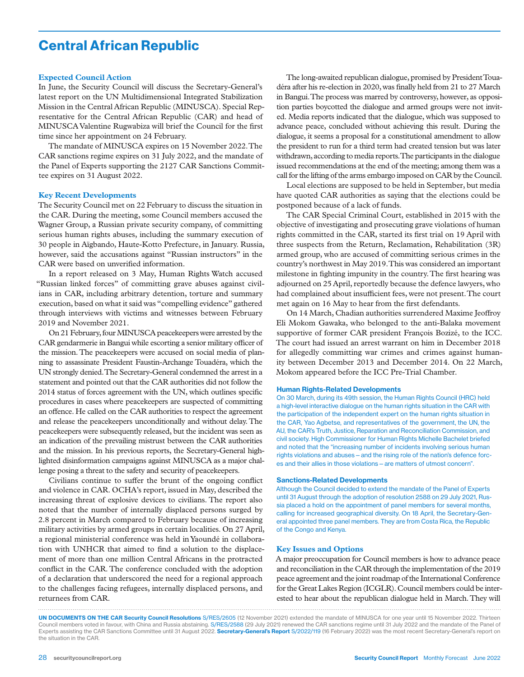# Central African Republic

#### **Expected Council Action**

In June, the Security Council will discuss the Secretary-General's latest report on the UN Multidimensional Integrated Stabilization Mission in the Central African Republic (MINUSCA). Special Representative for the Central African Republic (CAR) and head of MINUSCA Valentine Rugwabiza will brief the Council for the first time since her appointment on 24 February.

The mandate of MINUSCA expires on 15 November 2022. The CAR sanctions regime expires on 31 July 2022, and the mandate of the Panel of Experts supporting the 2127 CAR Sanctions Committee expires on 31 August 2022.

#### **Key Recent Developments**

The Security Council met on 22 February to discuss the situation in the CAR. During the meeting, some Council members accused the Wagner Group, a Russian private security company, of committing serious human rights abuses, including the summary execution of 30 people in Aïgbando, Haute-Kotto Prefecture, in January. Russia, however, said the accusations against "Russian instructors" in the CAR were based on unverified information.

In a report released on 3 May, Human Rights Watch accused "Russian linked forces" of committing grave abuses against civilians in CAR, including arbitrary detention, torture and summary execution, based on what it said was "compelling evidence" gathered through interviews with victims and witnesses between February 2019 and November 2021.

On 21 February, four MINUSCA peacekeepers were arrested by the CAR gendarmerie in Bangui while escorting a senior military officer of the mission. The peacekeepers were accused on social media of planning to assassinate President Faustin-Archange Touadéra, which the UN strongly denied. The Secretary-General condemned the arrest in a statement and pointed out that the CAR authorities did not follow the 2014 status of forces agreement with the UN, which outlines specific procedures in cases where peacekeepers are suspected of committing an offence. He called on the CAR authorities to respect the agreement and release the peacekeepers unconditionally and without delay. The peacekeepers were subsequently released, but the incident was seen as an indication of the prevailing mistrust between the CAR authorities and the mission. In his previous reports, the Secretary-General highlighted disinformation campaigns against MINUSCA as a major challenge posing a threat to the safety and security of peacekeepers.

Civilians continue to suffer the brunt of the ongoing conflict and violence in CAR. OCHA's report, issued in May, described the increasing threat of explosive devices to civilians. The report also noted that the number of internally displaced persons surged by 2.8 percent in March compared to February because of increasing military activities by armed groups in certain localities. On 27 April, a regional ministerial conference was held in Yaoundé in collaboration with UNHCR that aimed to find a solution to the displacement of more than one million Central Africans in the protracted conflict in the CAR. The conference concluded with the adoption of a declaration that underscored the need for a regional approach to the challenges facing refugees, internally displaced persons, and returnees from CAR.

The long-awaited republican dialogue, promised by President Touadéra after his re-election in 2020, was finally held from 21 to 27 March in Bangui. The process was marred by controversy, however, as opposition parties boycotted the dialogue and armed groups were not invited. Media reports indicated that the dialogue, which was supposed to advance peace, concluded without achieving this result. During the dialogue, it seems a proposal for a constitutional amendment to allow the president to run for a third term had created tension but was later withdrawn, according to media reports. The participants in the dialogue issued recommendations at the end of the meeting; among them was a call for the lifting of the arms embargo imposed on CAR by the Council.

Local elections are supposed to be held in September, but media have quoted CAR authorities as saying that the elections could be postponed because of a lack of funds.

The CAR Special Criminal Court, established in 2015 with the objective of investigating and prosecuting grave violations of human rights committed in the CAR, started its first trial on 19 April with three suspects from the Return, Reclamation, Rehabilitation (3R) armed group, who are accused of committing serious crimes in the country's northwest in May 2019. This was considered an important milestone in fighting impunity in the country. The first hearing was adjourned on 25 April, reportedly because the defence lawyers, who had complained about insufficient fees, were not present. The court met again on 16 May to hear from the first defendants.

On 14 March, Chadian authorities surrendered Maxime Jeoffroy Eli Mokom Gawaka, who belonged to the anti-Balaka movement supportive of former CAR president François Bozizé, to the ICC. The court had issued an arrest warrant on him in December 2018 for allegedly committing war crimes and crimes against humanity between December 2013 and December 2014. On 22 March, Mokom appeared before the ICC Pre-Trial Chamber.

#### Human Rights-Related Developments

On 30 March, during its 49th session, the Human Rights Council (HRC) held a high-level interactive dialogue on the human rights situation in the CAR with the participation of the independent expert on the human rights situation in the CAR, Yao Agbetse, and representatives of the government, the UN, the AU, the CAR's Truth, Justice, Reparation and Reconciliation Commission, and civil society. High Commissioner for Human Rights Michelle Bachelet briefed and noted that the "increasing number of incidents involving serious human rights violations and abuses—and the rising role of the nation's defence forces and their allies in those violations—are matters of utmost concern".

#### Sanctions-Related Developments

Although the Council decided to extend the mandate of the Panel of Experts until 31 August through the adoption of resolution 2588 on 29 July 2021, Russia placed a hold on the appointment of panel members for several months, calling for increased geographical diversity. On 18 April, the Secretary-General appointed three panel members. They are from Costa Rica, the Republic of the Congo and Kenya.

#### **Key Issues and Options**

A major preoccupation for Council members is how to advance peace and reconciliation in the CAR through the implementation of the 2019 peace agreement and the joint roadmap of the International Conference for the Great Lakes Region (ICGLR). Council members could be interested to hear about the republican dialogue held in March. They will

UN DOCUMENTS ON THE CAR Security Council Resolutions S/RES/2605 (12 November 2021) extended the mandate of MINUSCA for one year until 15 November 2022. Thirteen Council members voted in favour, with China and Russia abstaining. S/RES/2588 (29 July 2021) renewed the CAR sanctions regime until 31 July 2022 and the mandate of the Panel of Experts assisting the CAR Sanctions Committee until 31 August 2022. Secretary-General's Report S/2022/119 (16 February 2022) was the most recent Secretary-General's report on the situation in the CAR.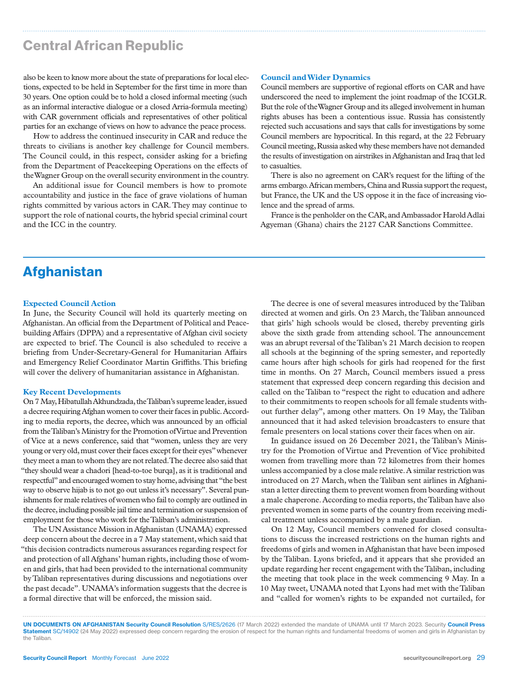# Central African Republic

also be keen to know more about the state of preparations for local elections, expected to be held in September for the first time in more than 30 years. One option could be to hold a closed informal meeting (such as an informal interactive dialogue or a closed Arria-formula meeting) with CAR government officials and representatives of other political parties for an exchange of views on how to advance the peace process.

How to address the continued insecurity in CAR and reduce the threats to civilians is another key challenge for Council members. The Council could, in this respect, consider asking for a briefing from the Department of Peacekeeping Operations on the effects of the Wagner Group on the overall security environment in the country.

An additional issue for Council members is how to promote accountability and justice in the face of grave violations of human rights committed by various actors in CAR. They may continue to support the role of national courts, the hybrid special criminal court and the ICC in the country.

#### **Council and Wider Dynamics**

Council members are supportive of regional efforts on CAR and have underscored the need to implement the joint roadmap of the ICGLR. But the role of the Wagner Group and its alleged involvement in human rights abuses has been a contentious issue. Russia has consistently rejected such accusations and says that calls for investigations by some Council members are hypocritical. In this regard, at the 22 February Council meeting, Russia asked why these members have not demanded the results of investigation on airstrikes in Afghanistan and Iraq that led to casualties.

There is also no agreement on CAR's request for the lifting of the arms embargo. African members, China and Russia support the request, but France, the UK and the US oppose it in the face of increasing violence and the spread of arms.

France is the penholder on the CAR, and Ambassador Harold Adlai Agyeman (Ghana) chairs the 2127 CAR Sanctions Committee.

### **Afghanistan**

#### **Expected Council Action**

In June, the Security Council will hold its quarterly meeting on Afghanistan. An official from the Department of Political and Peacebuilding Affairs (DPPA) and a representative of Afghan civil society are expected to brief. The Council is also scheduled to receive a briefing from Under-Secretary-General for Humanitarian Affairs and Emergency Relief Coordinator Martin Griffiths. This briefing will cover the delivery of humanitarian assistance in Afghanistan.

#### **Key Recent Developments**

On 7 May, Hibatullah Akhundzada, the Taliban's supreme leader, issued a decree requiring Afghan women to cover their faces in public. According to media reports, the decree, which was announced by an official from the Taliban's Ministry for the Promotion of Virtue and Prevention of Vice at a news conference, said that "women, unless they are very young or very old, must cover their faces except for their eyes" whenever they meet a man to whom they are not related. The decree also said that "they should wear a chadori [head-to-toe burqa], as it is traditional and respectful" and encouraged women to stay home, advising that "the best way to observe hijab is to not go out unless it's necessary". Several punishments for male relatives of women who fail to comply are outlined in the decree, including possible jail time and termination or suspension of employment for those who work for the Taliban's administration.

The UN Assistance Mission in Afghanistan (UNAMA) expressed deep concern about the decree in a 7 May statement, which said that "this decision contradicts numerous assurances regarding respect for and protection of all Afghans' human rights, including those of women and girls, that had been provided to the international community by Taliban representatives during discussions and negotiations over the past decade". UNAMA's information suggests that the decree is a formal directive that will be enforced, the mission said.

The decree is one of several measures introduced by the Taliban directed at women and girls. On 23 March, the Taliban announced that girls' high schools would be closed, thereby preventing girls above the sixth grade from attending school. The announcement was an abrupt reversal of the Taliban's 21 March decision to reopen all schools at the beginning of the spring semester, and reportedly came hours after high schools for girls had reopened for the first time in months. On 27 March, Council members issued a press statement that expressed deep concern regarding this decision and called on the Taliban to "respect the right to education and adhere to their commitments to reopen schools for all female students without further delay", among other matters. On 19 May, the Taliban announced that it had asked television broadcasters to ensure that female presenters on local stations cover their faces when on air.

In guidance issued on 26 December 2021, the Taliban's Ministry for the Promotion of Virtue and Prevention of Vice prohibited women from travelling more than 72 kilometres from their homes unless accompanied by a close male relative. A similar restriction was introduced on 27 March, when the Taliban sent airlines in Afghanistan a letter directing them to prevent women from boarding without a male chaperone. According to media reports, the Taliban have also prevented women in some parts of the country from receiving medical treatment unless accompanied by a male guardian.

On 12 May, Council members convened for closed consultations to discuss the increased restrictions on the human rights and freedoms of girls and women in Afghanistan that have been imposed by the Taliban. Lyons briefed, and it appears that she provided an update regarding her recent engagement with the Taliban, including the meeting that took place in the week commencing 9 May. In a 10 May tweet, UNAMA noted that Lyons had met with the Taliban and "called for women's rights to be expanded not curtailed, for

UN DOCUMENTS ON AFGHANISTAN Security Council Resolution S/RES/2626 (17 March 2022) extended the mandate of UNAMA until 17 March 2023. Security Council Press Statement SC/14902 (24 May 2022) expressed deep concern regarding the erosion of respect for the human rights and fundamental freedoms of women and girls in Afghanistan by the Taliban.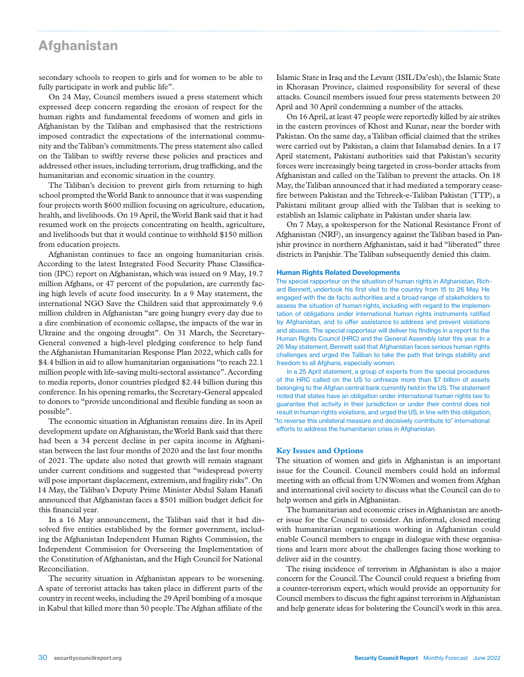### **Afghanistan**

secondary schools to reopen to girls and for women to be able to fully participate in work and public life".

On 24 May, Council members issued a press statement which expressed deep concern regarding the erosion of respect for the human rights and fundamental freedoms of women and girls in Afghanistan by the Taliban and emphasised that the restrictions imposed contradict the expectations of the international community and the Taliban's commitments. The press statement also called on the Taliban to swiftly reverse these policies and practices and addressed other issues, including terrorism, drug trafficking, and the humanitarian and economic situation in the country.

The Taliban's decision to prevent girls from returning to high school prompted the World Bank to announce that it was suspending four projects worth \$600 million focusing on agriculture, education, health, and livelihoods. On 19 April, the World Bank said that it had resumed work on the projects concentrating on health, agriculture, and livelihoods but that it would continue to withhold \$150 million from education projects.

Afghanistan continues to face an ongoing humanitarian crisis. According to the latest Integrated Food Security Phase Classification (IPC) report on Afghanistan, which was issued on 9 May, 19.7 million Afghans, or 47 percent of the population, are currently facing high levels of acute food insecurity. In a 9 May statement, the international NGO Save the Children said that approximately 9.6 million children in Afghanistan "are going hungry every day due to a dire combination of economic collapse, the impacts of the war in Ukraine and the ongoing drought". On 31 March, the Secretary-General convened a high-level pledging conference to help fund the Afghanistan Humanitarian Response Plan 2022, which calls for \$4.4 billion in aid to allow humanitarian organisations "to reach 22.1 million people with life-saving multi-sectoral assistance". According to media reports, donor countries pledged \$2.44 billion during this conference. In his opening remarks, the Secretary-General appealed to donors to "provide unconditional and flexible funding as soon as possible".

The economic situation in Afghanistan remains dire. In its April development update on Afghanistan, the World Bank said that there had been a 34 percent decline in per capita income in Afghanistan between the last four months of 2020 and the last four months of 2021. The update also noted that growth will remain stagnant under current conditions and suggested that "widespread poverty will pose important displacement, extremism, and fragility risks". On 14 May, the Taliban's Deputy Prime Minister Abdul Salam Hanafi announced that Afghanistan faces a \$501 million budget deficit for this financial year.

In a 16 May announcement, the Taliban said that it had dissolved five entities established by the former government, including the Afghanistan Independent Human Rights Commission, the Independent Commission for Overseeing the Implementation of the Constitution of Afghanistan, and the High Council for National Reconciliation.

The security situation in Afghanistan appears to be worsening. A spate of terrorist attacks has taken place in different parts of the country in recent weeks, including the 29 April bombing of a mosque in Kabul that killed more than 50 people. The Afghan affiliate of the

Islamic State in Iraq and the Levant (ISIL/Da'esh), the Islamic State in Khorasan Province, claimed responsibility for several of these attacks. Council members issued four press statements between 20 April and 30 April condemning a number of the attacks.

On 16 April, at least 47 people were reportedly killed by air strikes in the eastern provinces of Khost and Kunar, near the border with Pakistan. On the same day, a Taliban official claimed that the strikes were carried out by Pakistan, a claim that Islamabad denies. In a 17 April statement, Pakistani authorities said that Pakistan's security forces were increasingly being targeted in cross-border attacks from Afghanistan and called on the Taliban to prevent the attacks. On 18 May, the Taliban announced that it had mediated a temporary ceasefire between Pakistan and the Tehreek-e-Taliban Pakistan (TTP), a Pakistani militant group allied with the Taliban that is seeking to establish an Islamic caliphate in Pakistan under sharia law.

On 7 May, a spokesperson for the National Resistance Front of Afghanistan (NRF), an insurgency against the Taliban based in Panjshir province in northern Afghanistan, said it had "liberated" three districts in Panjshir. The Taliban subsequently denied this claim.

#### Human Rights Related Developments

The special rapporteur on the situation of human rights in Afghanistan, Richard Bennett, undertook his first visit to the country from 15 to 26 May. He engaged with the de facto authorities and a broad range of stakeholders to assess the situation of human rights, including with regard to the implementation of obligations under international human rights instruments ratified by Afghanistan, and to offer assistance to address and prevent violations and abuses. The special rapporteur will deliver his findings in a report to the Human Rights Council (HRC) and the General Assembly later this year. In a 26 May statement, Bennett said that Afghanistan faces serious human rights challenges and urged the Taliban to take the path that brings stability and freedom to all Afghans, especially women.

In a 25 April statement, a group of experts from the special procedures of the HRC called on the US to unfreeze more than \$7 billion of assets belonging to the Afghan central bank currently held in the US. The statement noted that states have an obligation under international human rights law to guarantee that activity in their jurisdiction or under their control does not result in human rights violations, and urged the US, in line with this obligation, "to reverse this unilateral measure and decisively contribute to" international efforts to address the humanitarian crisis in Afghanistan.

#### **Key Issues and Options**

The situation of women and girls in Afghanistan is an important issue for the Council. Council members could hold an informal meeting with an official from UN Women and women from Afghan and international civil society to discuss what the Council can do to help women and girls in Afghanistan.

The humanitarian and economic crises in Afghanistan are another issue for the Council to consider. An informal, closed meeting with humanitarian organisations working in Afghanistan could enable Council members to engage in dialogue with these organisations and learn more about the challenges facing those working to deliver aid in the country.

The rising incidence of terrorism in Afghanistan is also a major concern for the Council. The Council could request a briefing from a counter-terrorism expert, which would provide an opportunity for Council members to discuss the fight against terrorism in Afghanistan and help generate ideas for bolstering the Council's work in this area.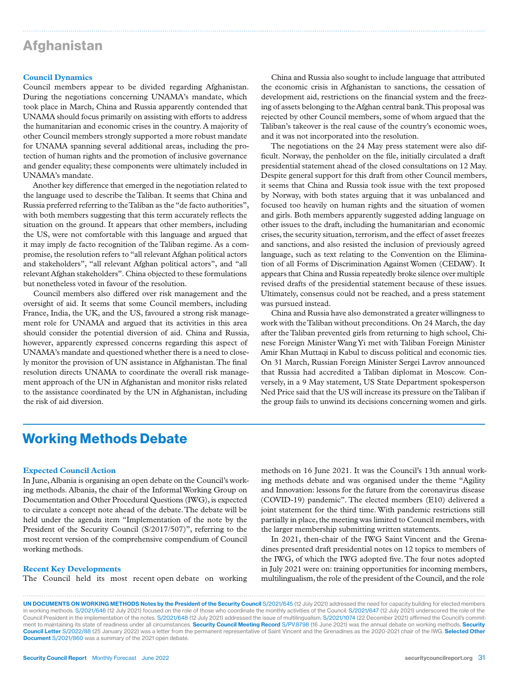### **Afghanistan**

#### **Council Dynamics**

Council members appear to be divided regarding Afghanistan. During the negotiations concerning UNAMA's mandate, which took place in March, China and Russia apparently contended that UNAMA should focus primarily on assisting with efforts to address the humanitarian and economic crises in the country. A majority of other Council members strongly supported a more robust mandate for UNAMA spanning several additional areas, including the protection of human rights and the promotion of inclusive governance and gender equality; these components were ultimately included in UNAMA's mandate.

Another key difference that emerged in the negotiation related to the language used to describe the Taliban. It seems that China and Russia preferred referring to the Taliban as the "de facto authorities", with both members suggesting that this term accurately reflects the situation on the ground. It appears that other members, including the US, were not comfortable with this language and argued that it may imply de facto recognition of the Taliban regime. As a compromise, the resolution refers to "all relevant Afghan political actors and stakeholders", "all relevant Afghan political actors", and "all relevant Afghan stakeholders". China objected to these formulations but nonetheless voted in favour of the resolution.

Council members also differed over risk management and the oversight of aid. It seems that some Council members, including France, India, the UK, and the US, favoured a strong risk management role for UNAMA and argued that its activities in this area should consider the potential diversion of aid. China and Russia, however, apparently expressed concerns regarding this aspect of UNAMA's mandate and questioned whether there is a need to closely monitor the provision of UN assistance in Afghanistan. The final resolution directs UNAMA to coordinate the overall risk management approach of the UN in Afghanistan and monitor risks related to the assistance coordinated by the UN in Afghanistan, including the risk of aid diversion.

China and Russia also sought to include language that attributed the economic crisis in Afghanistan to sanctions, the cessation of development aid, restrictions on the financial system and the freezing of assets belonging to the Afghan central bank. This proposal was rejected by other Council members, some of whom argued that the Taliban's takeover is the real cause of the country's economic woes, and it was not incorporated into the resolution.

The negotiations on the 24 May press statement were also difficult. Norway, the penholder on the file, initially circulated a draft presidential statement ahead of the closed consultations on 12 May. Despite general support for this draft from other Council members, it seems that China and Russia took issue with the text proposed by Norway, with both states arguing that it was unbalanced and focused too heavily on human rights and the situation of women and girls. Both members apparently suggested adding language on other issues to the draft, including the humanitarian and economic crises, the security situation, terrorism, and the effect of asset freezes and sanctions, and also resisted the inclusion of previously agreed language, such as text relating to the Convention on the Elimination of all Forms of Discrimination Against Women (CEDAW). It appears that China and Russia repeatedly broke silence over multiple revised drafts of the presidential statement because of these issues. Ultimately, consensus could not be reached, and a press statement was pursued instead.

China and Russia have also demonstrated a greater willingness to work with the Taliban without preconditions. On 24 March, the day after the Taliban prevented girls from returning to high school, Chinese Foreign Minister Wang Yi met with Taliban Foreign Minister Amir Khan Muttaqi in Kabul to discuss political and economic ties. On 31 March, Russian Foreign Minister Sergei Lavrov announced that Russia had accredited a Taliban diplomat in Moscow. Conversely, in a 9 May statement, US State Department spokesperson Ned Price said that the US will increase its pressure on the Taliban if the group fails to unwind its decisions concerning women and girls.

### Working Methods Debate

#### **Expected Council Action**

In June, Albania is organising an open debate on the Council's working methods. Albania, the chair of the Informal Working Group on Documentation and Other Procedural Questions (IWG), is expected to circulate a concept note ahead of the debate. The debate will be held under the agenda item "Implementation of the note by the President of the Security Council (S/2017/507)", referring to the most recent version of the comprehensive compendium of Council working methods.

#### **Recent Key Developments**

The Council held its most recent open debate on working

methods on 16 June 2021. It was the Council's 13th annual working methods debate and was organised under the theme "Agility and Innovation: lessons for the future from the coronavirus disease (COVID-19) pandemic". The elected members (E10) delivered a joint statement for the third time. With pandemic restrictions still partially in place, the meeting was limited to Council members, with the larger membership submitting written statements.

In 2021, then-chair of the IWG Saint Vincent and the Grenadines presented draft presidential notes on 12 topics to members of the IWG, of which the IWG adopted five. The four notes adopted in July 2021 were on: training opportunities for incoming members, multilingualism, the role of the president of the Council, and the role

UN DOCUMENTS ON WORKING METHODS Notes by the President of the Security Council S/2021/645 (12 July 2021) addressed the need for capacity building for elected members in working methods. S/2021/646 (12 July 2021) focused on the role of those who coordinate the monthly activities of the Council. S/2021/647 (12 July 2021) underscored the role of the Council President in the implementation of the notes. S/2021/648 (12 July 2021) addressed the issue of multilingualism. S/2021/1074 (22 December 2021) affirmed the Council's commitment to maintaining its state of readiness under all circumstances. Security Council Meeting Record S/PV.8798 (16 June 2021) was the annual debate on working methods. Security Council Letter S/2022/88 (25 January 2022) was a letter from the permanent representative of Saint Vincent and the Grenadines as the 2020-2021 chair of the IWG. Selected Other Document S/2021/860 was a summary of the 2021 open debate.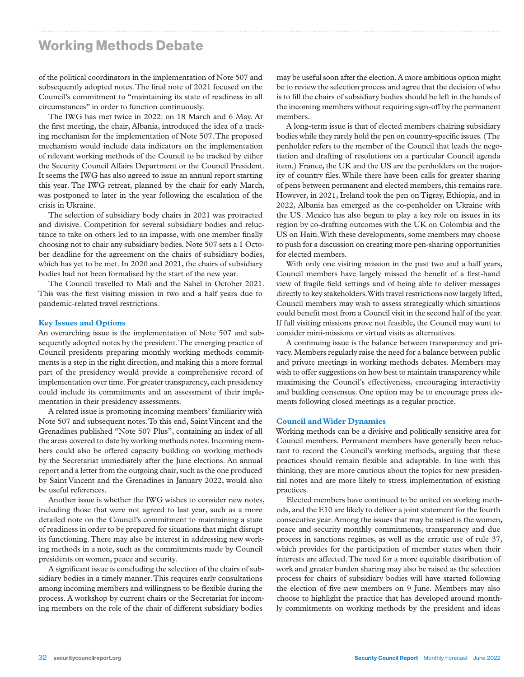### Working Methods Debate

of the political coordinators in the implementation of Note 507 and subsequently adopted notes. The final note of 2021 focused on the Council's commitment to "maintaining its state of readiness in all circumstances" in order to function continuously.

The IWG has met twice in 2022: on 18 March and 6 May. At the first meeting, the chair, Albania, introduced the idea of a tracking mechanism for the implementation of Note 507. The proposed mechanism would include data indicators on the implementation of relevant working methods of the Council to be tracked by either the Security Council Affairs Department or the Council President. It seems the IWG has also agreed to issue an annual report starting this year. The IWG retreat, planned by the chair for early March, was postponed to later in the year following the escalation of the crisis in Ukraine.

The selection of subsidiary body chairs in 2021 was protracted and divisive. Competition for several subsidiary bodies and reluctance to take on others led to an impasse, with one member finally choosing not to chair any subsidiary bodies. Note 507 sets a 1 October deadline for the agreement on the chairs of subsidiary bodies, which has yet to be met. In 2020 and 2021, the chairs of subsidiary bodies had not been formalised by the start of the new year.

The Council travelled to Mali and the Sahel in October 2021. This was the first visiting mission in two and a half years due to pandemic-related travel restrictions.

#### **Key Issues and Options**

An overarching issue is the implementation of Note 507 and subsequently adopted notes by the president. The emerging practice of Council presidents preparing monthly working methods commitments is a step in the right direction, and making this a more formal part of the presidency would provide a comprehensive record of implementation over time. For greater transparency, each presidency could include its commitments and an assessment of their implementation in their presidency assessments.

A related issue is promoting incoming members' familiarity with Note 507 and subsequent notes. To this end, Saint Vincent and the Grenadines published "Note 507 Plus", containing an index of all the areas covered to date by working methods notes. Incoming members could also be offered capacity building on working methods by the Secretariat immediately after the June elections. An annual report and a letter from the outgoing chair, such as the one produced by Saint Vincent and the Grenadines in January 2022, would also be useful references.

Another issue is whether the IWG wishes to consider new notes, including those that were not agreed to last year, such as a more detailed note on the Council's commitment to maintaining a state of readiness in order to be prepared for situations that might disrupt its functioning. There may also be interest in addressing new working methods in a note, such as the commitments made by Council presidents on women, peace and security.

A significant issue is concluding the selection of the chairs of subsidiary bodies in a timely manner. This requires early consultations among incoming members and willingness to be flexible during the process. A workshop by current chairs or the Secretariat for incoming members on the role of the chair of different subsidiary bodies

may be useful soon after the election. A more ambitious option might be to review the selection process and agree that the decision of who is to fill the chairs of subsidiary bodies should be left in the hands of the incoming members without requiring sign-off by the permanent members.

A long-term issue is that of elected members chairing subsidiary bodies while they rarely hold the pen on country-specific issues. (The penholder refers to the member of the Council that leads the negotiation and drafting of resolutions on a particular Council agenda item.) France, the UK and the US are the penholders on the majority of country files. While there have been calls for greater sharing of pens between permanent and elected members, this remains rare. However, in 2021, Ireland took the pen on Tigray, Ethiopia, and in 2022, Albania has emerged as the co-penholder on Ukraine with the US. Mexico has also begun to play a key role on issues in its region by co-drafting outcomes with the UK on Colombia and the US on Haiti. With these developments, some members may choose to push for a discussion on creating more pen-sharing opportunities for elected members.

With only one visiting mission in the past two and a half years, Council members have largely missed the benefit of a first-hand view of fragile field settings and of being able to deliver messages directly to key stakeholders. With travel restrictions now largely lifted, Council members may wish to assess strategically which situations could benefit most from a Council visit in the second half of the year. If full visiting missions prove not feasible, the Council may want to consider mini-missions or virtual visits as alternatives.

A continuing issue is the balance between transparency and privacy. Members regularly raise the need for a balance between public and private meetings in working methods debates. Members may wish to offer suggestions on how best to maintain transparency while maximising the Council's effectiveness, encouraging interactivity and building consensus. One option may be to encourage press elements following closed meetings as a regular practice.

#### **Council and Wider Dynamics**

Working methods can be a divisive and politically sensitive area for Council members. Permanent members have generally been reluctant to record the Council's working methods, arguing that these practices should remain flexible and adaptable. In line with this thinking, they are more cautious about the topics for new presidential notes and are more likely to stress implementation of existing practices.

Elected members have continued to be united on working methods, and the E10 are likely to deliver a joint statement for the fourth consecutive year. Among the issues that may be raised is the women, peace and security monthly commitments, transparency and due process in sanctions regimes, as well as the erratic use of rule 37, which provides for the participation of member states when their interests are affected. The need for a more equitable distribution of work and greater burden sharing may also be raised as the selection process for chairs of subsidiary bodies will have started following the election of five new members on 9 June. Members may also choose to highlight the practice that has developed around monthly commitments on working methods by the president and ideas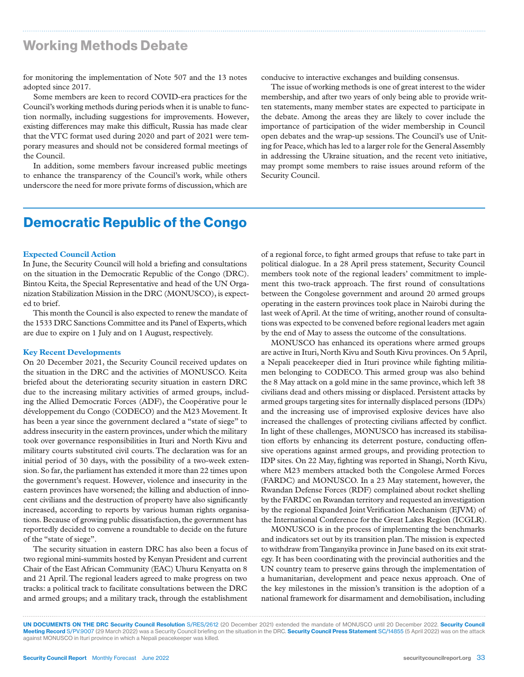# Working Methods Debate

for monitoring the implementation of Note 507 and the 13 notes adopted since 2017.

Some members are keen to record COVID-era practices for the Council's working methods during periods when it is unable to function normally, including suggestions for improvements. However, existing differences may make this difficult, Russia has made clear that the VTC format used during 2020 and part of 2021 were temporary measures and should not be considered formal meetings of the Council.

In addition, some members favour increased public meetings to enhance the transparency of the Council's work, while others underscore the need for more private forms of discussion, which are conducive to interactive exchanges and building consensus.

The issue of working methods is one of great interest to the wider membership, and after two years of only being able to provide written statements, many member states are expected to participate in the debate. Among the areas they are likely to cover include the importance of participation of the wider membership in Council open debates and the wrap-up sessions. The Council's use of Uniting for Peace, which has led to a larger role for the General Assembly in addressing the Ukraine situation, and the recent veto initiative, may prompt some members to raise issues around reform of the Security Council.

# Democratic Republic of the Congo

#### **Expected Council Action**

In June, the Security Council will hold a briefing and consultations on the situation in the Democratic Republic of the Congo (DRC). Bintou Keita, the Special Representative and head of the UN Organization Stabilization Mission in the DRC (MONUSCO), is expected to brief.

This month the Council is also expected to renew the mandate of the 1533 DRC Sanctions Committee and its Panel of Experts, which are due to expire on 1 July and on 1 August, respectively.

#### **Key Recent Developments**

On 20 December 2021, the Security Council received updates on the situation in the DRC and the activities of MONUSCO. Keita briefed about the deteriorating security situation in eastern DRC due to the increasing military activities of armed groups, including the Allied Democratic Forces (ADF), the Coopérative pour le développement du Congo (CODECO) and the M23 Movement. It has been a year since the government declared a "state of siege" to address insecurity in the eastern provinces, under which the military took over governance responsibilities in Ituri and North Kivu and military courts substituted civil courts. The declaration was for an initial period of 30 days, with the possibility of a two-week extension. So far, the parliament has extended it more than 22 times upon the government's request. However, violence and insecurity in the eastern provinces have worsened; the killing and abduction of innocent civilians and the destruction of property have also significantly increased, according to reports by various human rights organisations. Because of growing public dissatisfaction, the government has reportedly decided to convene a roundtable to decide on the future of the "state of siege".

The security situation in eastern DRC has also been a focus of two regional mini-summits hosted by Kenyan President and current Chair of the East African Community (EAC) Uhuru Kenyatta on 8 and 21 April. The regional leaders agreed to make progress on two tracks: a political track to facilitate consultations between the DRC and armed groups; and a military track, through the establishment

of a regional force, to fight armed groups that refuse to take part in political dialogue. In a 28 April press statement, Security Council members took note of the regional leaders' commitment to implement this two-track approach. The first round of consultations between the Congolese government and around 20 armed groups operating in the eastern provinces took place in Nairobi during the last week of April. At the time of writing, another round of consultations was expected to be convened before regional leaders met again by the end of May to assess the outcome of the consultations.

MONUSCO has enhanced its operations where armed groups are active in Ituri, North Kivu and South Kivu provinces. On 5 April, a Nepali peacekeeper died in Ituri province while fighting militiamen belonging to CODECO. This armed group was also behind the 8 May attack on a gold mine in the same province, which left 38 civilians dead and others missing or displaced. Persistent attacks by armed groups targeting sites for internally displaced persons (IDPs) and the increasing use of improvised explosive devices have also increased the challenges of protecting civilians affected by conflict. In light of these challenges, MONUSCO has increased its stabilisation efforts by enhancing its deterrent posture, conducting offensive operations against armed groups, and providing protection to IDP sites. On 22 May, fighting was reported in Shangi, North Kivu, where M23 members attacked both the Congolese Armed Forces (FARDC) and MONUSCO. In a 23 May statement, however, the Rwandan Defense Forces (RDF) complained about rocket shelling by the FARDC on Rwandan territory and requested an investigation by the regional Expanded Joint Verification Mechanism (EJVM) of the International Conference for the Great Lakes Region (ICGLR).

MONUSCO is in the process of implementing the benchmarks and indicators set out by its transition plan. The mission is expected to withdraw from Tanganyika province in June based on its exit strategy. It has been coordinating with the provincial authorities and the UN country team to preserve gains through the implementation of a humanitarian, development and peace nexus approach. One of the key milestones in the mission's transition is the adoption of a national framework for disarmament and demobilisation, including

UN DOCUMENTS ON THE DRC Security Council Resolution S/RES/2612 (20 December 2021) extended the mandate of MONUSCO until 20 December 2022. Security Council Meeting Record S/PV.9007 (29 March 2022) was a Security Council briefing on the situation in the DRC. Security Council Press Statement SC/14855 (5 April 2022) was on the attack against MONUSCO in Ituri province in which a Nepali peacekeeper was killed.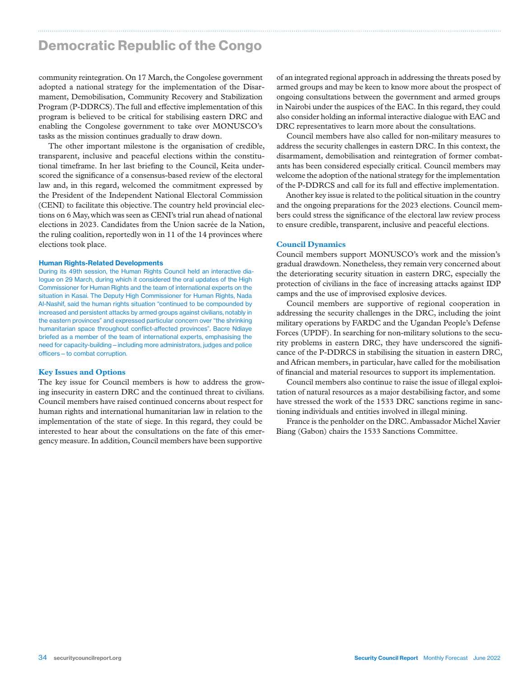# Democratic Republic of the Congo

community reintegration. On 17 March, the Congolese government adopted a national strategy for the implementation of the Disarmament, Demobilisation, Community Recovery and Stabilization Program (P-DDRCS). The full and effective implementation of this program is believed to be critical for stabilising eastern DRC and enabling the Congolese government to take over MONUSCO's tasks as the mission continues gradually to draw down.

The other important milestone is the organisation of credible, transparent, inclusive and peaceful elections within the constitutional timeframe. In her last briefing to the Council, Keita underscored the significance of a consensus-based review of the electoral law and, in this regard, welcomed the commitment expressed by the President of the Independent National Electoral Commission (CENI) to facilitate this objective. The country held provincial elections on 6 May, which was seen as CENI's trial run ahead of national elections in 2023. Candidates from the Union sacrée de la Nation, the ruling coalition, reportedly won in 11 of the 14 provinces where elections took place.

#### Human Rights-Related Developments

During its 49th session, the Human Rights Council held an interactive dialogue on 29 March, during which it considered the oral updates of the High Commissioner for Human Rights and the team of international experts on the situation in Kasai. The Deputy High Commissioner for Human Rights, Nada Al-Nashif, said the human rights situation "continued to be compounded by increased and persistent attacks by armed groups against civilians, notably in the eastern provinces" and expressed particular concern over "the shrinking humanitarian space throughout conflict-affected provinces". Bacre Ndiaye briefed as a member of the team of international experts, emphasising the need for capacity-building—including more administrators, judges and police officers—to combat corruption.

#### **Key Issues and Options**

The key issue for Council members is how to address the growing insecurity in eastern DRC and the continued threat to civilians. Council members have raised continued concerns about respect for human rights and international humanitarian law in relation to the implementation of the state of siege. In this regard, they could be interested to hear about the consultations on the fate of this emergency measure. In addition, Council members have been supportive

of an integrated regional approach in addressing the threats posed by armed groups and may be keen to know more about the prospect of ongoing consultations between the government and armed groups in Nairobi under the auspices of the EAC. In this regard, they could also consider holding an informal interactive dialogue with EAC and DRC representatives to learn more about the consultations.

Council members have also called for non-military measures to address the security challenges in eastern DRC. In this context, the disarmament, demobilisation and reintegration of former combatants has been considered especially critical. Council members may welcome the adoption of the national strategy for the implementation of the P-DDRCS and call for its full and effective implementation.

Another key issue is related to the political situation in the country and the ongoing preparations for the 2023 elections. Council members could stress the significance of the electoral law review process to ensure credible, transparent, inclusive and peaceful elections.

#### **Council Dynamics**

Council members support MONUSCO's work and the mission's gradual drawdown. Nonetheless, they remain very concerned about the deteriorating security situation in eastern DRC, especially the protection of civilians in the face of increasing attacks against IDP camps and the use of improvised explosive devices.

Council members are supportive of regional cooperation in addressing the security challenges in the DRC, including the joint military operations by FARDC and the Ugandan People's Defense Forces (UPDF). In searching for non-military solutions to the security problems in eastern DRC, they have underscored the significance of the P-DDRCS in stabilising the situation in eastern DRC, and African members, in particular, have called for the mobilisation of financial and material resources to support its implementation.

Council members also continue to raise the issue of illegal exploitation of natural resources as a major destabilising factor, and some have stressed the work of the 1533 DRC sanctions regime in sanctioning individuals and entities involved in illegal mining.

France is the penholder on the DRC. Ambassador Michel Xavier Biang (Gabon) chairs the 1533 Sanctions Committee.